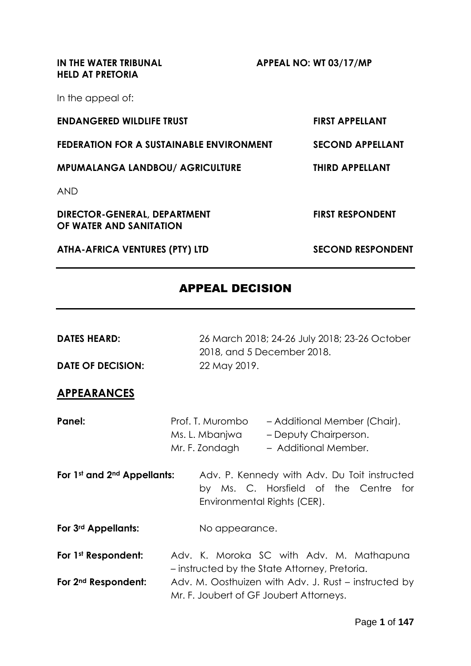**IN THE WATER TRIBUNAL APPEAL NO: WT 03/17/MP HELD AT PRETORIA**

In the appeal of:

| <b>ENDANGERED WILDLIFE TRUST</b>                        | <b>FIRST APPELLANT</b>   |
|---------------------------------------------------------|--------------------------|
| FEDERATION FOR A SUSTAINABLE ENVIRONMENT                | <b>SECOND APPELLANT</b>  |
| <b>MPUMALANGA LANDBOU/ AGRICULTURE</b>                  | <b>THIRD APPELLANT</b>   |
| <b>AND</b>                                              |                          |
| DIRECTOR-GENERAL, DEPARTMENT<br>OF WATER AND SANITATION | <b>FIRST RESPONDENT</b>  |
| <b>ATHA-AFRICA VENTURES (PTY) LTD</b>                   | <b>SECOND RESPONDENT</b> |

## APPEAL DECISION

| <b>DATES HEARD:</b>                     | 26 March 2018; 24-26 July 2018; 23-26 October<br>2018, and 5 December 2018.                                                           |
|-----------------------------------------|---------------------------------------------------------------------------------------------------------------------------------------|
| <b>DATE OF DECISION:</b>                | 22 May 2019.                                                                                                                          |
| <b>APPEARANCES</b>                      |                                                                                                                                       |
| Panel:                                  | Prof. T. Murombo<br>- Additional Member (Chair).<br>Ms. L. Mbanjwa<br>- Deputy Chairperson.<br>Mr. F. Zondagh<br>- Additional Member. |
| For 1st and 2 <sup>nd</sup> Appellants: | Adv. P. Kennedy with Adv. Du Toit instructed<br>by Ms. C. Horsfield of the Centre for<br>Environmental Rights (CER).                  |
| For 3rd Appellants:                     | No appearance.                                                                                                                        |
| For 1st Respondent:                     | Adv. K. Moroka SC with Adv. M. Mathapuna<br>- instructed by the State Attorney, Pretoria.                                             |
| For 2 <sup>nd</sup> Respondent:         | Adv. M. Oosthuizen with Adv. J. Rust – instructed by<br>Mr. F. Joubert of GF Joubert Attorneys.                                       |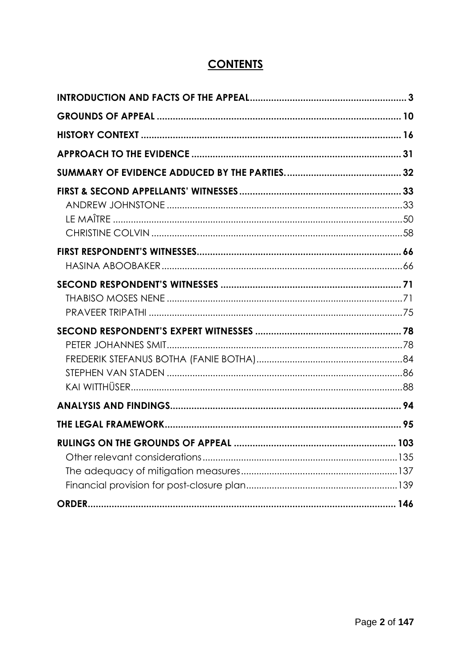# **CONTENTS**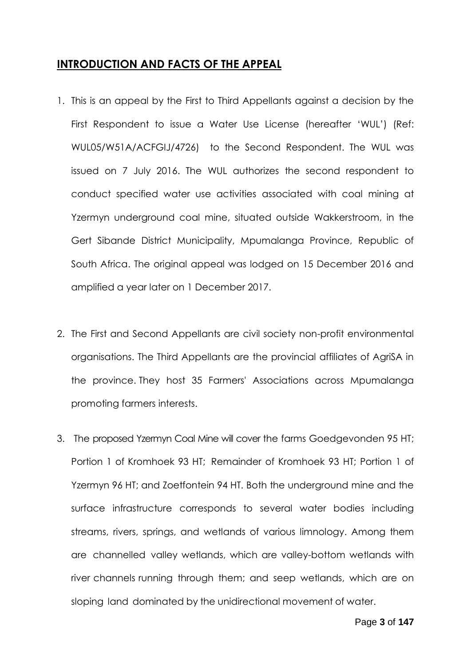#### <span id="page-2-0"></span>**INTRODUCTION AND FACTS OF THE APPEAL**

- 1. This is an appeal by the First to Third Appellants against a decision by the First Respondent to issue a Water Use License (hereafter 'WUL') (Ref: WUL05/W51A/ACFGIJ/4726) to the Second Respondent. The WUL was issued on 7 July 2016. The WUL authorizes the second respondent to conduct specified water use activities associated with coal mining at Yzermyn underground coal mine, situated outside Wakkerstroom, in the Gert Sibande District Municipality, Mpumalanga Province, Republic of South Africa. The original appeal was lodged on 15 December 2016 and amplified a year later on 1 December 2017.
- 2. The First and Second Appellants are civil society non-profit environmental organisations. The Third Appellants are the provincial affiliates of AgriSA in the province. They host 35 Farmers' Associations across Mpumalanga promoting farmers interests.
- 3. The proposed Yzermyn Coal Mine will cover the farms Goedgevonden 95 HT; Portion 1 of Kromhoek 93 HT; Remainder of Kromhoek 93 HT; Portion 1 of Yzermyn 96 HT; and Zoetfontein 94 HT. Both the underground mine and the surface infrastructure corresponds to several water bodies including streams, rivers, springs, and wetlands of various limnology. Among them are channelled valley wetlands, which are valley-bottom wetlands with river channels running through them; and seep wetlands, which are on sloping land dominated by the unidirectional movement of water.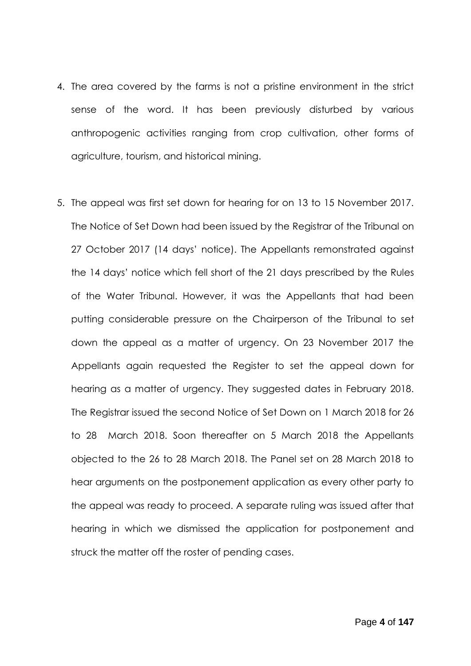- 4. The area covered by the farms is not a pristine environment in the strict sense of the word. It has been previously disturbed by various anthropogenic activities ranging from crop cultivation, other forms of agriculture, tourism, and historical mining.
- 5. The appeal was first set down for hearing for on 13 to 15 November 2017. The Notice of Set Down had been issued by the Registrar of the Tribunal on 27 October 2017 (14 days' notice). The Appellants remonstrated against the 14 days' notice which fell short of the 21 days prescribed by the Rules of the Water Tribunal. However, it was the Appellants that had been putting considerable pressure on the Chairperson of the Tribunal to set down the appeal as a matter of urgency. On 23 November 2017 the Appellants again requested the Register to set the appeal down for hearing as a matter of urgency. They suggested dates in February 2018. The Registrar issued the second Notice of Set Down on 1 March 2018 for 26 to 28 March 2018. Soon thereafter on 5 March 2018 the Appellants objected to the 26 to 28 March 2018. The Panel set on 28 March 2018 to hear arguments on the postponement application as every other party to the appeal was ready to proceed. A separate ruling was issued after that hearing in which we dismissed the application for postponement and struck the matter off the roster of pending cases.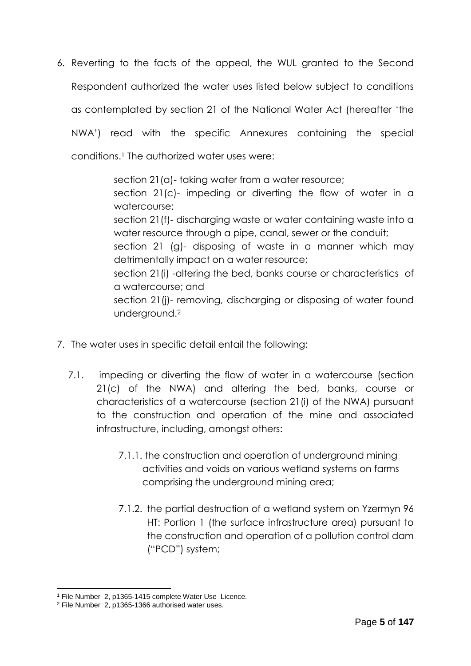6. Reverting to the facts of the appeal, the WUL granted to the Second Respondent authorized the water uses listed below subject to conditions as contemplated by section 21 of the National Water Act (hereafter 'the NWA') read with the specific Annexures containing the special conditions. <sup>1</sup> The authorized water uses were:

> section 21(a)- taking water from a water resource; section 21(c)- impeding or diverting the flow of water in a watercourse; section 21(f)- discharging waste or water containing waste into a water resource through a pipe, canal, sewer or the conduit; section 21 (g)- disposing of waste in a manner which may detrimentally impact on a water resource; section 21(i) -altering the bed, banks course or characteristics of a watercourse; and section 21(j)- removing, discharging or disposing of water found underground.<sup>2</sup>

- 7. The water uses in specific detail entail the following:
	- 7.1. impeding or diverting the flow of water in a watercourse (section 21(c) of the NWA) and altering the bed, banks, course or characteristics of a watercourse (section 21(i) of the NWA) pursuant to the construction and operation of the mine and associated infrastructure, including, amongst others:
		- 7.1.1. the construction and operation of underground mining activities and voids on various wetland systems on farms comprising the underground mining area;
		- 7.1.2. the partial destruction of a wetland system on Yzermyn 96 HT: Portion 1 (the surface infrastructure area) pursuant to the construction and operation of a pollution control dam ("PCD") system;

<sup>1</sup> File Number 2, p1365-1415 complete Water Use Licence.

<sup>2</sup> File Number 2, p1365-1366 authorised water uses.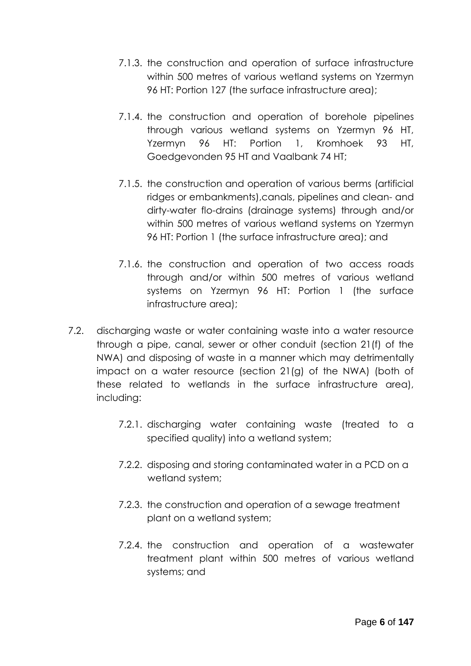- 7.1.3. the construction and operation of surface infrastructure within 500 metres of various wetland systems on Yzermyn 96 HT: Portion 127 (the surface infrastructure area);
- 7.1.4. the construction and operation of borehole pipelines through various wetland systems on Yzermyn 96 HT, Yzermyn 96 HT: Portion 1, Kromhoek 93 HT, Goedgevonden 95 HT and Vaalbank 74 HT;
- 7.1.5. the construction and operation of various berms (artificial ridges or embankments),canals, pipelines and clean- and dirty-water flo-drains (drainage systems) through and/or within 500 metres of various wetland systems on Yzermyn 96 HT: Portion 1 (the surface infrastructure area); and
- 7.1.6. the construction and operation of two access roads through and/or within 500 metres of various wetland systems on Yzermyn 96 HT: Portion 1 (the surface infrastructure area);
- 7.2. discharging waste or water containing waste into a water resource through a pipe, canal, sewer or other conduit (section 21(f) of the NWA) and disposing of waste in a manner which may detrimentally impact on a water resource (section 21(g) of the NWA) (both of these related to wetlands in the surface infrastructure area), including:
	- 7.2.1. discharging water containing waste (treated to a specified quality) into a wetland system;
	- 7.2.2. disposing and storing contaminated water in a PCD on a wetland system;
	- 7.2.3. the construction and operation of a sewage treatment plant on a wetland system;
	- 7.2.4. the construction and operation of a wastewater treatment plant within 500 metres of various wetland systems; and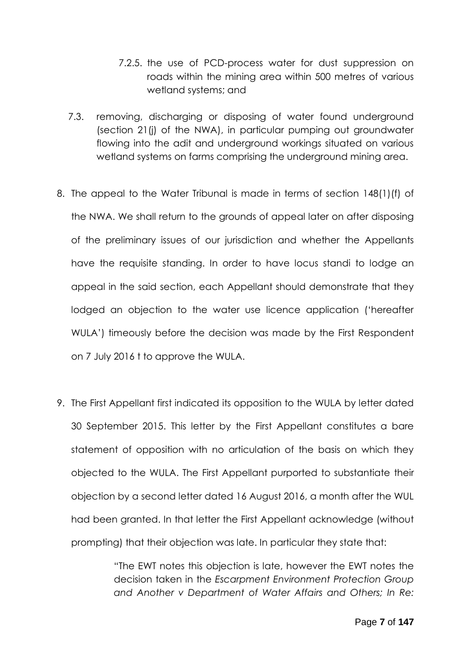- 7.2.5. the use of PCD-process water for dust suppression on roads within the mining area within 500 metres of various wetland systems; and
- 7.3. removing, discharging or disposing of water found underground (section 21(j) of the NWA), in particular pumping out groundwater flowing into the adit and underground workings situated on various wetland systems on farms comprising the underground mining area.
- 8. The appeal to the Water Tribunal is made in terms of section 148(1)(f) of the NWA. We shall return to the grounds of appeal later on after disposing of the preliminary issues of our jurisdiction and whether the Appellants have the requisite standing. In order to have locus standi to lodge an appeal in the said section, each Appellant should demonstrate that they lodged an objection to the water use licence application ('hereafter WULA') timeously before the decision was made by the First Respondent on 7 July 2016 t to approve the WULA.
- 9. The First Appellant first indicated its opposition to the WULA by letter dated 30 September 2015. This letter by the First Appellant constitutes a bare statement of opposition with no articulation of the basis on which they objected to the WULA. The First Appellant purported to substantiate their objection by a second letter dated 16 August 2016, a month after the WUL had been granted. In that letter the First Appellant acknowledge (without prompting) that their objection was late. In particular they state that:

"The EWT notes this objection is late, however the EWT notes the decision taken in the *Escarpment Environment Protection Group and Another v Department of Water Affairs and Others; In Re:*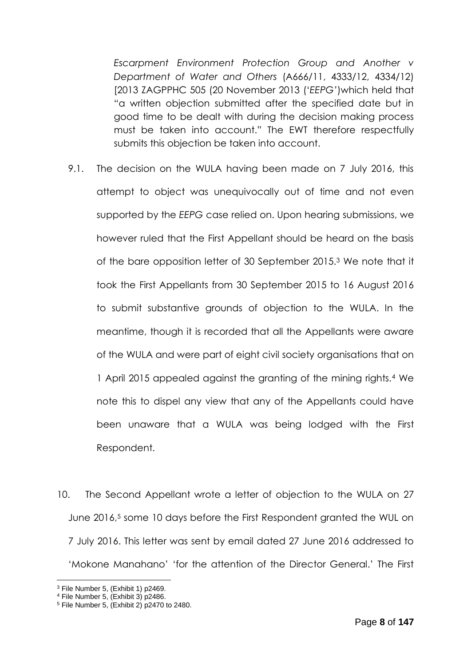*Escarpment Environment Protection Group and Another v Department of Water and Others* (A666/11, 4333/12, 4334/12) [2013 ZAGPPHC 505 (20 November 2013 ('*EEPG'*)which held that "a written objection submitted after the specified date but in good time to be dealt with during the decision making process must be taken into account." The EWT therefore respectfully submits this objection be taken into account.

- 9.1. The decision on the WULA having been made on 7 July 2016, this attempt to object was unequivocally out of time and not even supported by the *EEPG* case relied on. Upon hearing submissions, we however ruled that the First Appellant should be heard on the basis of the bare opposition letter of 30 September 2015.<sup>3</sup> We note that it took the First Appellants from 30 September 2015 to 16 August 2016 to submit substantive grounds of objection to the WULA. In the meantime, though it is recorded that all the Appellants were aware of the WULA and were part of eight civil society organisations that on 1 April 2015 appealed against the granting of the mining rights.<sup>4</sup> We note this to dispel any view that any of the Appellants could have been unaware that a WULA was being lodged with the First Respondent.
- 10. The Second Appellant wrote a letter of objection to the WULA on 27 June 2016,<sup>5</sup> some 10 days before the First Respondent granted the WUL on 7 July 2016. This letter was sent by email dated 27 June 2016 addressed to 'Mokone Manahano' 'for the attention of the Director General.' The First

<sup>3</sup> File Number 5, (Exhibit 1) p2469.

<sup>4</sup> File Number 5, (Exhibit 3) p2486.

 $5$  File Number 5, (Exhibit 2) p2470 to 2480.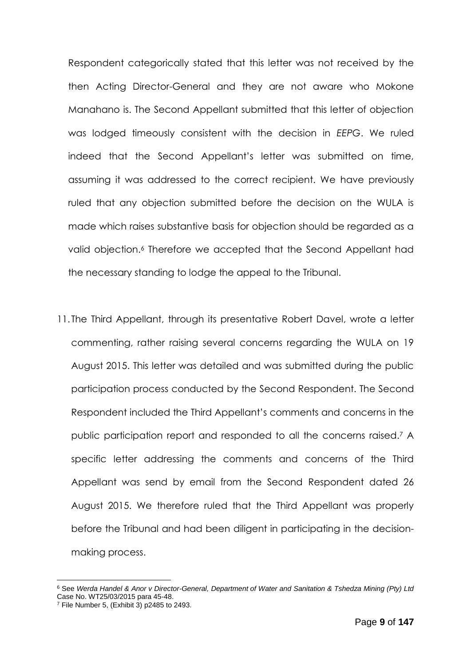Respondent categorically stated that this letter was not received by the then Acting Director-General and they are not aware who Mokone Manahano is. The Second Appellant submitted that this letter of objection was lodged timeously consistent with the decision in *EEPG*. We ruled indeed that the Second Appellant's letter was submitted on time, assuming it was addressed to the correct recipient. We have previously ruled that any objection submitted before the decision on the WULA is made which raises substantive basis for objection should be regarded as a valid objection.<sup>6</sup> Therefore we accepted that the Second Appellant had the necessary standing to lodge the appeal to the Tribunal.

11. The Third Appellant, through its presentative Robert Davel, wrote a letter commenting, rather raising several concerns regarding the WULA on 19 August 2015. This letter was detailed and was submitted during the public participation process conducted by the Second Respondent. The Second Respondent included the Third Appellant's comments and concerns in the public participation report and responded to all the concerns raised. <sup>7</sup> A specific letter addressing the comments and concerns of the Third Appellant was send by email from the Second Respondent dated 26 August 2015. We therefore ruled that the Third Appellant was properly before the Tribunal and had been diligent in participating in the decisionmaking process.

<sup>6</sup> See *Werda Handel & Anor v Director-General, Department of Water and Sanitation & Tshedza Mining (Pty) Ltd* Case No. WT25/03/2015 para 45-48.

 $<sup>7</sup>$  File Number 5, (Exhibit 3) p2485 to 2493.</sup>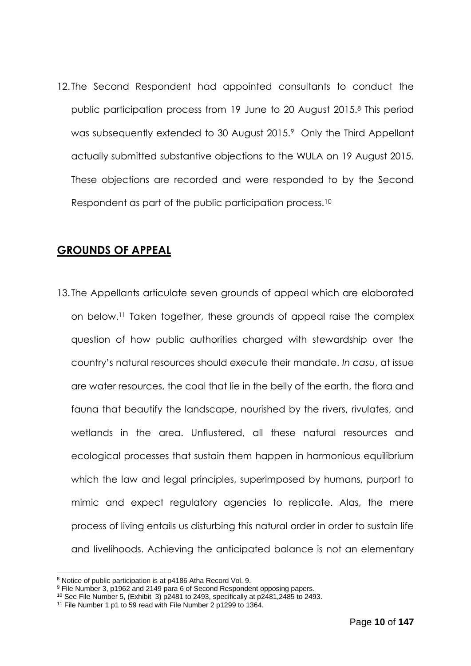12. The Second Respondent had appointed consultants to conduct the public participation process from 19 June to 20 August 2015.<sup>8</sup> This period was subsequently extended to 30 August 2015.9 Only the Third Appellant actually submitted substantive objections to the WULA on 19 August 2015. These objections are recorded and were responded to by the Second Respondent as part of the public participation process.<sup>10</sup>

### <span id="page-9-0"></span>**GROUNDS OF APPEAL**

13. The Appellants articulate seven grounds of appeal which are elaborated on below.<sup>11</sup> Taken together, these grounds of appeal raise the complex question of how public authorities charged with stewardship over the country's natural resources should execute their mandate. *In casu*, at issue are water resources, the coal that lie in the belly of the earth, the flora and fauna that beautify the landscape, nourished by the rivers, rivulates, and wetlands in the area. Unflustered, all these natural resources and ecological processes that sustain them happen in harmonious equilibrium which the law and legal principles, superimposed by humans, purport to mimic and expect regulatory agencies to replicate. Alas, the mere process of living entails us disturbing this natural order in order to sustain life and livelihoods. Achieving the anticipated balance is not an elementary

<sup>8</sup> Notice of public participation is at p4186 Atha Record Vol. 9.

<sup>9</sup> File Number 3, p1962 and 2149 para 6 of Second Respondent opposing papers.

 $10$  See File Number 5, (Exhibit 3) p2481 to 2493, specifically at p2481,2485 to 2493.

<sup>&</sup>lt;sup>11</sup> File Number 1 p1 to 59 read with File Number 2 p1299 to 1364.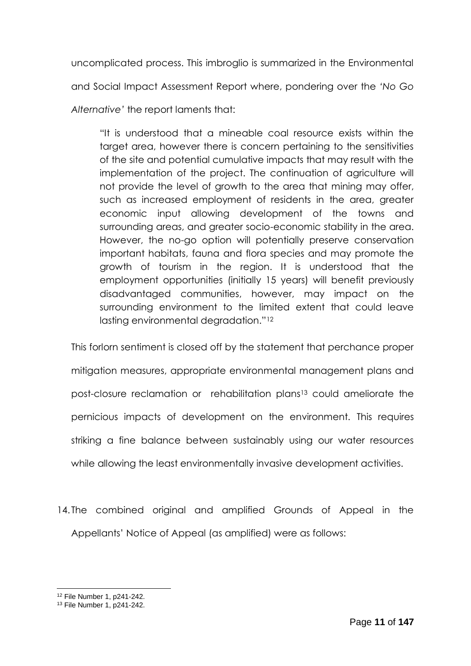uncomplicated process. This imbroglio is summarized in the Environmental and Social Impact Assessment Report where, pondering over the *'No Go Alternative'* the report laments that:

"It is understood that a mineable coal resource exists within the target area, however there is concern pertaining to the sensitivities of the site and potential cumulative impacts that may result with the implementation of the project. The continuation of agriculture will not provide the level of growth to the area that mining may offer, such as increased employment of residents in the area, greater economic input allowing development of the towns and surrounding areas, and greater socio-economic stability in the area. However, the no-go option will potentially preserve conservation important habitats, fauna and flora species and may promote the growth of tourism in the region. It is understood that the employment opportunities (initially 15 years) will benefit previously disadvantaged communities, however, may impact on the surrounding environment to the limited extent that could leave lasting environmental degradation."<sup>12</sup>

This forlorn sentiment is closed off by the statement that perchance proper mitigation measures, appropriate environmental management plans and post-closure reclamation or rehabilitation plans <sup>13</sup> could ameliorate the pernicious impacts of development on the environment. This requires striking a fine balance between sustainably using our water resources while allowing the least environmentally invasive development activities.

14. The combined original and amplified Grounds of Appeal in the Appellants' Notice of Appeal (as amplified) were as follows:

<sup>12</sup> File Number 1, p241-242.

<sup>13</sup> File Number 1, p241-242.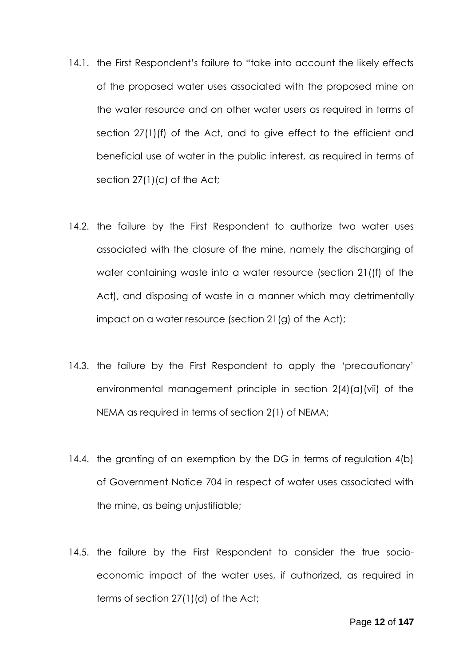- 14.1. the First Respondent's failure to "take into account the likely effects of the proposed water uses associated with the proposed mine on the water resource and on other water users as required in terms of section 27(1)(f) of the Act, and to give effect to the efficient and beneficial use of water in the public interest, as required in terms of section 27(1)(c) of the Act;
- 14.2. the failure by the First Respondent to authorize two water uses associated with the closure of the mine, namely the discharging of water containing waste into a water resource (section 21((f) of the Act), and disposing of waste in a manner which may detrimentally impact on a water resource (section 21(g) of the Act);
- 14.3. the failure by the First Respondent to apply the 'precautionary' environmental management principle in section 2(4)(a)(vii) of the NEMA as required in terms of section 2(1) of NEMA;
- 14.4. the granting of an exemption by the DG in terms of regulation 4(b) of Government Notice 704 in respect of water uses associated with the mine, as being unjustifiable;
- 14.5. the failure by the First Respondent to consider the true socioeconomic impact of the water uses, if authorized, as required in terms of section 27(1)(d) of the Act;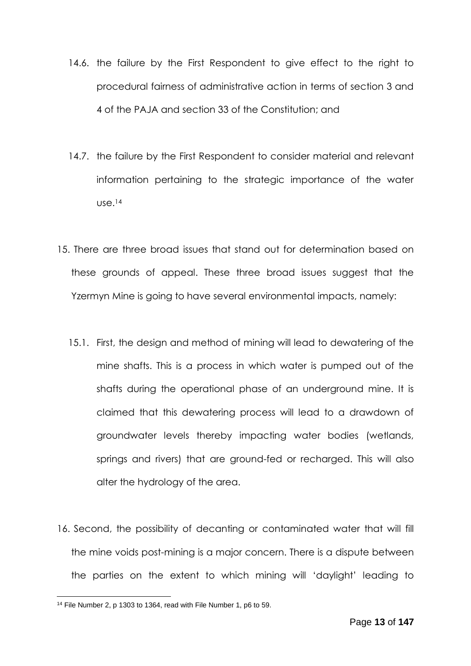- 14.6. the failure by the First Respondent to give effect to the right to procedural fairness of administrative action in terms of section 3 and 4 of the PAJA and section 33 of the Constitution; and
- 14.7. the failure by the First Respondent to consider material and relevant information pertaining to the strategic importance of the water use.<sup>14</sup>
- 15. There are three broad issues that stand out for determination based on these grounds of appeal. These three broad issues suggest that the Yzermyn Mine is going to have several environmental impacts, namely:
	- 15.1. First, the design and method of mining will lead to dewatering of the mine shafts. This is a process in which water is pumped out of the shafts during the operational phase of an underground mine. It is claimed that this dewatering process will lead to a drawdown of groundwater levels thereby impacting water bodies (wetlands, springs and rivers) that are ground-fed or recharged. This will also alter the hydrology of the area.
- 16. Second, the possibility of decanting or contaminated water that will fill the mine voids post-mining is a major concern. There is a dispute between the parties on the extent to which mining will 'daylight' leading to

 $14$  File Number 2, p 1303 to 1364, read with File Number 1, p6 to 59.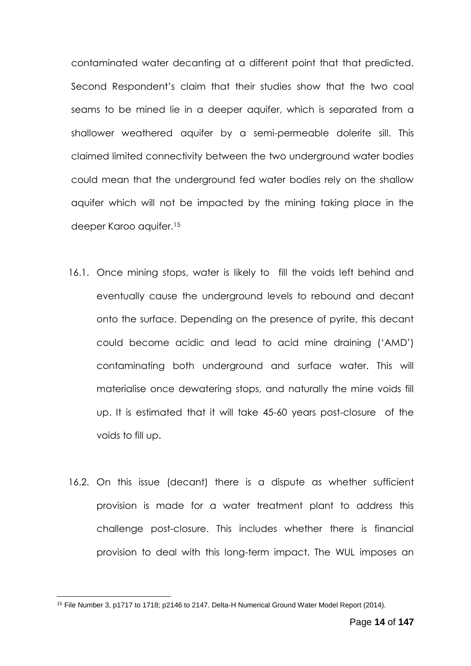contaminated water decanting at a different point that that predicted. Second Respondent's claim that their studies show that the two coal seams to be mined lie in a deeper aquifer, which is separated from a shallower weathered aquifer by a semi-permeable dolerite sill. This claimed limited connectivity between the two underground water bodies could mean that the underground fed water bodies rely on the shallow aquifer which will not be impacted by the mining taking place in the deeper Karoo aquifer. 15

- 16.1. Once mining stops, water is likely to fill the voids left behind and eventually cause the underground levels to rebound and decant onto the surface. Depending on the presence of pyrite, this decant could become acidic and lead to acid mine draining ('AMD') contaminating both underground and surface water. This will materialise once dewatering stops, and naturally the mine voids fill up. It is estimated that it will take 45-60 years post-closure of the voids to fill up.
- 16.2. On this issue (decant) there is a dispute as whether sufficient provision is made for a water treatment plant to address this challenge post-closure. This includes whether there is financial provision to deal with this long-term impact. The WUL imposes an

<sup>&</sup>lt;sup>15</sup> File Number 3, p1717 to 1718; p2146 to 2147. Delta-H Numerical Ground Water Model Report (2014).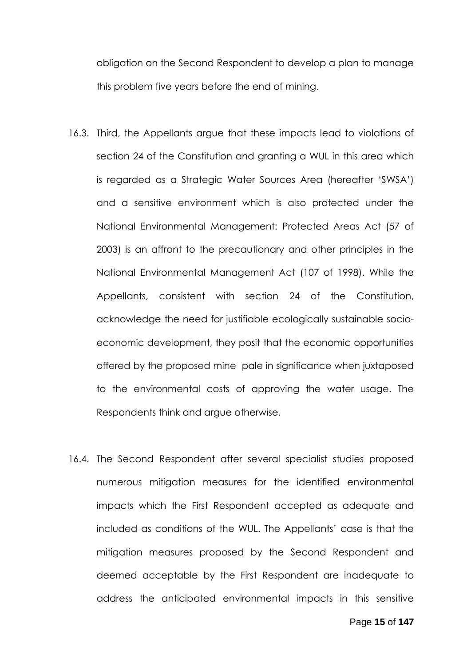obligation on the Second Respondent to develop a plan to manage this problem five years before the end of mining.

- 16.3. Third, the Appellants argue that these impacts lead to violations of section 24 of the Constitution and granting a WUL in this area which is regarded as a Strategic Water Sources Area (hereafter 'SWSA') and a sensitive environment which is also protected under the National Environmental Management: Protected Areas Act (57 of 2003) is an affront to the precautionary and other principles in the National Environmental Management Act (107 of 1998). While the Appellants, consistent with section 24 of the Constitution, acknowledge the need for justifiable ecologically sustainable socioeconomic development, they posit that the economic opportunities offered by the proposed mine pale in significance when juxtaposed to the environmental costs of approving the water usage. The Respondents think and argue otherwise.
- 16.4. The Second Respondent after several specialist studies proposed numerous mitigation measures for the identified environmental impacts which the First Respondent accepted as adequate and included as conditions of the WUL. The Appellants' case is that the mitigation measures proposed by the Second Respondent and deemed acceptable by the First Respondent are inadequate to address the anticipated environmental impacts in this sensitive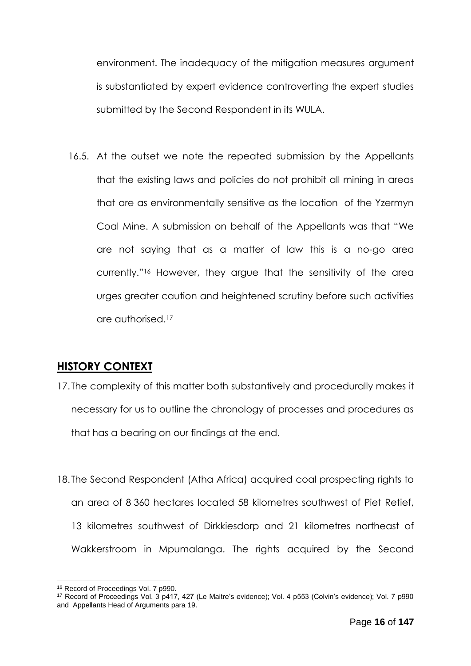environment. The inadequacy of the mitigation measures argument is substantiated by expert evidence controverting the expert studies submitted by the Second Respondent in its WULA.

16.5. At the outset we note the repeated submission by the Appellants that the existing laws and policies do not prohibit all mining in areas that are as environmentally sensitive as the location of the Yzermyn Coal Mine. A submission on behalf of the Appellants was that "We are not saying that as a matter of law this is a no-go area currently."<sup>16</sup> However, they argue that the sensitivity of the area urges greater caution and heightened scrutiny before such activities are authorised.<sup>17</sup>

## <span id="page-15-0"></span>**HISTORY CONTEXT**

- 17. The complexity of this matter both substantively and procedurally makes it necessary for us to outline the chronology of processes and procedures as that has a bearing on our findings at the end.
- 18. The Second Respondent (Atha Africa) acquired coal prospecting rights to an area of 8 360 hectares located 58 kilometres southwest of Piet Retief, 13 kilometres southwest of Dirkkiesdorp and 21 kilometres northeast of Wakkerstroom in Mpumalanga. The rights acquired by the Second

<sup>1</sup> <sup>16</sup> Record of Proceedings Vol. 7 p990.

<sup>17</sup> Record of Proceedings Vol. 3 p417, 427 (Le Maitre's evidence); Vol. 4 p553 (Colvin's evidence); Vol. 7 p990 and Appellants Head of Arguments para 19.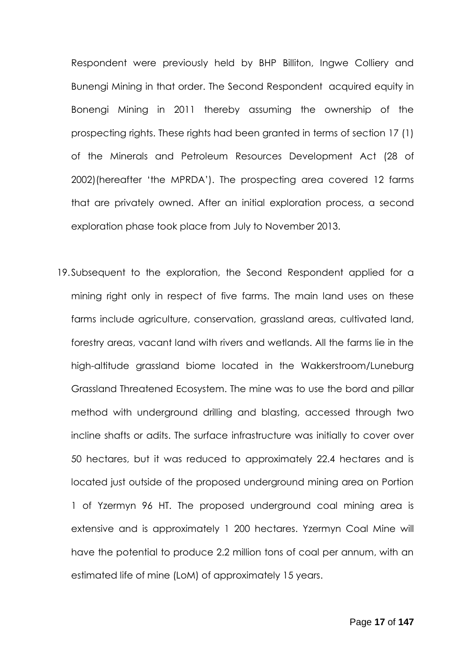Respondent were previously held by BHP Billiton, Ingwe Colliery and Bunengi Mining in that order. The Second Respondent acquired equity in Bonengi Mining in 2011 thereby assuming the ownership of the prospecting rights. These rights had been granted in terms of section 17 (1) of the Minerals and Petroleum Resources Development Act (28 of 2002)(hereafter 'the MPRDA'). The prospecting area covered 12 farms that are privately owned. After an initial exploration process, a second exploration phase took place from July to November 2013.

19.Subsequent to the exploration, the Second Respondent applied for a mining right only in respect of five farms. The main land uses on these farms include agriculture, conservation, grassland areas, cultivated land, forestry areas, vacant land with rivers and wetlands. All the farms lie in the high-altitude grassland biome located in the Wakkerstroom/Luneburg Grassland Threatened Ecosystem. The mine was to use the bord and pillar method with underground drilling and blasting, accessed through two incline shafts or adits. The surface infrastructure was initially to cover over 50 hectares, but it was reduced to approximately 22.4 hectares and is located just outside of the proposed underground mining area on Portion 1 of Yzermyn 96 HT. The proposed underground coal mining area is extensive and is approximately 1 200 hectares. Yzermyn Coal Mine will have the potential to produce 2.2 million tons of coal per annum, with an estimated life of mine (LoM) of approximately 15 years.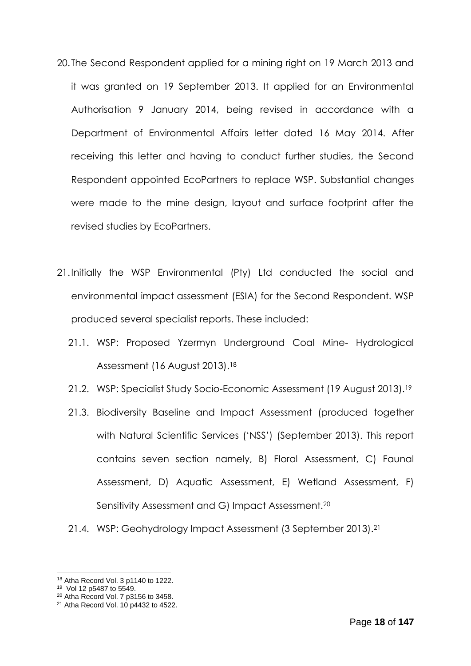- 20. The Second Respondent applied for a mining right on 19 March 2013 and it was granted on 19 September 2013. It applied for an Environmental Authorisation 9 January 2014, being revised in accordance with a Department of Environmental Affairs letter dated 16 May 2014. After receiving this letter and having to conduct further studies, the Second Respondent appointed EcoPartners to replace WSP. Substantial changes were made to the mine design, layout and surface footprint after the revised studies by EcoPartners.
- 21.Initially the WSP Environmental (Pty) Ltd conducted the social and environmental impact assessment (ESIA) for the Second Respondent. WSP produced several specialist reports. These included:
	- 21.1. WSP: Proposed Yzermyn Underground Coal Mine- Hydrological Assessment (16 August 2013).<sup>18</sup>
	- 21.2. WSP: Specialist Study Socio-Economic Assessment (19 August 2013).<sup>19</sup>
	- 21.3. Biodiversity Baseline and Impact Assessment (produced together with Natural Scientific Services ('NSS') (September 2013). This report contains seven section namely, B) Floral Assessment, C) Faunal Assessment, D) Aquatic Assessment, E) Wetland Assessment, F) Sensitivity Assessment and G) Impact Assessment.<sup>20</sup>
	- 21.4. WSP: Geohydrology Impact Assessment (3 September 2013).<sup>21</sup>

<sup>1</sup> 18 Atha Record Vol. 3 p1140 to 1222.

<sup>19</sup> Vol 12 p5487 to 5549.

<sup>20</sup> Atha Record Vol. 7 p3156 to 3458.

<sup>21</sup> Atha Record Vol. 10 p4432 to 4522.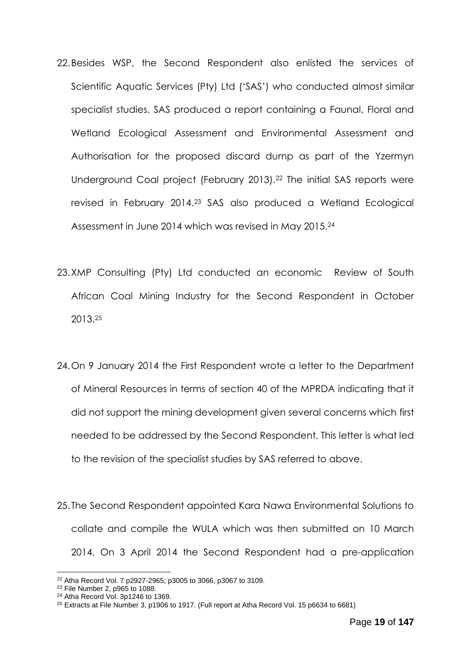- 22.Besides WSP, the Second Respondent also enlisted the services of Scientific Aquatic Services (Pty) Ltd ('SAS') who conducted almost similar specialist studies. SAS produced a report containing a Faunal, Floral and Wetland Ecological Assessment and Environmental Assessment and Authorisation for the proposed discard dump as part of the Yzermyn Underground Coal project (February 2013).<sup>22</sup> The initial SAS reports were revised in February 2014. <sup>23</sup> SAS also produced a Wetland Ecological Assessment in June 2014 which was revised in May 2015.<sup>24</sup>
- 23.XMP Consulting (Pty) Ltd conducted an economic Review of South African Coal Mining Industry for the Second Respondent in October 2013.<sup>25</sup>
- 24.On 9 January 2014 the First Respondent wrote a letter to the Department of Mineral Resources in terms of section 40 of the MPRDA indicating that it did not support the mining development given several concerns which first needed to be addressed by the Second Respondent. This letter is what led to the revision of the specialist studies by SAS referred to above.
- 25. The Second Respondent appointed Kara Nawa Environmental Solutions to collate and compile the WULA which was then submitted on 10 March 2014. On 3 April 2014 the Second Respondent had a pre-application

<sup>1</sup> <sup>22</sup> Atha Record Vol. 7 p2927-2965; p3005 to 3066, p3067 to 3109.

<sup>23</sup> File Number 2, p965 to 1088.

<sup>24</sup> Atha Record Vol. 3p1246 to 1369.

 $25$  Extracts at File Number 3, p1906 to 1917. (Full report at Atha Record Vol. 15 p6634 to 6681)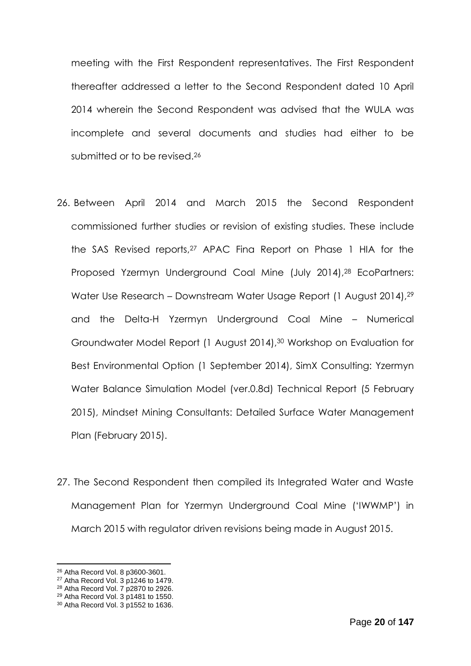meeting with the First Respondent representatives. The First Respondent thereafter addressed a letter to the Second Respondent dated 10 April 2014 wherein the Second Respondent was advised that the WULA was incomplete and several documents and studies had either to be submitted or to be revised.<sup>26</sup>

- 26. Between April 2014 and March 2015 the Second Respondent commissioned further studies or revision of existing studies. These include the SAS Revised reports,<sup>27</sup> APAC Fina Report on Phase 1 HIA for the Proposed Yzermyn Underground Coal Mine (July 2014), <sup>28</sup> EcoPartners: Water Use Research – Downstream Water Usage Report (1 August 2014), 29 and the Delta-H Yzermyn Underground Coal Mine – Numerical Groundwater Model Report (1 August 2014), <sup>30</sup> Workshop on Evaluation for Best Environmental Option (1 September 2014), SimX Consulting: Yzermyn Water Balance Simulation Model (ver.0.8d) Technical Report (5 February 2015), Mindset Mining Consultants: Detailed Surface Water Management Plan (February 2015).
- 27. The Second Respondent then compiled its Integrated Water and Waste Management Plan for Yzermyn Underground Coal Mine ('IWWMP') in March 2015 with regulator driven revisions being made in August 2015.

<sup>26</sup> Atha Record Vol. 8 p3600-3601.

<sup>27</sup> Atha Record Vol. 3 p1246 to 1479.

<sup>28</sup> Atha Record Vol. 7 p2870 to 2926.

<sup>29</sup> Atha Record Vol. 3 p1481 to 1550.

<sup>30</sup> Atha Record Vol. 3 p1552 to 1636.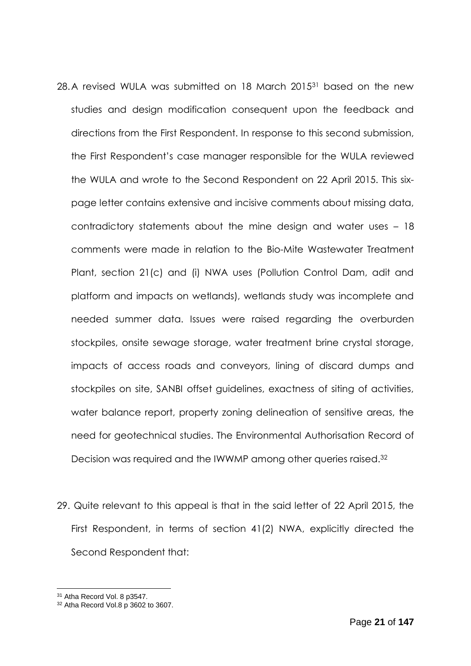- 28.A revised WULA was submitted on 18 March 2015<sup>31</sup> based on the new studies and design modification consequent upon the feedback and directions from the First Respondent. In response to this second submission, the First Respondent's case manager responsible for the WULA reviewed the WULA and wrote to the Second Respondent on 22 April 2015. This sixpage letter contains extensive and incisive comments about missing data, contradictory statements about the mine design and water uses – 18 comments were made in relation to the Bio-Mite Wastewater Treatment Plant, section 21(c) and (i) NWA uses (Pollution Control Dam, adit and platform and impacts on wetlands), wetlands study was incomplete and needed summer data. Issues were raised regarding the overburden stockpiles, onsite sewage storage, water treatment brine crystal storage, impacts of access roads and conveyors, lining of discard dumps and stockpiles on site, SANBI offset guidelines, exactness of siting of activities, water balance report, property zoning delineation of sensitive areas, the need for geotechnical studies. The Environmental Authorisation Record of Decision was required and the IWWMP among other queries raised.<sup>32</sup>
- 29. Quite relevant to this appeal is that in the said letter of 22 April 2015, the First Respondent, in terms of section 41(2) NWA, explicitly directed the Second Respondent that:

<sup>31</sup> Atha Record Vol. 8 p3547.

<sup>32</sup> Atha Record Vol.8 p 3602 to 3607.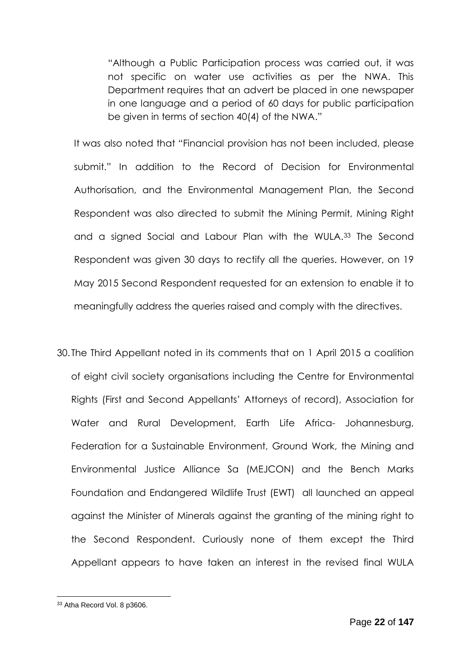"Although a Public Participation process was carried out, it was not specific on water use activities as per the NWA. This Department requires that an advert be placed in one newspaper in one language and a period of 60 days for public participation be given in terms of section 40(4) of the NWA."

It was also noted that "Financial provision has not been included, please submit." In addition to the Record of Decision for Environmental Authorisation, and the Environmental Management Plan, the Second Respondent was also directed to submit the Mining Permit, Mining Right and a signed Social and Labour Plan with the WULA.<sup>33</sup> The Second Respondent was given 30 days to rectify all the queries. However, on 19 May 2015 Second Respondent requested for an extension to enable it to meaningfully address the queries raised and comply with the directives.

30. The Third Appellant noted in its comments that on 1 April 2015 a coalition of eight civil society organisations including the Centre for Environmental Rights (First and Second Appellants' Attorneys of record), Association for Water and Rural Development, Earth Life Africa- Johannesburg, Federation for a Sustainable Environment, Ground Work, the Mining and Environmental Justice Alliance Sa (MEJCON) and the Bench Marks Foundation and Endangered Wildlife Trust (EWT) all launched an appeal against the Minister of Minerals against the granting of the mining right to the Second Respondent. Curiously none of them except the Third Appellant appears to have taken an interest in the revised final WULA

<sup>33</sup> Atha Record Vol. 8 p3606.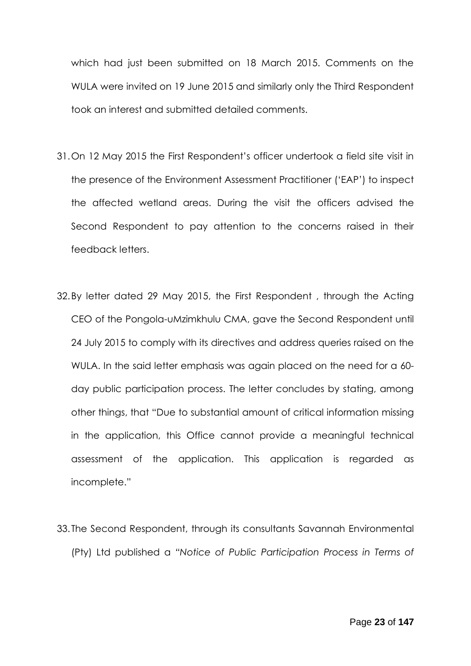which had just been submitted on 18 March 2015. Comments on the WULA were invited on 19 June 2015 and similarly only the Third Respondent took an interest and submitted detailed comments.

- 31.On 12 May 2015 the First Respondent's officer undertook a field site visit in the presence of the Environment Assessment Practitioner ('EAP') to inspect the affected wetland areas. During the visit the officers advised the Second Respondent to pay attention to the concerns raised in their feedback letters.
- 32.By letter dated 29 May 2015, the First Respondent , through the Acting CEO of the Pongola-uMzimkhulu CMA, gave the Second Respondent until 24 July 2015 to comply with its directives and address queries raised on the WULA. In the said letter emphasis was again placed on the need for a 60 day public participation process. The letter concludes by stating, among other things, that "Due to substantial amount of critical information missing in the application, this Office cannot provide a meaningful technical assessment of the application. This application is regarded as incomplete."
- 33. The Second Respondent, through its consultants Savannah Environmental (Pty) Ltd published a *"Notice of Public Participation Process in Terms of*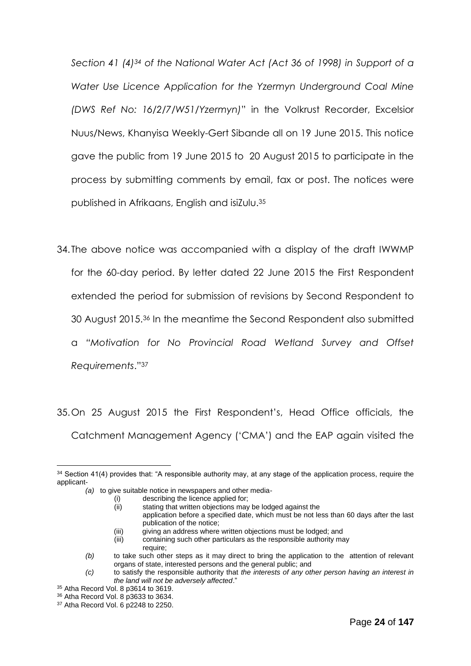*Section 41 (4)<sup>34</sup> of the National Water Act (Act 36 of 1998) in Support of a Water Use Licence Application for the Yzermyn Underground Coal Mine (DWS Ref No: 16/2/7/W51/Yzermyn)*" in the Volkrust Recorder, Excelsior Nuus/News, Khanyisa Weekly-Gert Sibande all on 19 June 2015. This notice gave the public from 19 June 2015 to 20 August 2015 to participate in the process by submitting comments by email, fax or post. The notices were published in Afrikaans, English and isiZulu.<sup>35</sup>

34. The above notice was accompanied with a display of the draft IWWMP for the 60-day period. By letter dated 22 June 2015 the First Respondent extended the period for submission of revisions by Second Respondent to 30 August 2015.<sup>36</sup> In the meantime the Second Respondent also submitted a *"Motivation for No Provincial Road Wetland Survey and Offset Requirements*." 37

35.On 25 August 2015 the First Respondent's, Head Office officials, the Catchment Management Agency ('CMA') and the EAP again visited the

<sup>&</sup>lt;sup>34</sup> Section 41(4) provides that: "A responsible authority may, at any stage of the application process, require the applicant-

*(a)* to give suitable notice in newspapers and other media-

<sup>(</sup>i) describing the licence applied for;<br>(ii) stating that written objections may

stating that written objections may be lodged against the

application before a specified date, which must be not less than 60 days after the last publication of the notice;

 <sup>(</sup>iii) giving an address where written objections must be lodged; and

<sup>(</sup>iii) containing such other particulars as the responsible authority may require;

*<sup>(</sup>b)* to take such other steps as it may direct to bring the application to the attention of relevant organs of state, interested persons and the general public; and

*<sup>(</sup>c)* to satisfy the responsible authority that *the interests of any other person having an interest in the land will not be adversely affected*."

<sup>35</sup> Atha Record Vol. 8 p3614 to 3619.

<sup>36</sup> Atha Record Vol. 8 p3633 to 3634.

<sup>37</sup> Atha Record Vol. 6 p2248 to 2250.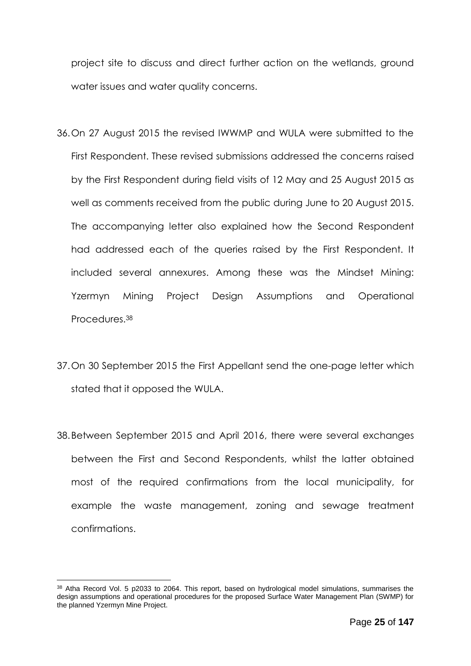project site to discuss and direct further action on the wetlands, ground water issues and water quality concerns.

- 36.On 27 August 2015 the revised IWWMP and WULA were submitted to the First Respondent. These revised submissions addressed the concerns raised by the First Respondent during field visits of 12 May and 25 August 2015 as well as comments received from the public during June to 20 August 2015. The accompanying letter also explained how the Second Respondent had addressed each of the queries raised by the First Respondent. It included several annexures. Among these was the Mindset Mining: Yzermyn Mining Project Design Assumptions and Operational Procedures.<sup>38</sup>
- 37.On 30 September 2015 the First Appellant send the one-page letter which stated that it opposed the WULA.
- 38.Between September 2015 and April 2016, there were several exchanges between the First and Second Respondents, whilst the latter obtained most of the required confirmations from the local municipality, for example the waste management, zoning and sewage treatment confirmations.

<sup>38</sup> Atha Record Vol. 5 p2033 to 2064. This report, based on hydrological model simulations, summarises the design assumptions and operational procedures for the proposed Surface Water Management Plan (SWMP) for the planned Yzermyn Mine Project.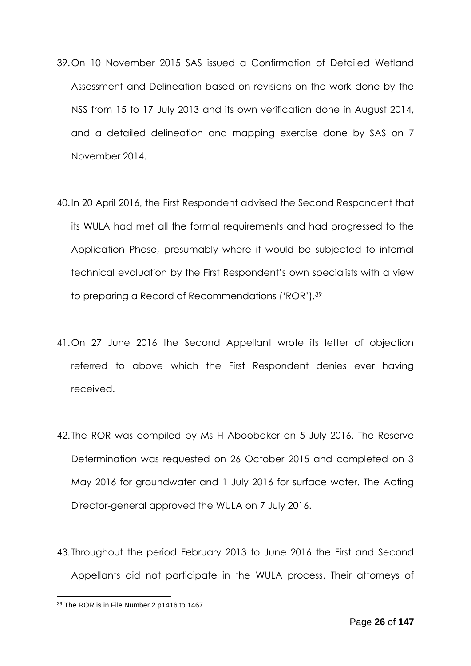- 39.On 10 November 2015 SAS issued a Confirmation of Detailed Wetland Assessment and Delineation based on revisions on the work done by the NSS from 15 to 17 July 2013 and its own verification done in August 2014, and a detailed delineation and mapping exercise done by SAS on 7 November 2014.
- 40.In 20 April 2016, the First Respondent advised the Second Respondent that its WULA had met all the formal requirements and had progressed to the Application Phase, presumably where it would be subjected to internal technical evaluation by the First Respondent's own specialists with a view to preparing a Record of Recommendations ('ROR').<sup>39</sup>
- 41.On 27 June 2016 the Second Appellant wrote its letter of objection referred to above which the First Respondent denies ever having received.
- 42. The ROR was compiled by Ms H Aboobaker on 5 July 2016. The Reserve Determination was requested on 26 October 2015 and completed on 3 May 2016 for groundwater and 1 July 2016 for surface water. The Acting Director-general approved the WULA on 7 July 2016.
- 43. Throughout the period February 2013 to June 2016 the First and Second Appellants did not participate in the WULA process. Their attorneys of

<sup>1</sup> <sup>39</sup> The ROR is in File Number 2 p1416 to 1467.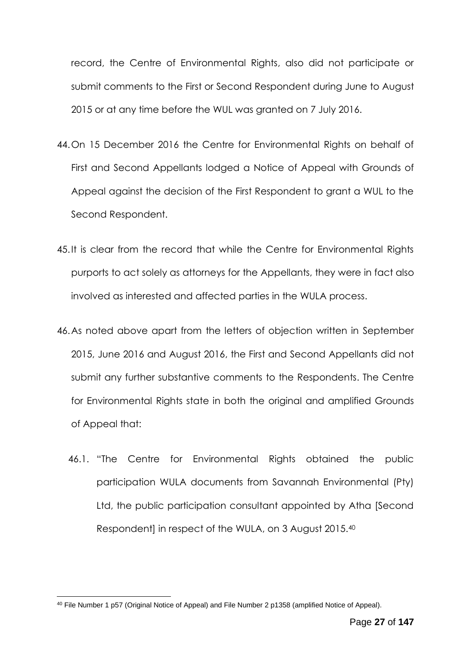record, the Centre of Environmental Rights, also did not participate or submit comments to the First or Second Respondent during June to August 2015 or at any time before the WUL was granted on 7 July 2016.

- 44.On 15 December 2016 the Centre for Environmental Rights on behalf of First and Second Appellants lodged a Notice of Appeal with Grounds of Appeal against the decision of the First Respondent to grant a WUL to the Second Respondent.
- 45.It is clear from the record that while the Centre for Environmental Rights purports to act solely as attorneys for the Appellants, they were in fact also involved as interested and affected parties in the WULA process.
- 46.As noted above apart from the letters of objection written in September 2015, June 2016 and August 2016, the First and Second Appellants did not submit any further substantive comments to the Respondents. The Centre for Environmental Rights state in both the original and amplified Grounds of Appeal that:
	- 46.1. "The Centre for Environmental Rights obtained the public participation WULA documents from Savannah Environmental (Pty) Ltd, the public participation consultant appointed by Atha [Second Respondent] in respect of the WULA, on 3 August 2015.<sup>40</sup>

 $40$  File Number 1 p57 (Original Notice of Appeal) and File Number 2 p1358 (amplified Notice of Appeal).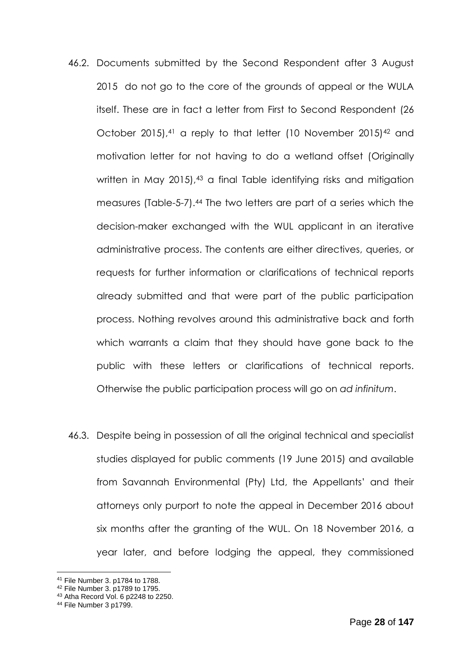- 46.2. Documents submitted by the Second Respondent after 3 August 2015 do not go to the core of the grounds of appeal or the WULA itself. These are in fact a letter from First to Second Respondent (26 October 2015),<sup>41</sup> a reply to that letter (10 November 2015)<sup>42</sup> and motivation letter for not having to do a wetland offset (Originally written in May 2015),<sup>43</sup> a final Table identifying risks and mitigation measures (Table-5-7).<sup>44</sup> The two letters are part of a series which the decision-maker exchanged with the WUL applicant in an iterative administrative process. The contents are either directives, queries, or requests for further information or clarifications of technical reports already submitted and that were part of the public participation process. Nothing revolves around this administrative back and forth which warrants a claim that they should have gone back to the public with these letters or clarifications of technical reports. Otherwise the public participation process will go on *ad infinitum*.
- 46.3. Despite being in possession of all the original technical and specialist studies displayed for public comments (19 June 2015) and available from Savannah Environmental (Pty) Ltd, the Appellants' and their attorneys only purport to note the appeal in December 2016 about six months after the granting of the WUL. On 18 November 2016, a year later, and before lodging the appeal, they commissioned

<sup>41</sup> File Number 3. p1784 to 1788.

<sup>42</sup> File Number 3. p1789 to 1795.

<sup>43</sup> Atha Record Vol. 6 p2248 to 2250.

<sup>44</sup> File Number 3 p1799.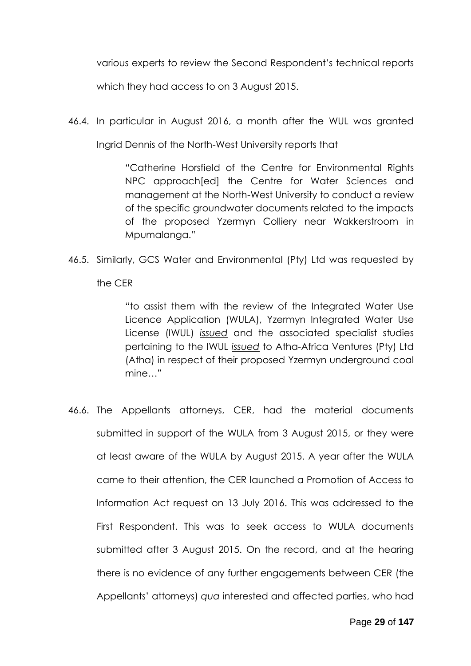various experts to review the Second Respondent's technical reports

which they had access to on 3 August 2015.

46.4. In particular in August 2016, a month after the WUL was granted

Ingrid Dennis of the North-West University reports that

"Catherine Horsfield of the Centre for Environmental Rights NPC approach[ed] the Centre for Water Sciences and management at the North-West University to conduct a review of the specific groundwater documents related to the impacts of the proposed Yzermyn Colliery near Wakkerstroom in Mpumalanga."

46.5. Similarly, GCS Water and Environmental (Pty) Ltd was requested by the CER

> "to assist them with the review of the Integrated Water Use Licence Application (WULA), Yzermyn Integrated Water Use License (IWUL) *issued* and the associated specialist studies pertaining to the IWUL *issued* to Atha-Africa Ventures (Pty) Ltd (Atha) in respect of their proposed Yzermyn underground coal mine…"

46.6. The Appellants attorneys, CER, had the material documents submitted in support of the WULA from 3 August 2015, or they were at least aware of the WULA by August 2015. A year after the WULA came to their attention, the CER launched a Promotion of Access to Information Act request on 13 July 2016. This was addressed to the First Respondent. This was to seek access to WULA documents submitted after 3 August 2015. On the record, and at the hearing there is no evidence of any further engagements between CER (the Appellants' attorneys) *qua* interested and affected parties, who had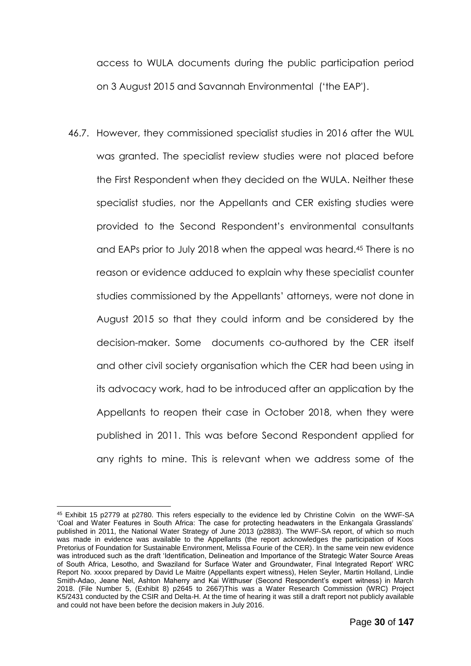access to WULA documents during the public participation period on 3 August 2015 and Savannah Environmental ('the EAP').

46.7. However, they commissioned specialist studies in 2016 after the WUL was granted. The specialist review studies were not placed before the First Respondent when they decided on the WULA. Neither these specialist studies, nor the Appellants and CER existing studies were provided to the Second Respondent's environmental consultants and EAPs prior to July 2018 when the appeal was heard.<sup>45</sup> There is no reason or evidence adduced to explain why these specialist counter studies commissioned by the Appellants' attorneys, were not done in August 2015 so that they could inform and be considered by the decision-maker. Some documents co-authored by the CER itself and other civil society organisation which the CER had been using in its advocacy work, had to be introduced after an application by the Appellants to reopen their case in October 2018, when they were published in 2011. This was before Second Respondent applied for any rights to mine. This is relevant when we address some of the

<sup>45</sup> Exhibit 15 p2779 at p2780. This refers especially to the evidence led by Christine Colvin on the WWF-SA 'Coal and Water Features in South Africa: The case for protecting headwaters in the Enkangala Grasslands' published in 2011, the National Water Strategy of June 2013 (p2883). The WWF-SA report, of which so much was made in evidence was available to the Appellants (the report acknowledges the participation of Koos Pretorius of Foundation for Sustainable Environment, Melissa Fourie of the CER). In the same vein new evidence was introduced such as the draft 'Identification, Delineation and Importance of the Strategic Water Source Areas of South Africa, Lesotho, and Swaziland for Surface Water and Groundwater, Final Integrated Report' WRC Report No. xxxxx prepared by David Le Maitre (Appellants expert witness), Helen Seyler, Martin Holland, Lindie Smith-Adao, Jeane Nel, Ashton Maherry and Kai Witthuser (Second Respondent's expert witness) in March 2018. (File Number 5, (Exhibit 8) p2645 to 2667)This was a Water Research Commission (WRC) Project K5/2431 conducted by the CSIR and Delta-H. At the time of hearing it was still a draft report not publicly available and could not have been before the decision makers in July 2016.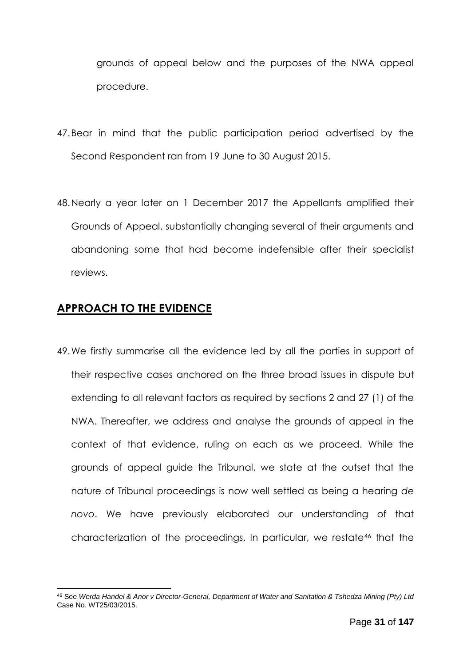grounds of appeal below and the purposes of the NWA appeal procedure.

- 47.Bear in mind that the public participation period advertised by the Second Respondent ran from 19 June to 30 August 2015.
- 48.Nearly a year later on 1 December 2017 the Appellants amplified their Grounds of Appeal, substantially changing several of their arguments and abandoning some that had become indefensible after their specialist reviews.

## <span id="page-30-0"></span>**APPROACH TO THE EVIDENCE**

49.We firstly summarise all the evidence led by all the parties in support of their respective cases anchored on the three broad issues in dispute but extending to all relevant factors as required by sections 2 and 27 (1) of the NWA. Thereafter, we address and analyse the grounds of appeal in the context of that evidence, ruling on each as we proceed. While the grounds of appeal guide the Tribunal, we state at the outset that the nature of Tribunal proceedings is now well settled as being a hearing *de novo*. We have previously elaborated our understanding of that characterization of the proceedings. In particular, we restate<sup>46</sup> that the

<sup>&</sup>lt;u>.</u> <sup>46</sup> See *Werda Handel & Anor v Director-General, Department of Water and Sanitation & Tshedza Mining (Pty) Ltd* Case No. WT25/03/2015.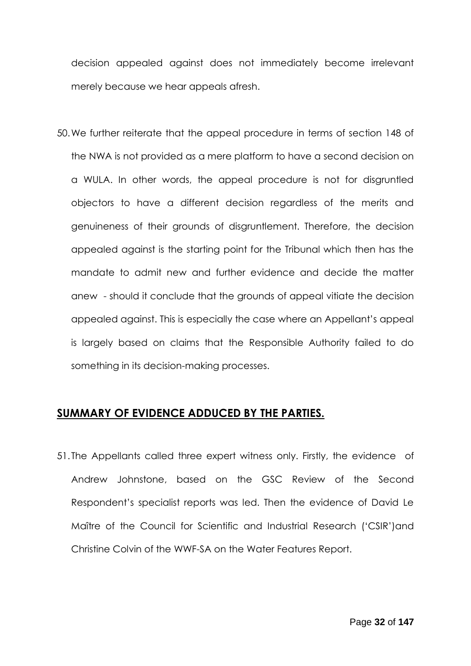decision appealed against does not immediately become irrelevant merely because we hear appeals afresh.

50.We further reiterate that the appeal procedure in terms of section 148 of the NWA is not provided as a mere platform to have a second decision on a WULA. In other words, the appeal procedure is not for disgruntled objectors to have a different decision regardless of the merits and genuineness of their grounds of disgruntlement. Therefore, the decision appealed against is the starting point for the Tribunal which then has the mandate to admit new and further evidence and decide the matter anew - should it conclude that the grounds of appeal vitiate the decision appealed against. This is especially the case where an Appellant's appeal is largely based on claims that the Responsible Authority failed to do something in its decision-making processes.

#### <span id="page-31-0"></span>**SUMMARY OF EVIDENCE ADDUCED BY THE PARTIES.**

51. The Appellants called three expert witness only. Firstly, the evidence of Andrew Johnstone, based on the GSC Review of the Second Respondent's specialist reports was led. Then the evidence of David Le Maître of the Council for Scientific and Industrial Research ('CSIR')and Christine Colvin of the WWF-SA on the Water Features Report.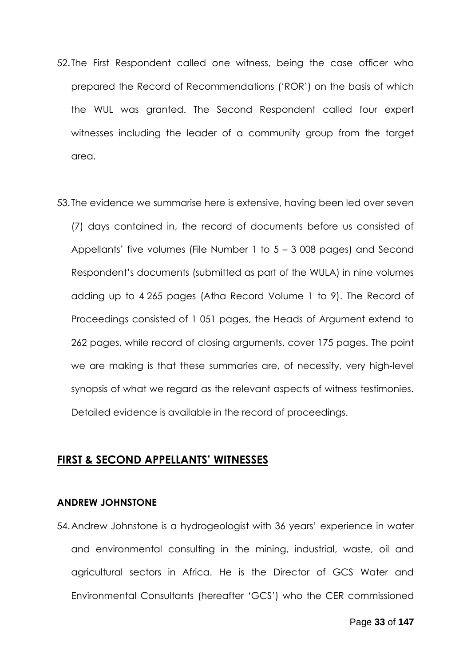- 52. The First Respondent called one witness, being the case officer who prepared the Record of Recommendations ('ROR') on the basis of which the WUL was granted. The Second Respondent called four expert witnesses including the leader of a community group from the target area.
- 53. The evidence we summarise here is extensive, having been led over seven (7) days contained in, the record of documents before us consisted of Appellants' five volumes (File Number 1 to 5 – 3 008 pages) and Second Respondent's documents (submitted as part of the WULA) in nine volumes adding up to 4 265 pages (Atha Record Volume 1 to 9). The Record of Proceedings consisted of 1 051 pages, the Heads of Argument extend to 262 pages, while record of closing arguments, cover 175 pages. The point we are making is that these summaries are, of necessity, very high-level synopsis of what we regard as the relevant aspects of witness testimonies. Detailed evidence is available in the record of proceedings.

#### <span id="page-32-0"></span>**FIRST & SECOND APPELLANTS' WITNESSES**

#### <span id="page-32-1"></span>**ANDREW JOHNSTONE**

54.Andrew Johnstone is a hydrogeologist with 36 years' experience in water and environmental consulting in the mining, industrial, waste, oil and agricultural sectors in Africa. He is the Director of GCS Water and Environmental Consultants (hereafter 'GCS') who the CER commissioned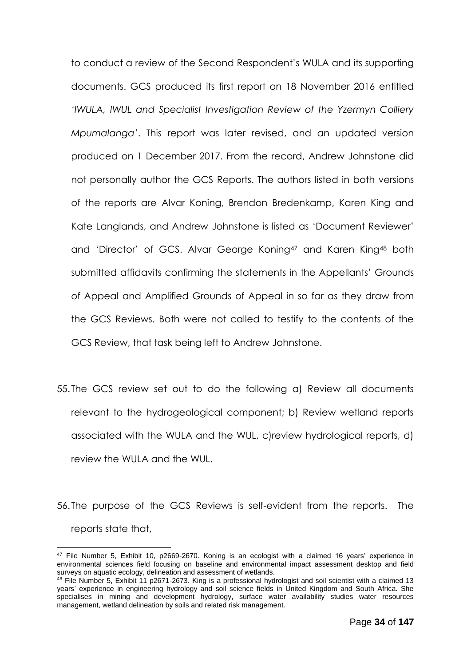to conduct a review of the Second Respondent's WULA and its supporting documents. GCS produced its first report on 18 November 2016 entitled *'IWULA, IWUL and Specialist Investigation Review of the Yzermyn Colliery Mpumalanga'*. This report was later revised, and an updated version produced on 1 December 2017. From the record, Andrew Johnstone did not personally author the GCS Reports. The authors listed in both versions of the reports are Alvar Koning, Brendon Bredenkamp, Karen King and Kate Langlands, and Andrew Johnstone is listed as 'Document Reviewer' and 'Director' of GCS. Alvar George Koning<sup>47</sup> and Karen King<sup>48</sup> both submitted affidavits confirming the statements in the Appellants' Grounds of Appeal and Amplified Grounds of Appeal in so far as they draw from the GCS Reviews. Both were not called to testify to the contents of the GCS Review, that task being left to Andrew Johnstone.

- 55. The GCS review set out to do the following a) Review all documents relevant to the hydrogeological component; b) Review wetland reports associated with the WULA and the WUL, c)review hydrological reports, d) review the WULA and the WUL.
- 56. The purpose of the GCS Reviews is self-evident from the reports. The reports state that,

<sup>47</sup> File Number 5, Exhibit 10, p2669-2670. Koning is an ecologist with a claimed 16 years' experience in environmental sciences field focusing on baseline and environmental impact assessment desktop and field surveys on aquatic ecology, delineation and assessment of wetlands.

<sup>48</sup> File Number 5, Exhibit 11 p2671-2673. King is a professional hydrologist and soil scientist with a claimed 13 years' experience in engineering hydrology and soil science fields in United Kingdom and South Africa. She specialises in mining and development hydrology, surface water availability studies water resources management, wetland delineation by soils and related risk management.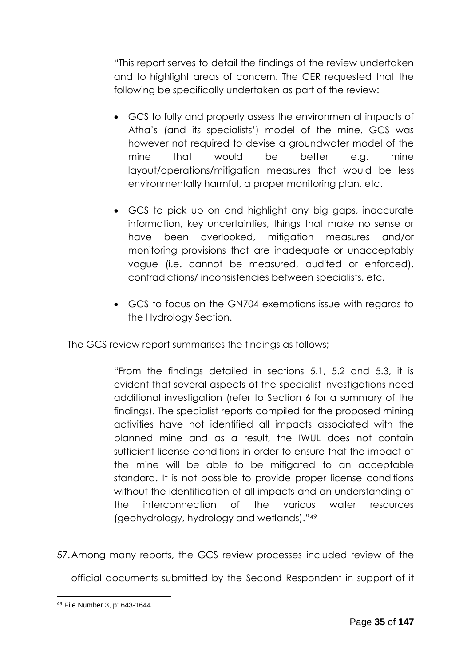"This report serves to detail the findings of the review undertaken and to highlight areas of concern. The CER requested that the following be specifically undertaken as part of the review:

- GCS to fully and properly assess the environmental impacts of Atha's (and its specialists') model of the mine. GCS was however not required to devise a groundwater model of the mine that would be better e.g. mine layout/operations/mitigation measures that would be less environmentally harmful, a proper monitoring plan, etc.
- GCS to pick up on and highlight any big gaps, inaccurate information, key uncertainties, things that make no sense or have been overlooked, mitigation measures and/or monitoring provisions that are inadequate or unacceptably vague (i.e. cannot be measured, audited or enforced), contradictions/ inconsistencies between specialists, etc.
- GCS to focus on the GN704 exemptions issue with regards to the Hydrology Section.

The GCS review report summarises the findings as follows;

"From the findings detailed in sections 5.1, 5.2 and 5.3, it is evident that several aspects of the specialist investigations need additional investigation (refer to Section 6 for a summary of the findings). The specialist reports compiled for the proposed mining activities have not identified all impacts associated with the planned mine and as a result, the IWUL does not contain sufficient license conditions in order to ensure that the impact of the mine will be able to be mitigated to an acceptable standard. It is not possible to provide proper license conditions without the identification of all impacts and an understanding of the interconnection of the various water resources (geohydrology, hydrology and wetlands)."<sup>49</sup>

57.Among many reports, the GCS review processes included review of the

official documents submitted by the Second Respondent in support of it

<sup>1</sup> <sup>49</sup> File Number 3, p1643-1644.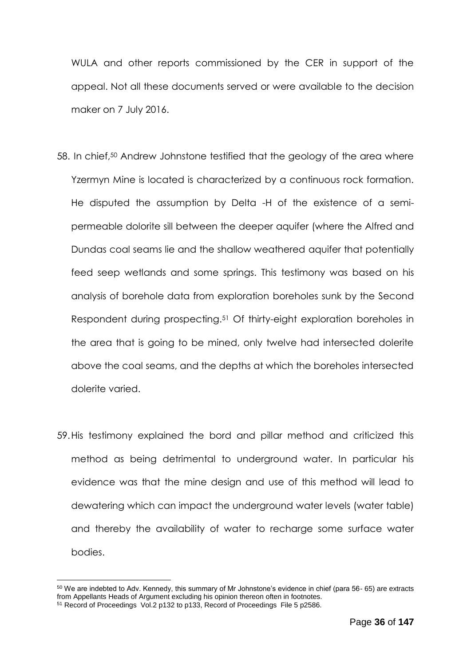WULA and other reports commissioned by the CER in support of the appeal. Not all these documents served or were available to the decision maker on 7 July 2016.

- 58. In chief,<sup>50</sup> Andrew Johnstone testified that the geology of the area where Yzermyn Mine is located is characterized by a continuous rock formation. He disputed the assumption by Delta -H of the existence of a semipermeable dolorite sill between the deeper aquifer (where the Alfred and Dundas coal seams lie and the shallow weathered aquifer that potentially feed seep wetlands and some springs. This testimony was based on his analysis of borehole data from exploration boreholes sunk by the Second Respondent during prospecting.<sup>51</sup> Of thirty-eight exploration boreholes in the area that is going to be mined, only twelve had intersected dolerite above the coal seams, and the depths at which the boreholes intersected dolerite varied.
- 59.His testimony explained the bord and pillar method and criticized this method as being detrimental to underground water. In particular his evidence was that the mine design and use of this method will lead to dewatering which can impact the underground water levels (water table) and thereby the availability of water to recharge some surface water bodies.

<sup>50</sup> We are indebted to Adv. Kennedy, this summary of Mr Johnstone's evidence in chief (para 56- 65) are extracts from Appellants Heads of Argument excluding his opinion thereon often in footnotes.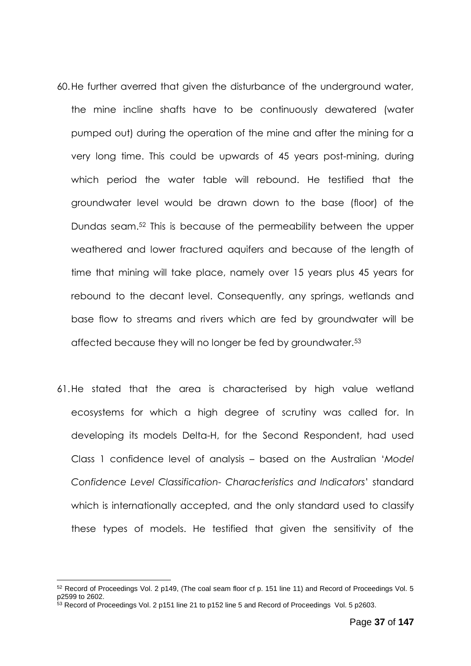- 60.He further averred that given the disturbance of the underground water, the mine incline shafts have to be continuously dewatered (water pumped out) during the operation of the mine and after the mining for a very long time. This could be upwards of 45 years post-mining, during which period the water table will rebound. He testified that the groundwater level would be drawn down to the base (floor) of the Dundas seam.<sup>52</sup> This is because of the permeability between the upper weathered and lower fractured aquifers and because of the length of time that mining will take place, namely over 15 years plus 45 years for rebound to the decant level. Consequently, any springs, wetlands and base flow to streams and rivers which are fed by groundwater will be affected because they will no longer be fed by groundwater.<sup>53</sup>
- 61.He stated that the area is characterised by high value wetland ecosystems for which a high degree of scrutiny was called for. In developing its models Delta-H, for the Second Respondent, had used Class 1 confidence level of analysis – based on the Australian '*Model Confidence Level Classification- Characteristics and Indicators*' standard which is internationally accepted, and the only standard used to classify these types of models. He testified that given the sensitivity of the

<sup>52</sup> Record of Proceedings Vol. 2 p149, (The coal seam floor cf p. 151 line 11) and Record of Proceedings Vol. 5 p2599 to 2602.

<sup>53</sup> Record of Proceedings Vol. 2 p151 line 21 to p152 line 5 and Record of Proceedings Vol. 5 p2603.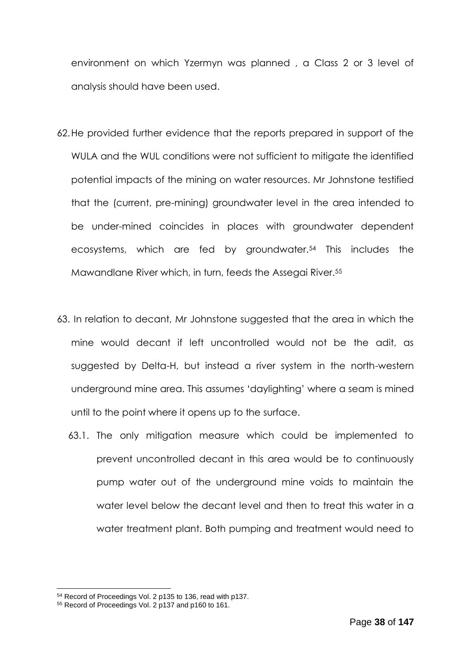environment on which Yzermyn was planned , a Class 2 or 3 level of analysis should have been used.

- 62.He provided further evidence that the reports prepared in support of the WULA and the WUL conditions were not sufficient to mitigate the identified potential impacts of the mining on water resources. Mr Johnstone testified that the (current, pre-mining) groundwater level in the area intended to be under-mined coincides in places with groundwater dependent ecosystems, which are fed by groundwater.<sup>54</sup> This includes the Mawandlane River which, in turn, feeds the Assegai River.<sup>55</sup>
- 63. In relation to decant, Mr Johnstone suggested that the area in which the mine would decant if left uncontrolled would not be the adit, as suggested by Delta-H, but instead a river system in the north-western underground mine area. This assumes 'daylighting' where a seam is mined until to the point where it opens up to the surface.
	- 63.1. The only mitigation measure which could be implemented to prevent uncontrolled decant in this area would be to continuously pump water out of the underground mine voids to maintain the water level below the decant level and then to treat this water in a water treatment plant. Both pumping and treatment would need to

<sup>54</sup> Record of Proceedings Vol. 2 p135 to 136, read with p137.

<sup>55</sup> Record of Proceedings Vol. 2 p137 and p160 to 161.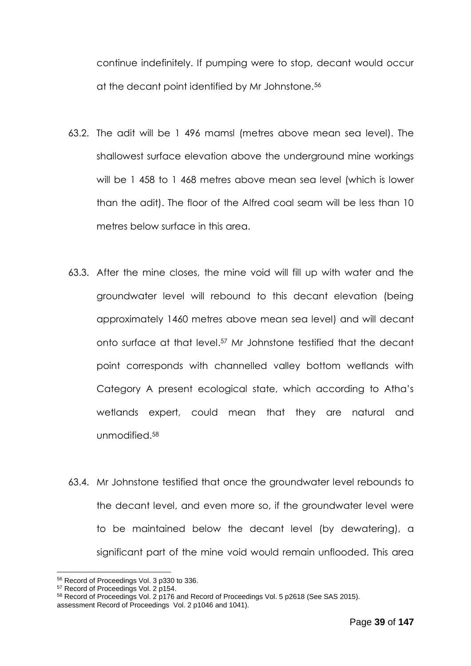continue indefinitely. If pumping were to stop, decant would occur at the decant point identified by Mr Johnstone.<sup>56</sup>

- 63.2. The adit will be 1 496 mamsl (metres above mean sea level). The shallowest surface elevation above the underground mine workings will be 1 458 to 1 468 metres above mean sea level (which is lower than the adit). The floor of the Alfred coal seam will be less than 10 metres below surface in this area.
- 63.3. After the mine closes, the mine void will fill up with water and the groundwater level will rebound to this decant elevation (being approximately 1460 metres above mean sea level) and will decant onto surface at that level. <sup>57</sup> Mr Johnstone testified that the decant point corresponds with channelled valley bottom wetlands with Category A present ecological state, which according to Atha's wetlands expert, could mean that they are natural and unmodified.<sup>58</sup>
- 63.4. Mr Johnstone testified that once the groundwater level rebounds to the decant level, and even more so, if the groundwater level were to be maintained below the decant level (by dewatering), a significant part of the mine void would remain unflooded. This area

<sup>56</sup> Record of Proceedings Vol. 3 p330 to 336.

<sup>57</sup> Record of Proceedings Vol. 2 p154.

<sup>58</sup> Record of Proceedings Vol. 2 p176 and Record of Proceedings Vol. 5 p2618 (See SAS 2015).

assessment Record of Proceedings Vol. 2 p1046 and 1041).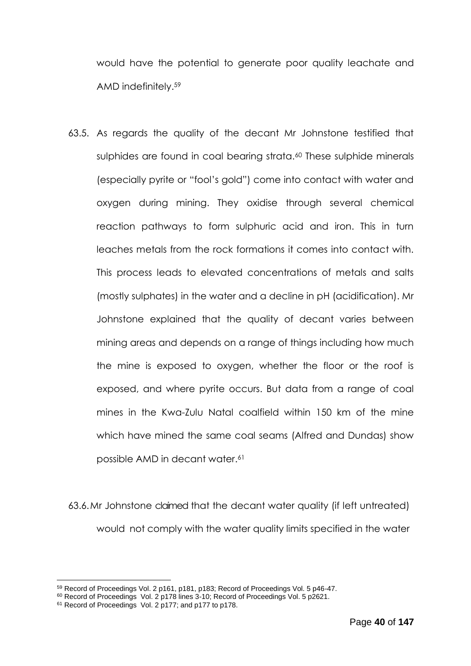would have the potential to generate poor quality leachate and AMD indefinitely.<sup>59</sup>

63.5. As regards the quality of the decant Mr Johnstone testified that sulphides are found in coal bearing strata.<sup>60</sup> These sulphide minerals (especially pyrite or "fool's gold") come into contact with water and oxygen during mining. They oxidise through several chemical reaction pathways to form sulphuric acid and iron. This in turn leaches metals from the rock formations it comes into contact with. This process leads to elevated concentrations of metals and salts (mostly sulphates) in the water and a decline in pH (acidification). Mr Johnstone explained that the quality of decant varies between mining areas and depends on a range of things including how much the mine is exposed to oxygen, whether the floor or the roof is exposed, and where pyrite occurs. But data from a range of coal mines in the Kwa-Zulu Natal coalfield within 150 km of the mine which have mined the same coal seams (Alfred and Dundas) show possible AMD in decant water. 61

63.6.Mr Johnstone claimed that the decant water quality (if left untreated) would not comply with the water quality limits specified in the water

<sup>59</sup> Record of Proceedings Vol. 2 p161, p181, p183; Record of Proceedings Vol. 5 p46-47.

<sup>&</sup>lt;sup>60</sup> Record of Proceedings Vol. 2 p178 lines 3-10; Record of Proceedings Vol. 5 p2621.

<sup>&</sup>lt;sup>61</sup> Record of Proceedings Vol. 2 p177; and p177 to p178.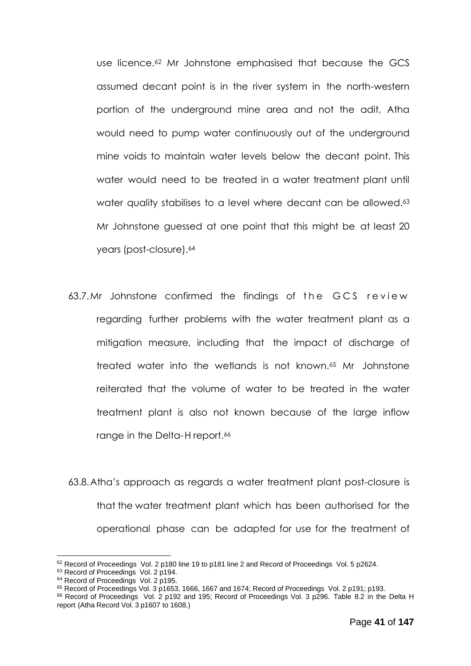use licence.<sup>62</sup> Mr Johnstone emphasised that because the GCS assumed decant point is in the river system in the north-western portion of the underground mine area and not the adit, Atha would need to pump water continuously out of the underground mine voids to maintain water levels below the decant point. This water would need to be treated in a water treatment plant until water quality stabilises to a level where decant can be allowed.<sup>63</sup> Mr Johnstone guessed at one point that this might be at least 20 years (post-closure). 64

- 63.7.Mr Johnstone confirmed the findings of the GCS review regarding further problems with the water treatment plant as a mitigation measure, including that the impact of discharge of treated water into the wetlands is not known. <sup>65</sup> Mr Johnstone reiterated that the volume of water to be treated in the water treatment plant is also not known because of the large inflow range in the Delta-H report. 66
- 63.8.Atha's approach as regards a water treatment plant post-closure is that the water treatment plant which has been authorised for the operational phase can be adapted for use for the treatment of

 $62$  Record of Proceedings Vol. 2 p180 line 19 to p181 line 2 and Record of Proceedings Vol. 5 p2624.

<sup>&</sup>lt;sup>63</sup> Record of Proceedings Vol. 2 p194.

<sup>&</sup>lt;sup>64</sup> Record of Proceedings Vol. 2 p195.

<sup>65</sup> Record of Proceedings Vol. 3 p1653, 1666, 1667 and 1674; Record of Proceedings Vol. 2 p191; p193.

<sup>66</sup> Record of Proceedings Vol. 2 p192 and 195; Record of Proceedings Vol. 3 p296. Table 8.2 in the Delta H report (Atha Record Vol. 3 p1607 to 1608.)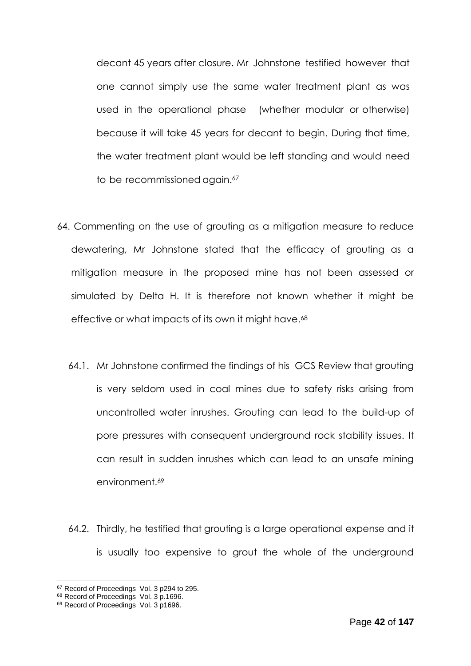decant 45 years after closure. Mr Johnstone testified however that one cannot simply use the same water treatment plant as was used in the operational phase (whether modular or otherwise) because it will take 45 years for decant to begin. During that time, the water treatment plant would be left standing and would need to be recommissioned again.<sup>67</sup>

- 64. Commenting on the use of grouting as a mitigation measure to reduce dewatering, Mr Johnstone stated that the efficacy of grouting as a mitigation measure in the proposed mine has not been assessed or simulated by Delta H. It is therefore not known whether it might be effective or what impacts of its own it might have. 68
	- 64.1. Mr Johnstone confirmed the findings of his GCS Review that grouting is very seldom used in coal mines due to safety risks arising from uncontrolled water inrushes. Grouting can lead to the build-up of pore pressures with consequent underground rock stability issues. It can result in sudden inrushes which can lead to an unsafe mining environment.<sup>69</sup>
	- 64.2. Thirdly, he testified that grouting is a large operational expense and it is usually too expensive to grout the whole of the underground

<sup>&</sup>lt;sup>67</sup> Record of Proceedings Vol. 3 p294 to 295.

<sup>68</sup> Record of Proceedings Vol. 3 p.1696.

<sup>69</sup> Record of Proceedings Vol. 3 p1696.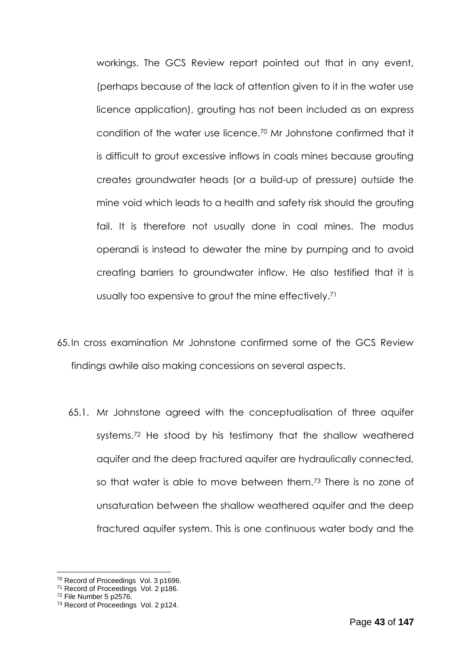workings. The GCS Review report pointed out that in any event, (perhaps because of the lack of attention given to it in the water use licence application), grouting has not been included as an express condition of the water use licence. <sup>70</sup> Mr Johnstone confirmed that it is difficult to grout excessive inflows in coals mines because grouting creates groundwater heads (or a build-up of pressure) outside the mine void which leads to a health and safety risk should the grouting fail. It is therefore not usually done in coal mines. The modus operandi is instead to dewater the mine by pumping and to avoid creating barriers to groundwater inflow. He also testified that it is usually too expensive to grout the mine effectively. 71

- 65.In cross examination Mr Johnstone confirmed some of the GCS Review findings awhile also making concessions on several aspects.
	- 65.1. Mr Johnstone agreed with the conceptualisation of three aquifer systems. <sup>72</sup> He stood by his testimony that the shallow weathered aquifer and the deep fractured aquifer are hydraulically connected, so that water is able to move between them.<sup>73</sup> There is no zone of unsaturation between the shallow weathered aquifer and the deep fractured aquifer system. This is one continuous water body and the

<sup>70</sup> Record of Proceedings Vol. 3 p1696.

<sup>&</sup>lt;sup>71</sup> Record of Proceedings Vol. 2 p186.

<sup>72</sup> File Number 5 p2576.

<sup>73</sup> Record of Proceedings Vol. 2 p124.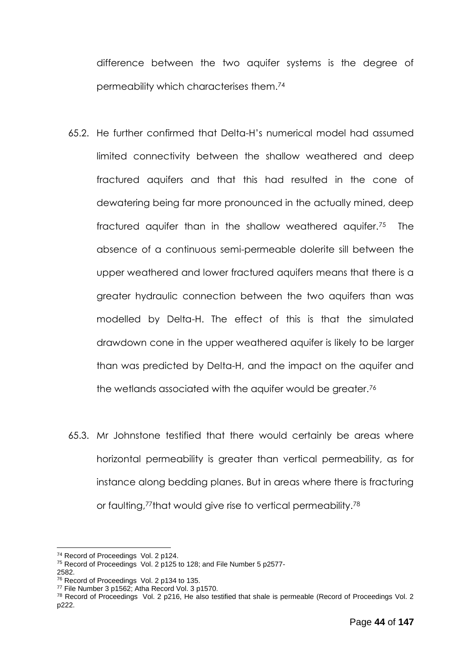difference between the two aquifer systems is the degree of permeability which characterises them.<sup>74</sup>

- 65.2. He further confirmed that Delta-H's numerical model had assumed limited connectivity between the shallow weathered and deep fractured aquifers and that this had resulted in the cone of dewatering being far more pronounced in the actually mined, deep fractured aquifer than in the shallow weathered aquifer.75 The absence of a continuous semi-permeable dolerite sill between the upper weathered and lower fractured aquifers means that there is a greater hydraulic connection between the two aquifers than was modelled by Delta-H. The effect of this is that the simulated drawdown cone in the upper weathered aquifer is likely to be larger than was predicted by Delta-H, and the impact on the aquifer and the wetlands associated with the aquifer would be greater.<sup>76</sup>
- 65.3. Mr Johnstone testified that there would certainly be areas where horizontal permeability is greater than vertical permeability, as for instance along bedding planes. But in areas where there is fracturing or faulting,<sup>77</sup>that would give rise to vertical permeability.<sup>78</sup>

<sup>&</sup>lt;sup>74</sup> Record of Proceedings Vol. 2 p124.

<sup>&</sup>lt;sup>75</sup> Record of Proceedings Vol. 2 p125 to 128; and File Number 5 p2577-2582.

<sup>76</sup> Record of Proceedings Vol. 2 p134 to 135.

<sup>77</sup> File Number 3 p1562; Atha Record Vol. 3 p1570.

<sup>78</sup> Record of Proceedings Vol. 2 p216, He also testified that shale is permeable (Record of Proceedings Vol. 2 p222.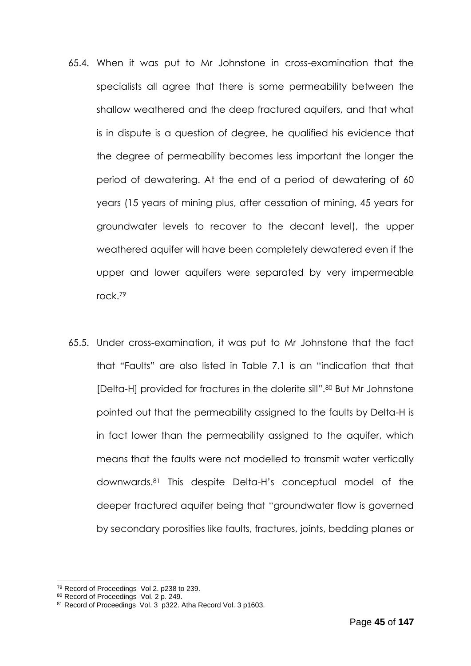- 65.4. When it was put to Mr Johnstone in cross-examination that the specialists all agree that there is some permeability between the shallow weathered and the deep fractured aquifers, and that what is in dispute is a question of degree, he qualified his evidence that the degree of permeability becomes less important the longer the period of dewatering. At the end of a period of dewatering of 60 years (15 years of mining plus, after cessation of mining, 45 years for groundwater levels to recover to the decant level), the upper weathered aquifer will have been completely dewatered even if the upper and lower aquifers were separated by very impermeable rock.<sup>79</sup>
- 65.5. Under cross-examination, it was put to Mr Johnstone that the fact that "Faults" are also listed in Table 7.1 is an "indication that that [Delta-H] provided for fractures in the dolerite sill".<sup>80</sup> But Mr Johnstone pointed out that the permeability assigned to the faults by Delta-H is in fact lower than the permeability assigned to the aquifer, which means that the faults were not modelled to transmit water vertically downwards.<sup>81</sup> This despite Delta-H's conceptual model of the deeper fractured aquifer being that "groundwater flow is governed by secondary porosities like faults, fractures, joints, bedding planes or

<sup>1</sup> <sup>79</sup> Record of Proceedings Vol 2. p238 to 239.

<sup>80</sup> Record of Proceedings Vol. 2 p. 249.

<sup>81</sup> Record of Proceedings Vol. 3 p322. Atha Record Vol. 3 p1603.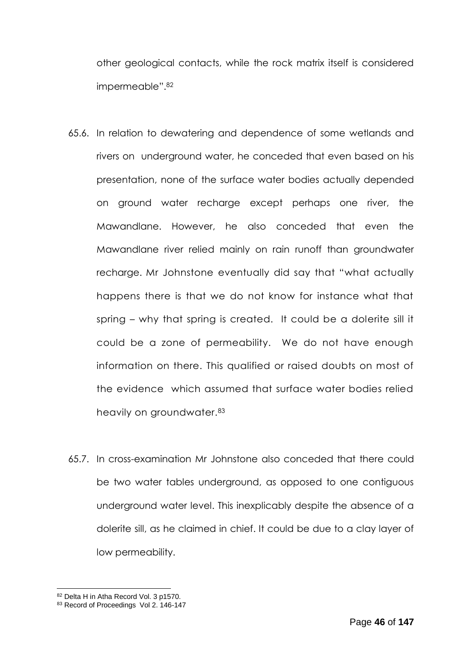other geological contacts, while the rock matrix itself is considered impermeable".<sup>82</sup>

- 65.6. In relation to dewatering and dependence of some wetlands and rivers on underground water, he conceded that even based on his presentation, none of the surface water bodies actually depended on ground water recharge except perhaps one river, the Mawandlane. However, he also conceded that even the Mawandlane river relied mainly on rain runoff than groundwater recharge. Mr Johnstone eventually did say that "what actually happens there is that we do not know for instance what that spring – why that spring is created. It could be a dolerite sill it could be a zone of permeability. We do not have enough information on there. This qualified or raised doubts on most of the evidence which assumed that surface water bodies relied heavily on groundwater.<sup>83</sup>
- 65.7. In cross-examination Mr Johnstone also conceded that there could be two water tables underground, as opposed to one contiguous underground water level. This inexplicably despite the absence of a dolerite sill, as he claimed in chief. It could be due to a clay layer of low permeability.

<sup>82</sup> Delta H in Atha Record Vol. 3 p1570.

<sup>83</sup> Record of Proceedings Vol 2. 146-147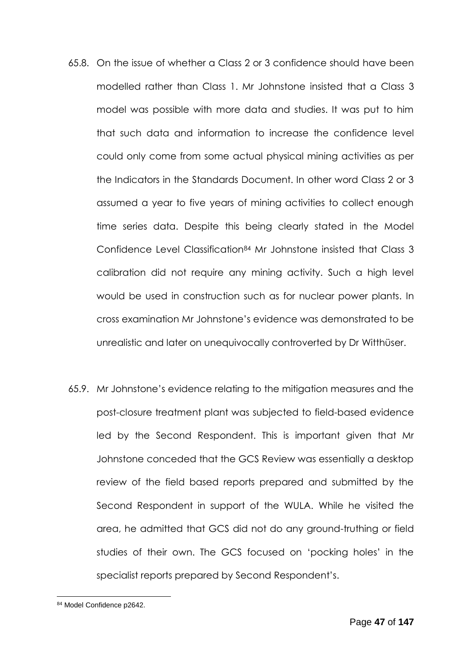- 65.8. On the issue of whether a Class 2 or 3 confidence should have been modelled rather than Class 1. Mr Johnstone insisted that a Class 3 model was possible with more data and studies. It was put to him that such data and information to increase the confidence level could only come from some actual physical mining activities as per the Indicators in the Standards Document. In other word Class 2 or 3 assumed a year to five years of mining activities to collect enough time series data. Despite this being clearly stated in the Model Confidence Level Classification<sup>84</sup> Mr Johnstone insisted that Class 3 calibration did not require any mining activity. Such a high level would be used in construction such as for nuclear power plants. In cross examination Mr Johnstone's evidence was demonstrated to be unrealistic and later on unequivocally controverted by Dr Witthüser.
- 65.9. Mr Johnstone's evidence relating to the mitigation measures and the post-closure treatment plant was subjected to field-based evidence led by the Second Respondent. This is important given that Mr Johnstone conceded that the GCS Review was essentially a desktop review of the field based reports prepared and submitted by the Second Respondent in support of the WULA. While he visited the area, he admitted that GCS did not do any ground-truthing or field studies of their own. The GCS focused on 'pocking holes' in the specialist reports prepared by Second Respondent's.

<sup>84</sup> Model Confidence p2642.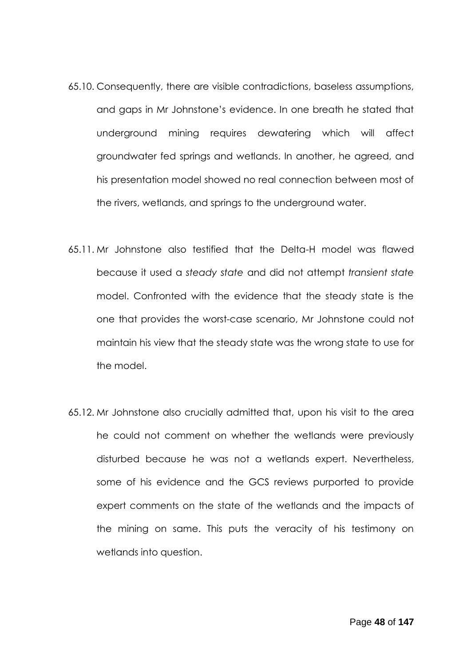- 65.10. Consequently, there are visible contradictions, baseless assumptions, and gaps in Mr Johnstone's evidence. In one breath he stated that underground mining requires dewatering which will affect groundwater fed springs and wetlands. In another, he agreed, and his presentation model showed no real connection between most of the rivers, wetlands, and springs to the underground water.
- 65.11. Mr Johnstone also testified that the Delta-H model was flawed because it used a *steady state* and did not attempt *transient state* model. Confronted with the evidence that the steady state is the one that provides the worst-case scenario, Mr Johnstone could not maintain his view that the steady state was the wrong state to use for the model.
- 65.12. Mr Johnstone also crucially admitted that, upon his visit to the area he could not comment on whether the wetlands were previously disturbed because he was not a wetlands expert. Nevertheless, some of his evidence and the GCS reviews purported to provide expert comments on the state of the wetlands and the impacts of the mining on same. This puts the veracity of his testimony on wetlands into question.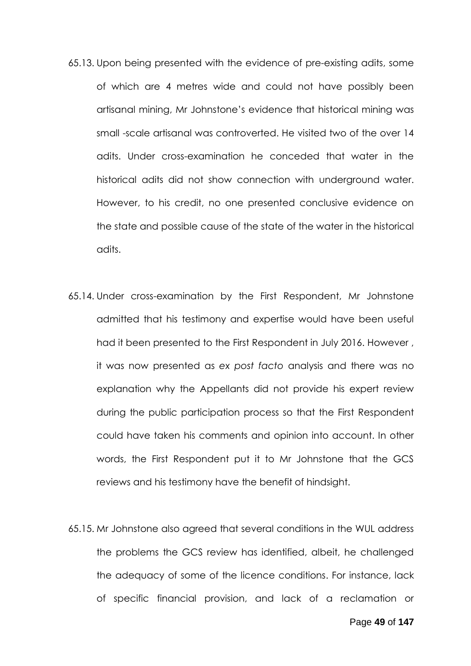- 65.13. Upon being presented with the evidence of pre-existing adits, some of which are 4 metres wide and could not have possibly been artisanal mining, Mr Johnstone's evidence that historical mining was small -scale artisanal was controverted. He visited two of the over 14 adits. Under cross-examination he conceded that water in the historical adits did not show connection with underground water. However, to his credit, no one presented conclusive evidence on the state and possible cause of the state of the water in the historical adits.
- 65.14. Under cross-examination by the First Respondent, Mr Johnstone admitted that his testimony and expertise would have been useful had it been presented to the First Respondent in July 2016. However , it was now presented as *ex post facto* analysis and there was no explanation why the Appellants did not provide his expert review during the public participation process so that the First Respondent could have taken his comments and opinion into account. In other words, the First Respondent put it to Mr Johnstone that the GCS reviews and his testimony have the benefit of hindsight.
- 65.15. Mr Johnstone also agreed that several conditions in the WUL address the problems the GCS review has identified, albeit, he challenged the adequacy of some of the licence conditions. For instance, lack of specific financial provision, and lack of a reclamation or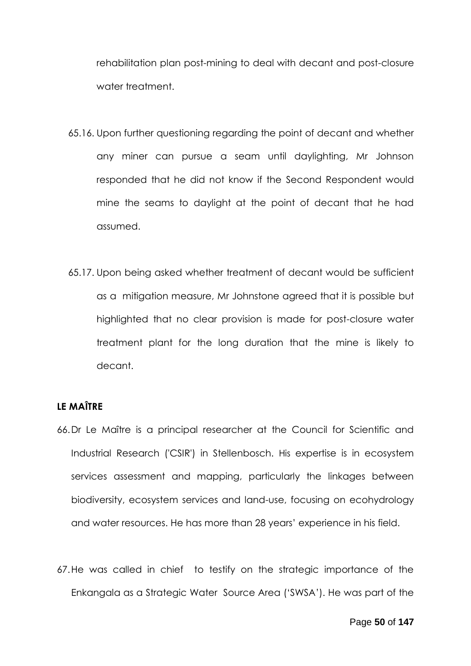rehabilitation plan post-mining to deal with decant and post-closure water treatment.

- 65.16. Upon further questioning regarding the point of decant and whether any miner can pursue a seam until daylighting, Mr Johnson responded that he did not know if the Second Respondent would mine the seams to daylight at the point of decant that he had assumed.
- 65.17. Upon being asked whether treatment of decant would be sufficient as a mitigation measure, Mr Johnstone agreed that it is possible but highlighted that no clear provision is made for post-closure water treatment plant for the long duration that the mine is likely to decant.

# **LE MAÎTRE**

- 66.Dr Le Maître is a principal researcher at the Council for Scientific and Industrial Research ('CSIR') in Stellenbosch. His expertise is in ecosystem services assessment and mapping, particularly the linkages between biodiversity, ecosystem services and land-use, focusing on ecohydrology and water resources. He has more than 28 years' experience in his field.
- 67.He was called in chief to testify on the strategic importance of the Enkangala as a Strategic Water Source Area ('SWSA'). He was part of the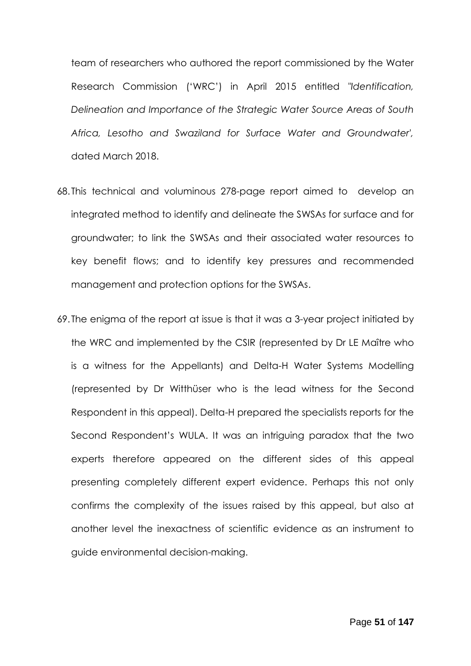team of researchers who authored the report commissioned by the Water Research Commission ('WRC') in April 2015 entitled *"Identification, Delineation and Importance of the Strategic Water Source Areas of South Africa, Lesotho and Swaziland for Surface Water and Groundwater',*  dated March 2018.

- 68. This technical and voluminous 278-page report aimed to develop an integrated method to identify and delineate the SWSAs for surface and for groundwater; to link the SWSAs and their associated water resources to key benefit flows; and to identify key pressures and recommended management and protection options for the SWSAs.
- 69. The enigma of the report at issue is that it was a 3-year project initiated by the WRC and implemented by the CSIR (represented by Dr LE Maître who is a witness for the Appellants) and Delta-H Water Systems Modelling (represented by Dr Witthüser who is the lead witness for the Second Respondent in this appeal). Delta-H prepared the specialists reports for the Second Respondent's WULA. It was an intriguing paradox that the two experts therefore appeared on the different sides of this appeal presenting completely different expert evidence. Perhaps this not only confirms the complexity of the issues raised by this appeal, but also at another level the inexactness of scientific evidence as an instrument to guide environmental decision-making.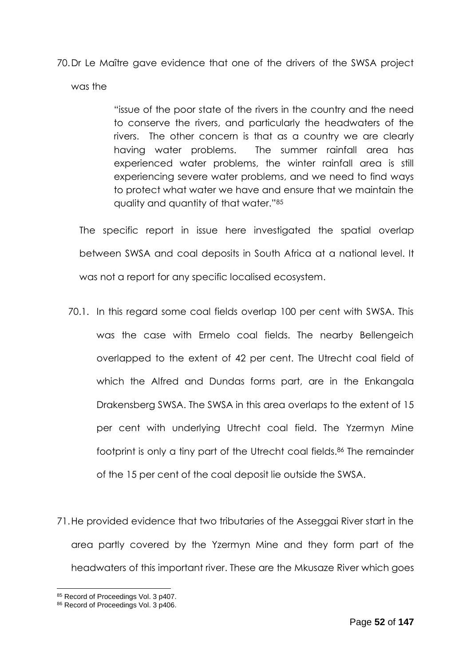70.Dr Le Maître gave evidence that one of the drivers of the SWSA project was the

> "issue of the poor state of the rivers in the country and the need to conserve the rivers, and particularly the headwaters of the rivers. The other concern is that as a country we are clearly having water problems. The summer rainfall area has experienced water problems, the winter rainfall area is still experiencing severe water problems, and we need to find ways to protect what water we have and ensure that we maintain the quality and quantity of that water."<sup>85</sup>

The specific report in issue here investigated the spatial overlap between SWSA and coal deposits in South Africa at a national level. It was not a report for any specific localised ecosystem.

- 70.1. In this regard some coal fields overlap 100 per cent with SWSA. This was the case with Ermelo coal fields. The nearby Bellengeich overlapped to the extent of 42 per cent. The Utrecht coal field of which the Alfred and Dundas forms part, are in the Enkangala Drakensberg SWSA. The SWSA in this area overlaps to the extent of 15 per cent with underlying Utrecht coal field. The Yzermyn Mine footprint is only a tiny part of the Utrecht coal fields.<sup>86</sup> The remainder of the 15 per cent of the coal deposit lie outside the SWSA.
- 71.He provided evidence that two tributaries of the Asseggai River start in the area partly covered by the Yzermyn Mine and they form part of the headwaters of this important river. These are the Mkusaze River which goes

<sup>85</sup> Record of Proceedings Vol. 3 p407.

<sup>86</sup> Record of Proceedings Vol. 3 p406.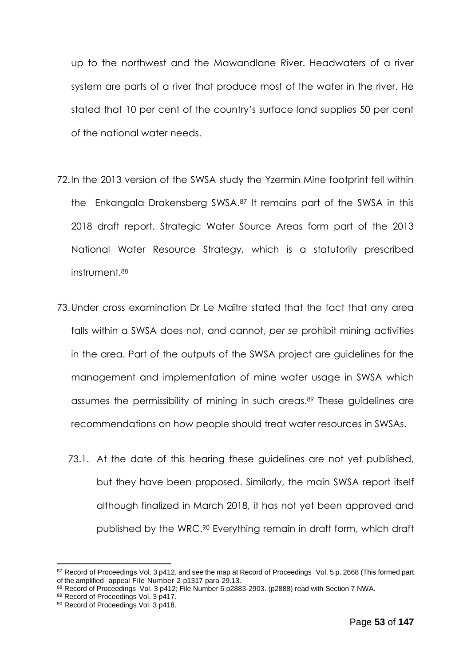up to the northwest and the Mawandlane River. Headwaters of a river system are parts of a river that produce most of the water in the river. He stated that 10 per cent of the country's surface land supplies 50 per cent of the national water needs.

- 72.In the 2013 version of the SWSA study the Yzermin Mine footprint fell within the Enkangala Drakensberg SWSA.<sup>87</sup> It remains part of the SWSA in this 2018 draft report. Strategic Water Source Areas form part of the 2013 National Water Resource Strategy, which is a statutorily prescribed instrument.<sup>88</sup>
- 73.Under cross examination Dr Le Maître stated that the fact that any area falls within a SWSA does not, and cannot, *per se* prohibit mining activities in the area. Part of the outputs of the SWSA project are guidelines for the management and implementation of mine water usage in SWSA which assumes the permissibility of mining in such areas. <sup>89</sup> These guidelines are recommendations on how people should treat water resources in SWSAs.
	- 73.1. At the date of this hearing these guidelines are not yet published, but they have been proposed. Similarly, the main SWSA report itself although finalized in March 2018, it has not yet been approved and published by the WRC.<sup>90</sup> Everything remain in draft form, which draft

<sup>87</sup> Record of Proceedings Vol. 3 p412, and see the map at Record of Proceedings Vol. 5 p. 2668 (This formed part of the amplified appeal File Number 2 p1317 para 29.13.

<sup>88</sup> Record of Proceedings Vol. 3 p412; File Number 5 p2883-2903. (p2888) read with Section 7 NWA.

<sup>89</sup> Record of Proceedings Vol. 3 p417.

<sup>90</sup> Record of Proceedings Vol. 3 p418.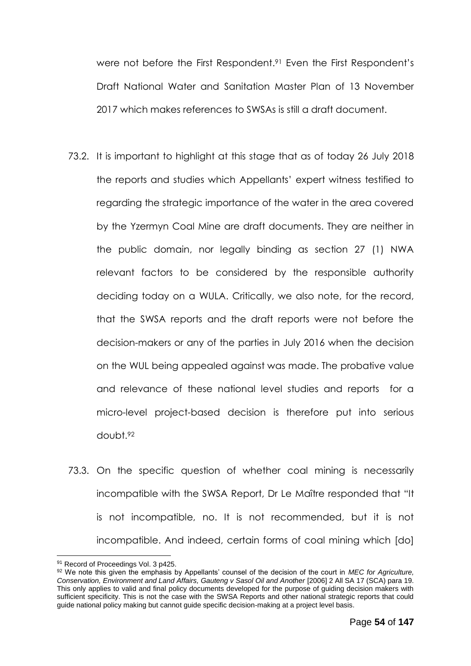were not before the First Respondent. <sup>91</sup> Even the First Respondent's Draft National Water and Sanitation Master Plan of 13 November 2017 which makes references to SWSAs is still a draft document.

- 73.2. It is important to highlight at this stage that as of today 26 July 2018 the reports and studies which Appellants' expert witness testified to regarding the strategic importance of the water in the area covered by the Yzermyn Coal Mine are draft documents. They are neither in the public domain, nor legally binding as section 27 (1) NWA relevant factors to be considered by the responsible authority deciding today on a WULA. Critically, we also note, for the record, that the SWSA reports and the draft reports were not before the decision-makers or any of the parties in July 2016 when the decision on the WUL being appealed against was made. The probative value and relevance of these national level studies and reports for a micro-level project-based decision is therefore put into serious doubt.<sup>92</sup>
- 73.3. On the specific question of whether coal mining is necessarily incompatible with the SWSA Report, Dr Le Maître responded that "It is not incompatible, no. It is not recommended, but it is not incompatible. And indeed, certain forms of coal mining which [do]

<sup>1</sup> 91 Record of Proceedings Vol. 3 p425.

<sup>92</sup> We note this given the emphasis by Appellants' counsel of the decision of the court in *MEC for Agriculture, Conservation, Environment and Land Affairs, Gauteng v Sasol Oil and Another* [2006] 2 All SA 17 (SCA) para 19. This only applies to valid and final policy documents developed for the purpose of guiding decision makers with sufficient specificity. This is not the case with the SWSA Reports and other national strategic reports that could guide national policy making but cannot guide specific decision-making at a project level basis.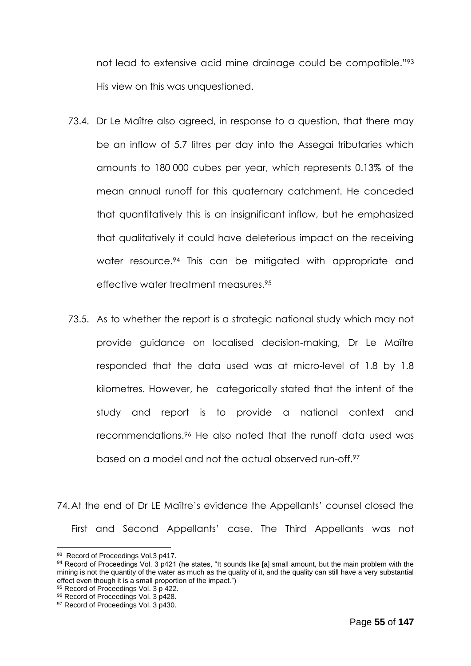not lead to extensive acid mine drainage could be compatible."<sup>93</sup> His view on this was unquestioned.

- 73.4. Dr Le Maître also agreed, in response to a question, that there may be an inflow of 5.7 litres per day into the Assegai tributaries which amounts to 180 000 cubes per year, which represents 0.13% of the mean annual runoff for this quaternary catchment. He conceded that quantitatively this is an insignificant inflow, but he emphasized that qualitatively it could have deleterious impact on the receiving water resource.<sup>94</sup> This can be mitigated with appropriate and effective water treatment measures.<sup>95</sup>
- 73.5. As to whether the report is a strategic national study which may not provide guidance on localised decision-making, Dr Le Maître responded that the data used was at micro-level of 1.8 by 1.8 kilometres. However, he categorically stated that the intent of the study and report is to provide a national context and recommendations.<sup>96</sup> He also noted that the runoff data used was based on a model and not the actual observed run-off.<sup>97</sup>

74.At the end of Dr LE Maître's evidence the Appellants' counsel closed the First and Second Appellants' case. The Third Appellants was not

<sup>93</sup> Record of Proceedings Vol.3 p417.

<sup>94</sup> Record of Proceedings Vol. 3 p421 (he states, "It sounds like [a] small amount, but the main problem with the mining is not the quantity of the water as much as the quality of it, and the quality can still have a very substantial mining is not the quantity of the water as much as the quality of it, and the quality can still have a effect even though it is a small proportion of the impact.")

<sup>95</sup> Record of Proceedings Vol. 3 p 422.

<sup>96</sup> Record of Proceedings Vol. 3 p428.

<sup>97</sup> Record of Proceedings Vol. 3 p430.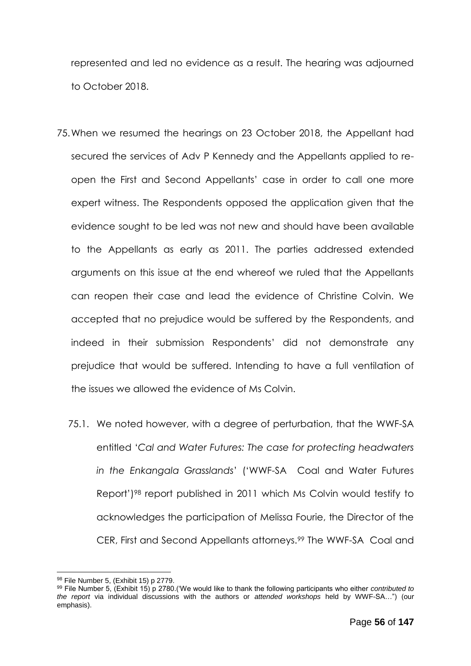represented and led no evidence as a result. The hearing was adjourned to October 2018.

- 75.When we resumed the hearings on 23 October 2018, the Appellant had secured the services of Adv P Kennedy and the Appellants applied to reopen the First and Second Appellants' case in order to call one more expert witness. The Respondents opposed the application given that the evidence sought to be led was not new and should have been available to the Appellants as early as 2011. The parties addressed extended arguments on this issue at the end whereof we ruled that the Appellants can reopen their case and lead the evidence of Christine Colvin. We accepted that no prejudice would be suffered by the Respondents, and indeed in their submission Respondents' did not demonstrate any prejudice that would be suffered. Intending to have a full ventilation of the issues we allowed the evidence of Ms Colvin.
	- 75.1. We noted however, with a degree of perturbation, that the WWF-SA entitled '*Cal and Water Futures: The case for protecting headwaters in the Enkangala Grasslands*' ('WWF-SA Coal and Water Futures Report')<sup>98</sup> report published in 2011 which Ms Colvin would testify to acknowledges the participation of Melissa Fourie, the Director of the CER, First and Second Appellants attorneys.<sup>99</sup> The WWF-SA Coal and

<sup>98</sup> File Number 5, (Exhibit 15) p 2779.

<sup>99</sup> File Number 5, (Exhibit 15) p 2780.('We would like to thank the following participants who either *contributed to the report* via individual discussions with the authors or *attended workshops* held by WWF-SA…") (our emphasis).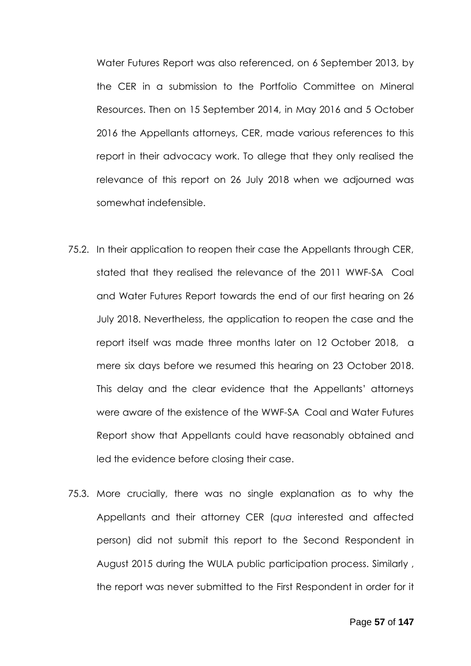Water Futures Report was also referenced, on 6 September 2013, by the CER in a submission to the Portfolio Committee on Mineral Resources. Then on 15 September 2014, in May 2016 and 5 October 2016 the Appellants attorneys, CER, made various references to this report in their advocacy work. To allege that they only realised the relevance of this report on 26 July 2018 when we adjourned was somewhat indefensible.

- 75.2. In their application to reopen their case the Appellants through CER, stated that they realised the relevance of the 2011 WWF-SA Coal and Water Futures Report towards the end of our first hearing on 26 July 2018. Nevertheless, the application to reopen the case and the report itself was made three months later on 12 October 2018, a mere six days before we resumed this hearing on 23 October 2018. This delay and the clear evidence that the Appellants' attorneys were aware of the existence of the WWF-SA Coal and Water Futures Report show that Appellants could have reasonably obtained and led the evidence before closing their case.
- 75.3. More crucially, there was no single explanation as to why the Appellants and their attorney CER (*qua* interested and affected person) did not submit this report to the Second Respondent in August 2015 during the WULA public participation process. Similarly , the report was never submitted to the First Respondent in order for it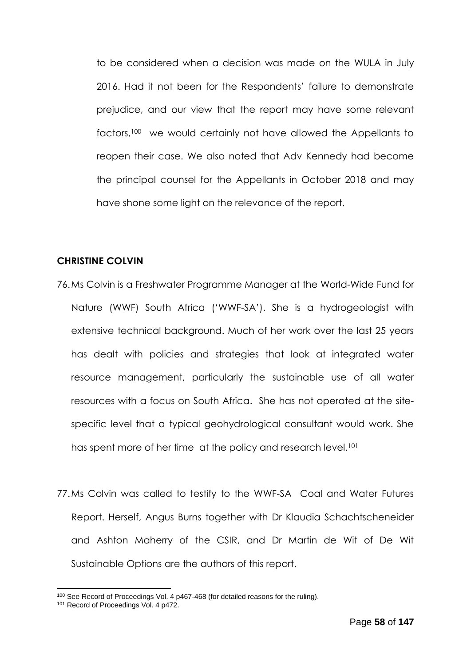to be considered when a decision was made on the WULA in July 2016. Had it not been for the Respondents' failure to demonstrate prejudice, and our view that the report may have some relevant factors,<sup>100</sup> we would certainly not have allowed the Appellants to reopen their case. We also noted that Adv Kennedy had become the principal counsel for the Appellants in October 2018 and may have shone some light on the relevance of the report.

#### **CHRISTINE COLVIN**

- 76.Ms Colvin is a Freshwater Programme Manager at the World-Wide Fund for Nature (WWF) South Africa ('WWF-SA'). She is a hydrogeologist with extensive technical background. Much of her work over the last 25 years has dealt with policies and strategies that look at integrated water resource management, particularly the sustainable use of all water resources with a focus on South Africa. She has not operated at the sitespecific level that a typical geohydrological consultant would work. She has spent more of her time at the policy and research level.<sup>101</sup>
- 77.Ms Colvin was called to testify to the WWF-SA Coal and Water Futures Report. Herself, Angus Burns together with Dr Klaudia Schachtscheneider and Ashton Maherry of the CSIR, and Dr Martin de Wit of De Wit Sustainable Options are the authors of this report.

<sup>100</sup> See Record of Proceedings Vol. 4 p467-468 (for detailed reasons for the ruling).

<sup>&</sup>lt;sup>101</sup> Record of Proceedings Vol. 4 p472.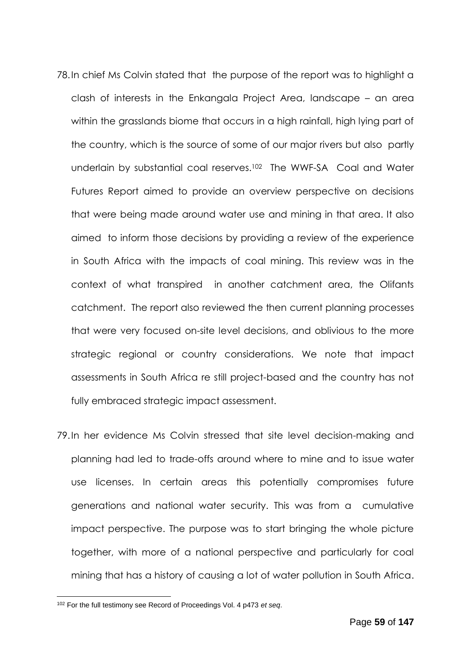- 78.In chief Ms Colvin stated that the purpose of the report was to highlight a clash of interests in the Enkangala Project Area, landscape – an area within the grasslands biome that occurs in a high rainfall, high lying part of the country, which is the source of some of our major rivers but also partly underlain by substantial coal reserves.<sup>102</sup> The WWF-SA Coal and Water Futures Report aimed to provide an overview perspective on decisions that were being made around water use and mining in that area. It also aimed to inform those decisions by providing a review of the experience in South Africa with the impacts of coal mining. This review was in the context of what transpired in another catchment area, the Olifants catchment. The report also reviewed the then current planning processes that were very focused on-site level decisions, and oblivious to the more strategic regional or country considerations. We note that impact assessments in South Africa re still project-based and the country has not fully embraced strategic impact assessment.
- 79.In her evidence Ms Colvin stressed that site level decision-making and planning had led to trade-offs around where to mine and to issue water use licenses. In certain areas this potentially compromises future generations and national water security. This was from a cumulative impact perspective. The purpose was to start bringing the whole picture together, with more of a national perspective and particularly for coal mining that has a history of causing a lot of water pollution in South Africa.

<sup>102</sup> For the full testimony see Record of Proceedings Vol. 4 p473 *et seq*.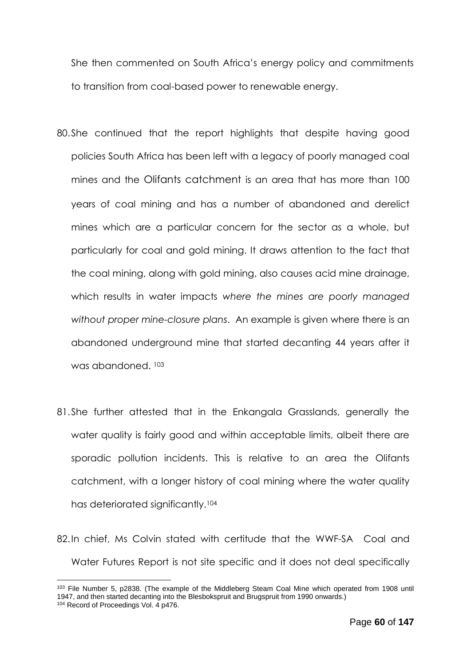She then commented on South Africa's energy policy and commitments to transition from coal-based power to renewable energy.

- 80.She continued that the report highlights that despite having good policies South Africa has been left with a legacy of poorly managed coal mines and the Olifants catchment is an area that has more than 100 years of coal mining and has a number of abandoned and derelict mines which are a particular concern for the sector as a whole, but particularly for coal and gold mining. It draws attention to the fact that the coal mining, along with gold mining, also causes acid mine drainage, which results in water impacts *where the mines are poorly managed without proper mine-closure plans*. An example is given where there is an abandoned underground mine that started decanting 44 years after it was abandoned. <sup>103</sup>
- 81.She further attested that in the Enkangala Grasslands, generally the water quality is fairly good and within acceptable limits, albeit there are sporadic pollution incidents. This is relative to an area the Olifants catchment, with a longer history of coal mining where the water quality has deteriorated significantly.<sup>104</sup>
- 82.In chief, Ms Colvin stated with certitude that the WWF-SA Coal and Water Futures Report is not site specific and it does not deal specifically

<sup>&</sup>lt;sup>103</sup> File Number 5, p2838. (The example of the Middleberg Steam Coal Mine which operated from 1908 until 1947, and then started decanting into the Blesbokspruit and Brugspruit from 1990 onwards.) <sup>104</sup> Record of Proceedings Vol. 4 p476.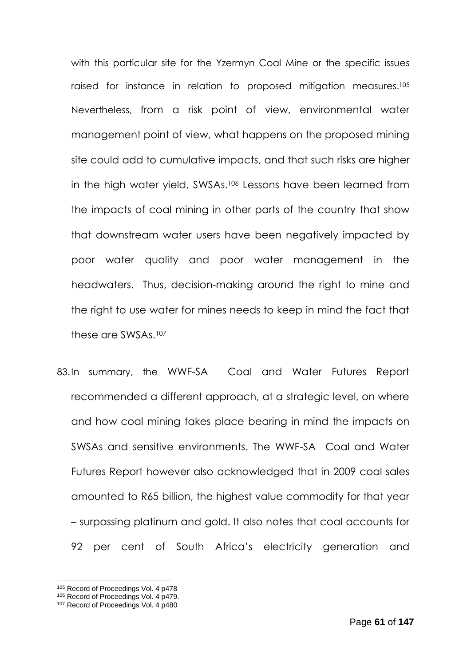with this particular site for the Yzermyn Coal Mine or the specific issues raised for instance in relation to proposed mitigation measures.<sup>105</sup> Nevertheless, from a risk point of view, environmental water management point of view, what happens on the proposed mining site could add to cumulative impacts, and that such risks are higher in the high water yield, SWSAs.<sup>106</sup> Lessons have been learned from the impacts of coal mining in other parts of the country that show that downstream water users have been negatively impacted by poor water quality and poor water management in the headwaters. Thus, decision-making around the right to mine and the right to use water for mines needs to keep in mind the fact that these are SWSAs.<sup>107</sup>

83.In summary, the WWF-SA Coal and Water Futures Report recommended a different approach, at a strategic level, on where and how coal mining takes place bearing in mind the impacts on SWSAs and sensitive environments. The WWF-SA Coal and Water Futures Report however also acknowledged that in 2009 coal sales amounted to R65 billion, the highest value commodity for that year – surpassing platinum and gold. It also notes that coal accounts for 92 per cent of South Africa's electricity generation and

<sup>105</sup> Record of Proceedings Vol. 4 p478

<sup>106</sup> Record of Proceedings Vol. 4 p479.

<sup>107</sup> Record of Proceedings Vol. 4 p480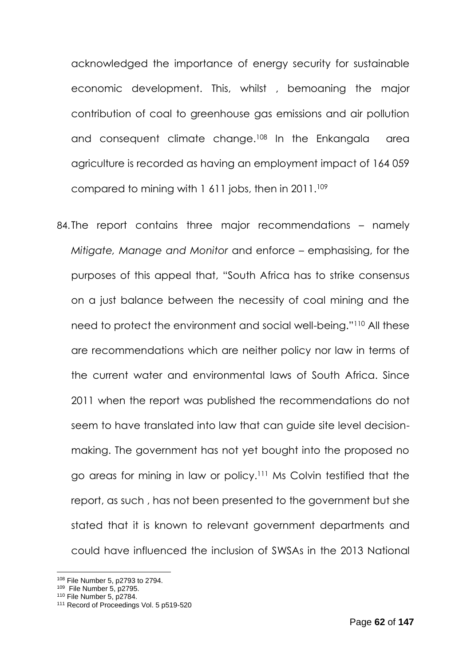acknowledged the importance of energy security for sustainable economic development. This, whilst , bemoaning the major contribution of coal to greenhouse gas emissions and air pollution and consequent climate change. <sup>108</sup> In the Enkangala area agriculture is recorded as having an employment impact of 164 059 compared to mining with 1 611 jobs, then in 2011.<sup>109</sup>

84.The report contains three major recommendations – namely *Mitigate, Manage and Monitor* and enforce – emphasising, for the purposes of this appeal that, "South Africa has to strike consensus on a just balance between the necessity of coal mining and the need to protect the environment and social well-being."<sup>110</sup> All these are recommendations which are neither policy nor law in terms of the current water and environmental laws of South Africa. Since 2011 when the report was published the recommendations do not seem to have translated into law that can guide site level decisionmaking. The government has not yet bought into the proposed no go areas for mining in law or policy. <sup>111</sup> Ms Colvin testified that the report, as such , has not been presented to the government but she stated that it is known to relevant government departments and could have influenced the inclusion of SWSAs in the 2013 National

<sup>108</sup> File Number 5, p2793 to 2794.

<sup>109</sup> File Number 5, p2795.

<sup>110</sup> File Number 5, p2784.

<sup>&</sup>lt;sup>111</sup> Record of Proceedings Vol. 5 p519-520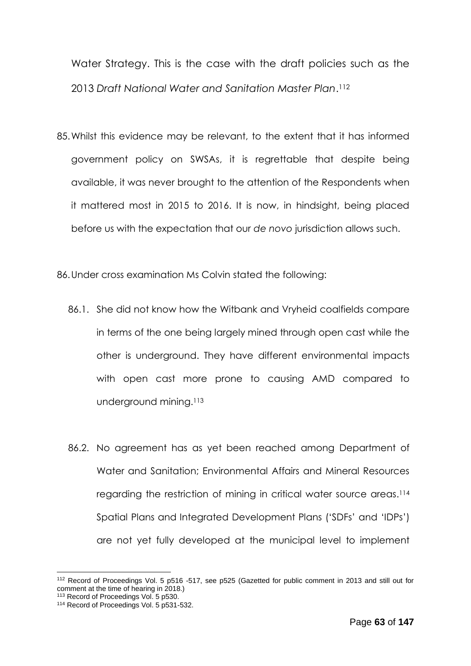Water Strategy. This is the case with the draft policies such as the 2013 *Draft National Water and Sanitation Master Plan*. 112

85.Whilst this evidence may be relevant, to the extent that it has informed government policy on SWSAs, it is regrettable that despite being available, it was never brought to the attention of the Respondents when it mattered most in 2015 to 2016. It is now, in hindsight, being placed before us with the expectation that our *de novo* jurisdiction allows such.

86.Under cross examination Ms Colvin stated the following:

- 86.1. She did not know how the Witbank and Vryheid coalfields compare in terms of the one being largely mined through open cast while the other is underground. They have different environmental impacts with open cast more prone to causing AMD compared to underground mining.<sup>113</sup>
- 86.2. No agreement has as yet been reached among Department of Water and Sanitation; Environmental Affairs and Mineral Resources regarding the restriction of mining in critical water source areas. 114 Spatial Plans and Integrated Development Plans ('SDFs' and 'IDPs') are not yet fully developed at the municipal level to implement

<sup>112</sup> Record of Proceedings Vol. 5 p516 -517, see p525 (Gazetted for public comment in 2013 and still out for comment at the time of hearing in 2018.)

<sup>113</sup> Record of Proceedings Vol. 5 p530.

<sup>114</sup> Record of Proceedings Vol. 5 p531-532.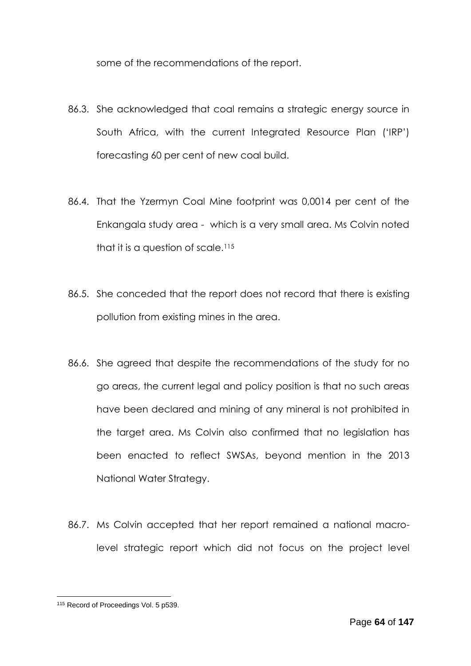some of the recommendations of the report.

- 86.3. She acknowledged that coal remains a strategic energy source in South Africa, with the current Integrated Resource Plan ('IRP') forecasting 60 per cent of new coal build.
- 86.4. That the Yzermyn Coal Mine footprint was 0,0014 per cent of the Enkangala study area - which is a very small area. Ms Colvin noted that it is a question of scale.<sup>115</sup>
- 86.5. She conceded that the report does not record that there is existing pollution from existing mines in the area.
- 86.6. She agreed that despite the recommendations of the study for no go areas, the current legal and policy position is that no such areas have been declared and mining of any mineral is not prohibited in the target area. Ms Colvin also confirmed that no legislation has been enacted to reflect SWSAs, beyond mention in the 2013 National Water Strategy.
- 86.7. Ms Colvin accepted that her report remained a national macrolevel strategic report which did not focus on the project level

<sup>1</sup> 115 Record of Proceedings Vol. 5 p539.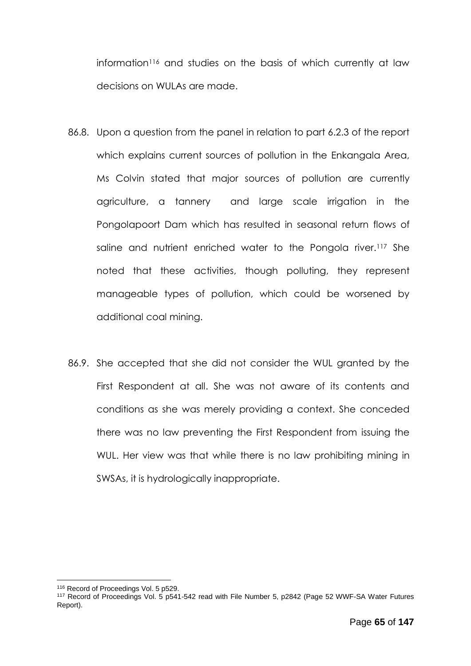information<sup>116</sup> and studies on the basis of which currently at law decisions on WULAs are made.

- 86.8. Upon a question from the panel in relation to part 6.2.3 of the report which explains current sources of pollution in the Enkangala Area, Ms Colvin stated that major sources of pollution are currently agriculture, a tannery and large scale irrigation in the Pongolapoort Dam which has resulted in seasonal return flows of saline and nutrient enriched water to the Pongola river.<sup>117</sup> She noted that these activities, though polluting, they represent manageable types of pollution, which could be worsened by additional coal mining.
- 86.9. She accepted that she did not consider the WUL granted by the First Respondent at all. She was not aware of its contents and conditions as she was merely providing a context. She conceded there was no law preventing the First Respondent from issuing the WUL. Her view was that while there is no law prohibiting mining in SWSAs, it is hydrologically inappropriate.

<sup>1</sup> <sup>116</sup> Record of Proceedings Vol. 5 p529.

<sup>117</sup> Record of Proceedings Vol. 5 p541-542 read with File Number 5, p2842 (Page 52 WWF-SA Water Futures Report).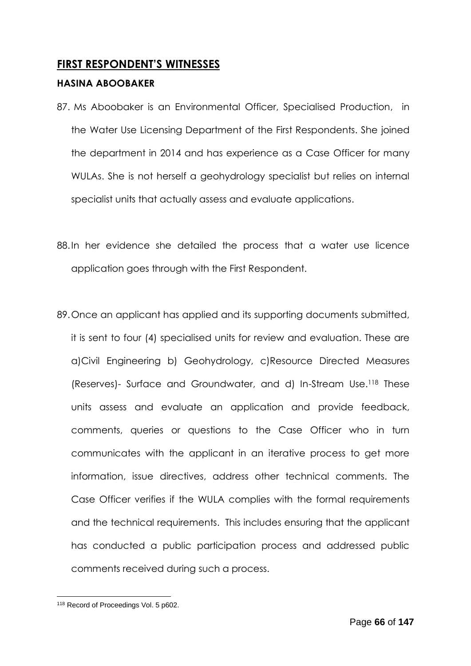# **FIRST RESPONDENT'S WITNESSES**

## **HASINA ABOOBAKER**

- 87. Ms Aboobaker is an Environmental Officer, Specialised Production, in the Water Use Licensing Department of the First Respondents. She joined the department in 2014 and has experience as a Case Officer for many WULAs. She is not herself a geohydrology specialist but relies on internal specialist units that actually assess and evaluate applications.
- 88.In her evidence she detailed the process that a water use licence application goes through with the First Respondent.
- 89.Once an applicant has applied and its supporting documents submitted, it is sent to four (4) specialised units for review and evaluation. These are a)Civil Engineering b) Geohydrology, c)Resource Directed Measures (Reserves)- Surface and Groundwater, and d) In-Stream Use.<sup>118</sup> These units assess and evaluate an application and provide feedback, comments, queries or questions to the Case Officer who in turn communicates with the applicant in an iterative process to get more information, issue directives, address other technical comments. The Case Officer verifies if the WULA complies with the formal requirements and the technical requirements. This includes ensuring that the applicant has conducted a public participation process and addressed public comments received during such a process.

<sup>1</sup> 118 Record of Proceedings Vol. 5 p602.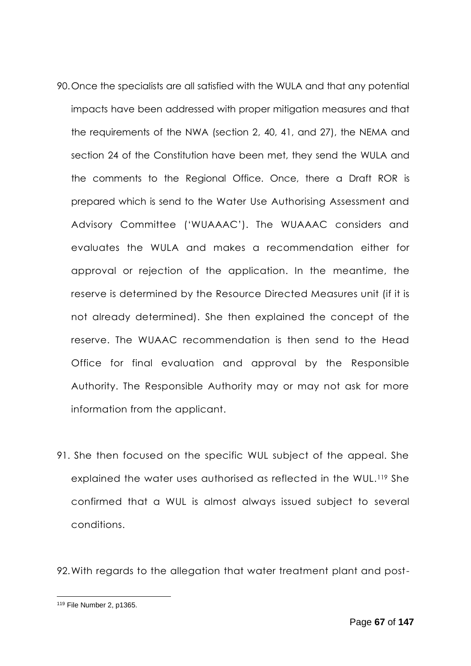- 90.Once the specialists are all satisfied with the WULA and that any potential impacts have been addressed with proper mitigation measures and that the requirements of the NWA (section 2, 40, 41, and 27), the NEMA and section 24 of the Constitution have been met, they send the WULA and the comments to the Regional Office. Once, there a Draft ROR is prepared which is send to the Water Use Authorising Assessment and Advisory Committee ('WUAAAC'). The WUAAAC considers and evaluates the WULA and makes a recommendation either for approval or rejection of the application. In the meantime, the reserve is determined by the Resource Directed Measures unit (if it is not already determined). She then explained the concept of the reserve. The WUAAC recommendation is then send to the Head Office for final evaluation and approval by the Responsible Authority. The Responsible Authority may or may not ask for more information from the applicant.
- 91. She then focused on the specific WUL subject of the appeal. She explained the water uses authorised as reflected in the WUL.<sup>119</sup> She confirmed that a WUL is almost always issued subject to several conditions.

92.With regards to the allegation that water treatment plant and post-

<sup>119</sup> File Number 2, p1365.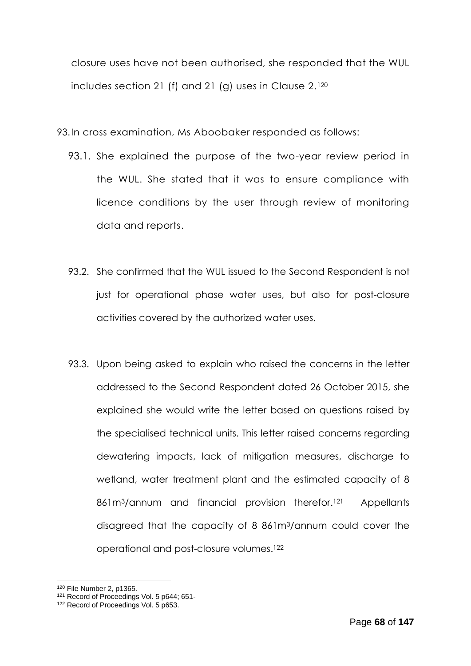closure uses have not been authorised, she responded that the WUL includes section 21 (f) and 21 (g) uses in Clause 2.<sup>120</sup>

93.In cross examination, Ms Aboobaker responded as follows:

- 93.1. She explained the purpose of the two-year review period in the WUL. She stated that it was to ensure compliance with licence conditions by the user through review of monitoring data and reports.
- 93.2. She confirmed that the WUL issued to the Second Respondent is not just for operational phase water uses, but also for post-closure activities covered by the authorized water uses.
- 93.3. Upon being asked to explain who raised the concerns in the letter addressed to the Second Respondent dated 26 October 2015, she explained she would write the letter based on questions raised by the specialised technical units. This letter raised concerns regarding dewatering impacts, lack of mitigation measures, discharge to wetland, water treatment plant and the estimated capacity of 8 861m<sup>3</sup>/annum and financial provision therefor.<sup>121</sup> **Appellants** disagreed that the capacity of 8 861m3/annum could cover the operational and post-closure volumes.<sup>122</sup>

<sup>1</sup> <sup>120</sup> File Number 2, p1365.

<sup>&</sup>lt;sup>121</sup> Record of Proceedings Vol. 5 p644; 651-

<sup>&</sup>lt;sup>122</sup> Record of Proceedings Vol. 5 p653.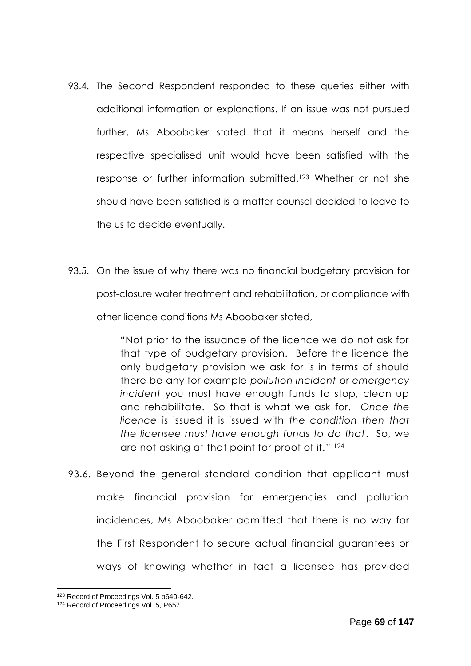- 93.4. The Second Respondent responded to these queries either with additional information or explanations. If an issue was not pursued further, Ms Aboobaker stated that it means herself and the respective specialised unit would have been satisfied with the response or further information submitted.<sup>123</sup> Whether or not she should have been satisfied is a matter counsel decided to leave to the us to decide eventually.
- 93.5. On the issue of why there was no financial budgetary provision for post-closure water treatment and rehabilitation, or compliance with other licence conditions Ms Aboobaker stated,

"Not prior to the issuance of the licence we do not ask for that type of budgetary provision. Before the licence the only budgetary provision we ask for is in terms of should there be any for example *pollution incident* or *emergency incident* you must have enough funds to stop, clean up and rehabilitate. So that is what we ask for. *Once the licence* is issued it is issued with *the condition then that the licensee must have enough funds to do that*. So, we are not asking at that point for proof of it." 124

93.6. Beyond the general standard condition that applicant must make financial provision for emergencies and pollution incidences, Ms Aboobaker admitted that there is no way for the First Respondent to secure actual financial guarantees or ways of knowing whether in fact a licensee has provided

<sup>123</sup> Record of Proceedings Vol. 5 p640-642.

<sup>&</sup>lt;sup>124</sup> Record of Proceedings Vol. 5, P657.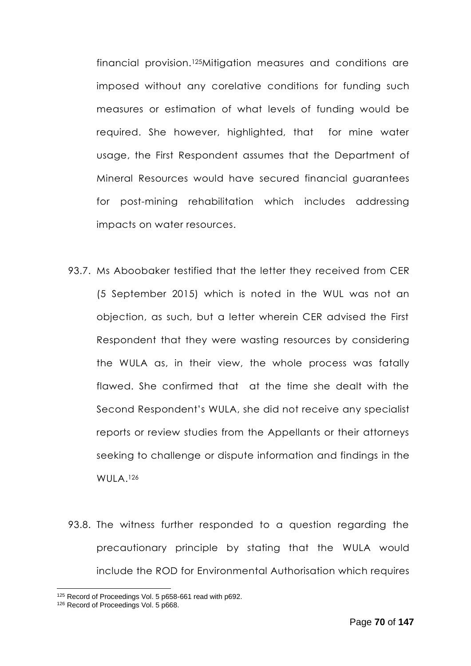financial provision.125Mitigation measures and conditions are imposed without any corelative conditions for funding such measures or estimation of what levels of funding would be required. She however, highlighted, that for mine water usage, the First Respondent assumes that the Department of Mineral Resources would have secured financial guarantees for post-mining rehabilitation which includes addressing impacts on water resources.

- 93.7. Ms Aboobaker testified that the letter they received from CER (5 September 2015) which is noted in the WUL was not an objection, as such, but a letter wherein CER advised the First Respondent that they were wasting resources by considering the WULA as, in their view, the whole process was fatally flawed. She confirmed that at the time she dealt with the Second Respondent's WULA, she did not receive any specialist reports or review studies from the Appellants or their attorneys seeking to challenge or dispute information and findings in the WULA. 126
- 93.8. The witness further responded to a question regarding the precautionary principle by stating that the WULA would include the ROD for Environmental Authorisation which requires

<sup>125</sup> Record of Proceedings Vol. 5 p658-661 read with p692.

<sup>&</sup>lt;sup>126</sup> Record of Proceedings Vol. 5 p668.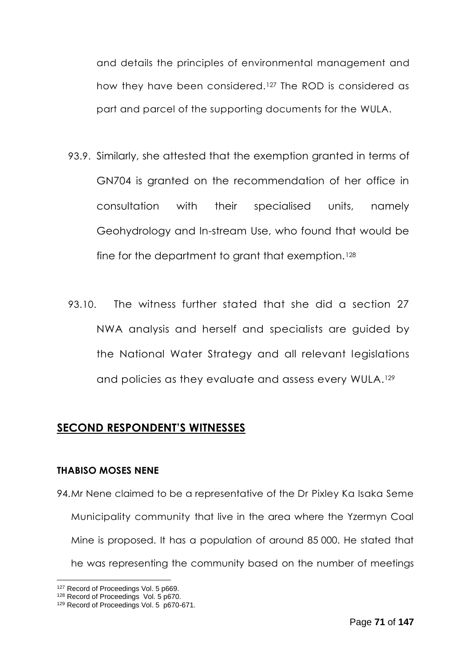and details the principles of environmental management and how they have been considered.<sup>127</sup> The ROD is considered as part and parcel of the supporting documents for the WULA.

- 93.9. Similarly, she attested that the exemption granted in terms of GN704 is granted on the recommendation of her office in consultation with their specialised units, namely Geohydrology and In-stream Use, who found that would be fine for the department to grant that exemption.<sup>128</sup>
- 93.10. The witness further stated that she did a section 27 NWA analysis and herself and specialists are guided by the National Water Strategy and all relevant legislations and policies as they evaluate and assess every WULA. 129

# **SECOND RESPONDENT'S WITNESSES**

### **THABISO MOSES NENE**

94.Mr Nene claimed to be a representative of the Dr Pixley Ka Isaka Seme Municipality community that live in the area where the Yzermyn Coal Mine is proposed. It has a population of around 85 000. He stated that he was representing the community based on the number of meetings

<sup>&</sup>lt;sup>127</sup> Record of Proceedings Vol. 5 p669.

<sup>&</sup>lt;sup>128</sup> Record of Proceedings Vol. 5 p670.

<sup>&</sup>lt;sup>129</sup> Record of Proceedings Vol. 5 p670-671.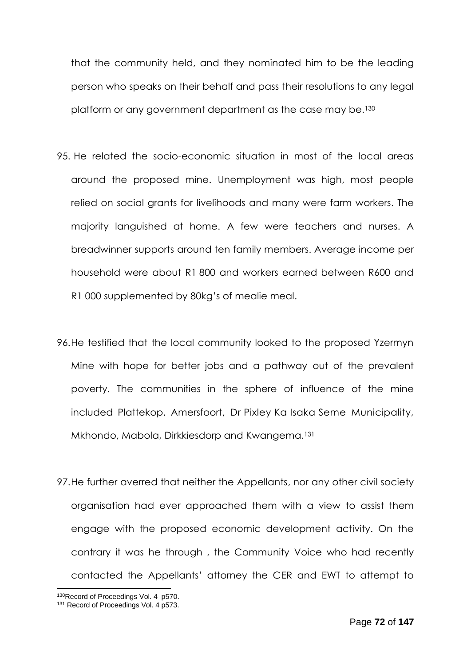that the community held, and they nominated him to be the leading person who speaks on their behalf and pass their resolutions to any legal platform or any government department as the case may be.<sup>130</sup>

- 95. He related the socio-economic situation in most of the local areas around the proposed mine. Unemployment was high, most people relied on social grants for livelihoods and many were farm workers. The majority languished at home. A few were teachers and nurses. A breadwinner supports around ten family members. Average income per household were about R1 800 and workers earned between R600 and R1 000 supplemented by 80kg's of mealie meal.
- 96.He testified that the local community looked to the proposed Yzermyn Mine with hope for better jobs and a pathway out of the prevalent poverty. The communities in the sphere of influence of the mine included Plattekop, Amersfoort, Dr Pixley Ka Isaka Seme Municipality, Mkhondo, Mabola, Dirkkiesdorp and Kwangema.<sup>131</sup>
- 97.He further averred that neither the Appellants, nor any other civil society organisation had ever approached them with a view to assist them engage with the proposed economic development activity. On the contrary it was he through , the Community Voice who had recently contacted the Appellants' attorney the CER and EWT to attempt to

<sup>130</sup>Record of Proceedings Vol. 4 p570.

<sup>&</sup>lt;sup>131</sup> Record of Proceedings Vol. 4 p573.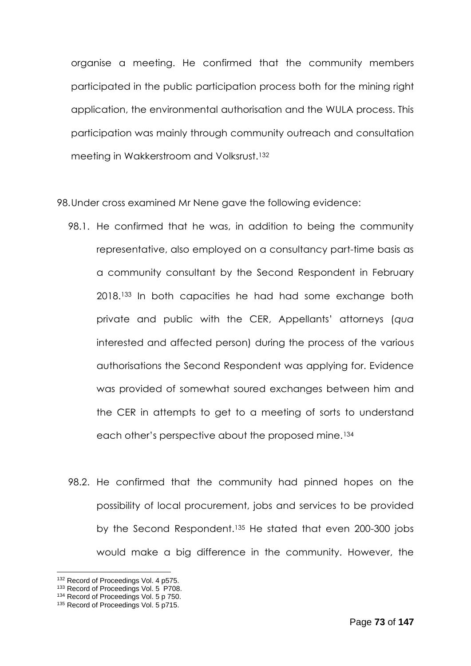organise a meeting. He confirmed that the community members participated in the public participation process both for the mining right application, the environmental authorisation and the WULA process. This participation was mainly through community outreach and consultation meeting in Wakkerstroom and Volksrust.<sup>132</sup>

98.Under cross examined Mr Nene gave the following evidence:

- 98.1. He confirmed that he was, in addition to being the community representative, also employed on a consultancy part-time basis as a community consultant by the Second Respondent in February 2018. <sup>133</sup> In both capacities he had had some exchange both private and public with the CER, Appellants' attorneys (*qua* interested and affected person) during the process of the various authorisations the Second Respondent was applying for. Evidence was provided of somewhat soured exchanges between him and the CER in attempts to get to a meeting of sorts to understand each other's perspective about the proposed mine.<sup>134</sup>
- 98.2. He confirmed that the community had pinned hopes on the possibility of local procurement, jobs and services to be provided by the Second Respondent.<sup>135</sup> He stated that even 200-300 jobs would make a big difference in the community. However, the

<sup>132</sup> Record of Proceedings Vol. 4 p575.

<sup>&</sup>lt;sup>133</sup> Record of Proceedings Vol. 5 P708.

<sup>134</sup> Record of Proceedings Vol. 5 p 750.

<sup>&</sup>lt;sup>135</sup> Record of Proceedings Vol. 5 p715.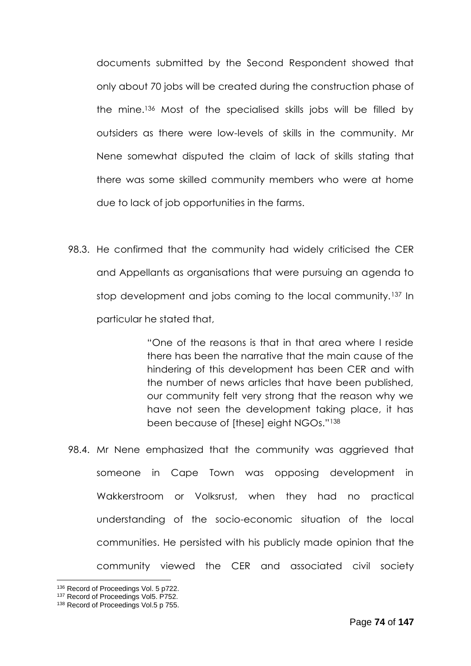documents submitted by the Second Respondent showed that only about 70 jobs will be created during the construction phase of the mine.<sup>136</sup> Most of the specialised skills jobs will be filled by outsiders as there were low-levels of skills in the community. Mr Nene somewhat disputed the claim of lack of skills stating that there was some skilled community members who were at home due to lack of job opportunities in the farms.

98.3. He confirmed that the community had widely criticised the CER and Appellants as organisations that were pursuing an agenda to stop development and jobs coming to the local community.<sup>137</sup> In particular he stated that,

> "One of the reasons is that in that area where I reside there has been the narrative that the main cause of the hindering of this development has been CER and with the number of news articles that have been published, our community felt very strong that the reason why we have not seen the development taking place, it has been because of [these] eight NGOs."<sup>138</sup>

98.4. Mr Nene emphasized that the community was aggrieved that someone in Cape Town was opposing development in Wakkerstroom or Volksrust, when they had no practical understanding of the socio-economic situation of the local communities. He persisted with his publicly made opinion that the community viewed the CER and associated civil society

<sup>136</sup> Record of Proceedings Vol. 5 p722.

<sup>137</sup> Record of Proceedings Vol5. P752.

<sup>&</sup>lt;sup>138</sup> Record of Proceedings Vol.5 p 755.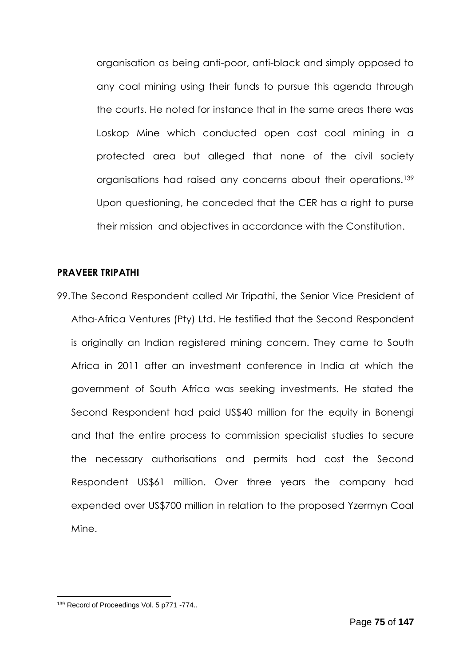organisation as being anti-poor, anti-black and simply opposed to any coal mining using their funds to pursue this agenda through the courts. He noted for instance that in the same areas there was Loskop Mine which conducted open cast coal mining in a protected area but alleged that none of the civil society organisations had raised any concerns about their operations.<sup>139</sup> Upon questioning, he conceded that the CER has a right to purse their mission and objectives in accordance with the Constitution.

### **PRAVEER TRIPATHI**

99.The Second Respondent called Mr Tripathi, the Senior Vice President of Atha-Africa Ventures (Pty) Ltd. He testified that the Second Respondent is originally an Indian registered mining concern. They came to South Africa in 2011 after an investment conference in India at which the government of South Africa was seeking investments. He stated the Second Respondent had paid US\$40 million for the equity in Bonengi and that the entire process to commission specialist studies to secure the necessary authorisations and permits had cost the Second Respondent US\$61 million. Over three years the company had expended over US\$700 million in relation to the proposed Yzermyn Coal Mine.

<sup>139</sup> Record of Proceedings Vol. 5 p771 -774..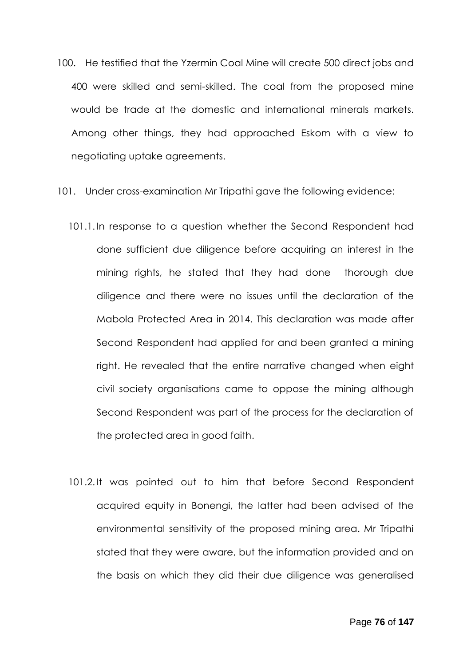- 100. He testified that the Yzermin Coal Mine will create 500 direct jobs and 400 were skilled and semi-skilled. The coal from the proposed mine would be trade at the domestic and international minerals markets. Among other things, they had approached Eskom with a view to negotiating uptake agreements.
- 101. Under cross-examination Mr Tripathi gave the following evidence:
	- 101.1. In response to a question whether the Second Respondent had done sufficient due diligence before acquiring an interest in the mining rights, he stated that they had done thorough due diligence and there were no issues until the declaration of the Mabola Protected Area in 2014. This declaration was made after Second Respondent had applied for and been granted a mining right. He revealed that the entire narrative changed when eight civil society organisations came to oppose the mining although Second Respondent was part of the process for the declaration of the protected area in good faith.
	- 101.2. It was pointed out to him that before Second Respondent acquired equity in Bonengi, the latter had been advised of the environmental sensitivity of the proposed mining area. Mr Tripathi stated that they were aware, but the information provided and on the basis on which they did their due diligence was generalised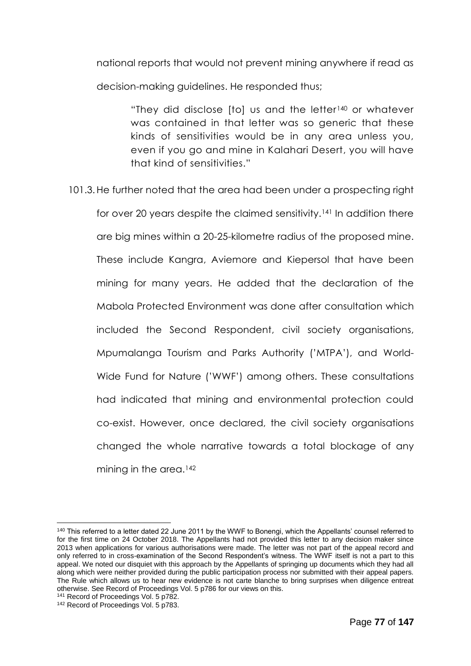national reports that would not prevent mining anywhere if read as decision-making guidelines. He responded thus;

> "They did disclose [to] us and the letter<sup>140</sup> or whatever was contained in that letter was so generic that these kinds of sensitivities would be in any area unless you, even if you go and mine in Kalahari Desert, you will have that kind of sensitivities."

101.3.He further noted that the area had been under a prospecting right

for over 20 years despite the claimed sensitivity.<sup>141</sup> In addition there are big mines within a 20-25-kilometre radius of the proposed mine. These include Kangra, Aviemore and Kiepersol that have been mining for many years. He added that the declaration of the Mabola Protected Environment was done after consultation which included the Second Respondent, civil society organisations, Mpumalanga Tourism and Parks Authority ('MTPA'), and World-Wide Fund for Nature ('WWF') among others. These consultations had indicated that mining and environmental protection could co-exist. However, once declared, the civil society organisations changed the whole narrative towards a total blockage of any mining in the area.<sup>142</sup>

<sup>&</sup>lt;sup>140</sup> This referred to a letter dated 22 June 2011 by the WWF to Bonengi, which the Appellants' counsel referred to for the first time on 24 October 2018. The Appellants had not provided this letter to any decision maker since 2013 when applications for various authorisations were made. The letter was not part of the appeal record and only referred to in cross-examination of the Second Respondent's witness. The WWF itself is not a part to this appeal. We noted our disquiet with this approach by the Appellants of springing up documents which they had all along which were neither provided during the public participation process nor submitted with their appeal papers. The Rule which allows us to hear new evidence is not carte blanche to bring surprises when diligence entreat otherwise. See Record of Proceedings Vol. 5 p786 for our views on this.

<sup>&</sup>lt;sup>141</sup> Record of Proceedings Vol. 5 p782.

<sup>&</sup>lt;sup>142</sup> Record of Proceedings Vol. 5 p783.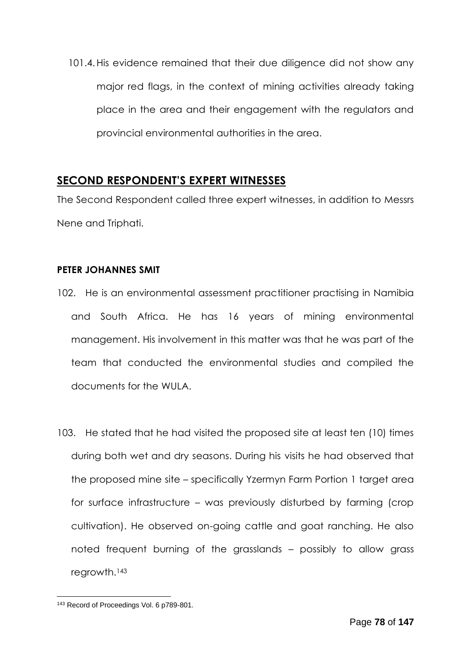101.4.His evidence remained that their due diligence did not show any major red flags, in the context of mining activities already taking place in the area and their engagement with the regulators and provincial environmental authorities in the area.

## **SECOND RESPONDENT'S EXPERT WITNESSES**

The Second Respondent called three expert witnesses, in addition to Messrs Nene and Triphati.

### **PETER JOHANNES SMIT**

- 102. He is an environmental assessment practitioner practising in Namibia and South Africa. He has 16 years of mining environmental management. His involvement in this matter was that he was part of the team that conducted the environmental studies and compiled the documents for the WULA.
- 103. He stated that he had visited the proposed site at least ten (10) times during both wet and dry seasons. During his visits he had observed that the proposed mine site – specifically Yzermyn Farm Portion 1 target area for surface infrastructure – was previously disturbed by farming (crop cultivation). He observed on-going cattle and goat ranching. He also noted frequent burning of the grasslands – possibly to allow grass regrowth.<sup>143</sup>

<sup>1</sup> 143 Record of Proceedings Vol. 6 p789-801.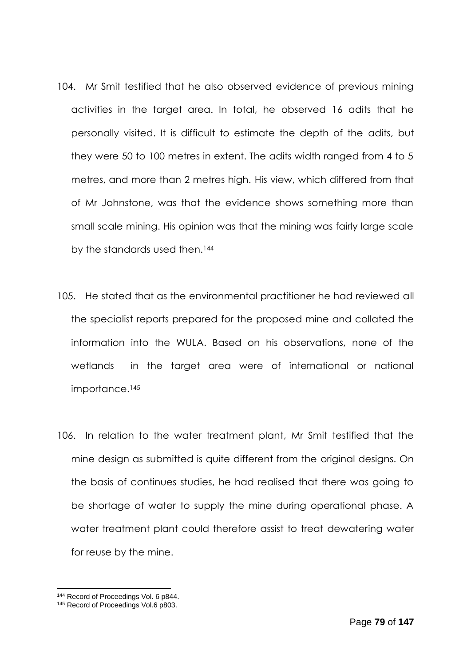- 104. Mr Smit testified that he also observed evidence of previous mining activities in the target area. In total, he observed 16 adits that he personally visited. It is difficult to estimate the depth of the adits, but they were 50 to 100 metres in extent. The adits width ranged from 4 to 5 metres, and more than 2 metres high. His view, which differed from that of Mr Johnstone, was that the evidence shows something more than small scale mining. His opinion was that the mining was fairly large scale by the standards used then.<sup>144</sup>
- 105. He stated that as the environmental practitioner he had reviewed all the specialist reports prepared for the proposed mine and collated the information into the WULA. Based on his observations, none of the wetlands in the target area were of international or national importance.<sup>145</sup>
- 106. In relation to the water treatment plant, Mr Smit testified that the mine design as submitted is quite different from the original designs. On the basis of continues studies, he had realised that there was going to be shortage of water to supply the mine during operational phase. A water treatment plant could therefore assist to treat dewatering water for reuse by the mine.

<sup>&</sup>lt;sup>144</sup> Record of Proceedings Vol. 6 p844.

<sup>&</sup>lt;sup>145</sup> Record of Proceedings Vol.6 p803.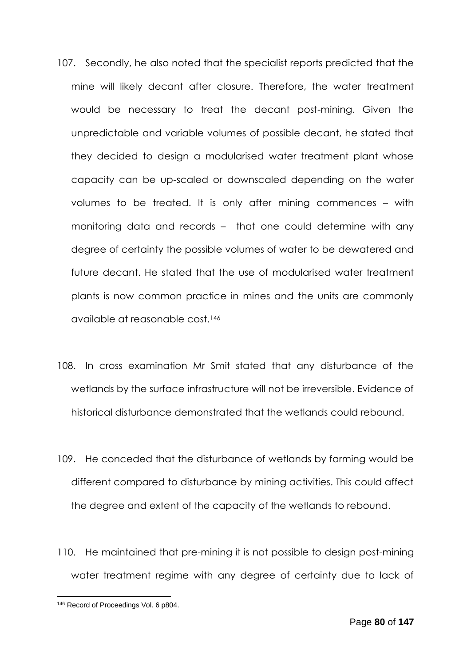- 107. Secondly, he also noted that the specialist reports predicted that the mine will likely decant after closure. Therefore, the water treatment would be necessary to treat the decant post-mining. Given the unpredictable and variable volumes of possible decant, he stated that they decided to design a modularised water treatment plant whose capacity can be up-scaled or downscaled depending on the water volumes to be treated. It is only after mining commences – with monitoring data and records – that one could determine with any degree of certainty the possible volumes of water to be dewatered and future decant. He stated that the use of modularised water treatment plants is now common practice in mines and the units are commonly available at reasonable cost.<sup>146</sup>
- 108. In cross examination Mr Smit stated that any disturbance of the wetlands by the surface infrastructure will not be irreversible. Evidence of historical disturbance demonstrated that the wetlands could rebound.
- 109. He conceded that the disturbance of wetlands by farming would be different compared to disturbance by mining activities. This could affect the degree and extent of the capacity of the wetlands to rebound.
- 110. He maintained that pre-mining it is not possible to design post-mining water treatment regime with any degree of certainty due to lack of

<sup>1</sup> 146 Record of Proceedings Vol. 6 p804.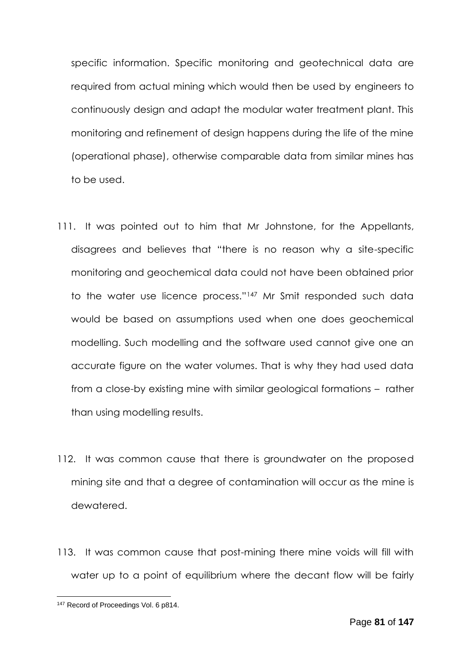specific information. Specific monitoring and geotechnical data are required from actual mining which would then be used by engineers to continuously design and adapt the modular water treatment plant. This monitoring and refinement of design happens during the life of the mine (operational phase), otherwise comparable data from similar mines has to be used.

- 111. It was pointed out to him that Mr Johnstone, for the Appellants, disagrees and believes that "there is no reason why a site-specific monitoring and geochemical data could not have been obtained prior to the water use licence process."<sup>147</sup> Mr Smit responded such data would be based on assumptions used when one does geochemical modelling. Such modelling and the software used cannot give one an accurate figure on the water volumes. That is why they had used data from a close-by existing mine with similar geological formations – rather than using modelling results.
- 112. It was common cause that there is groundwater on the proposed mining site and that a degree of contamination will occur as the mine is dewatered.
- 113. It was common cause that post-mining there mine voids will fill with water up to a point of equilibrium where the decant flow will be fairly

<sup>1</sup> <sup>147</sup> Record of Proceedings Vol. 6 p814.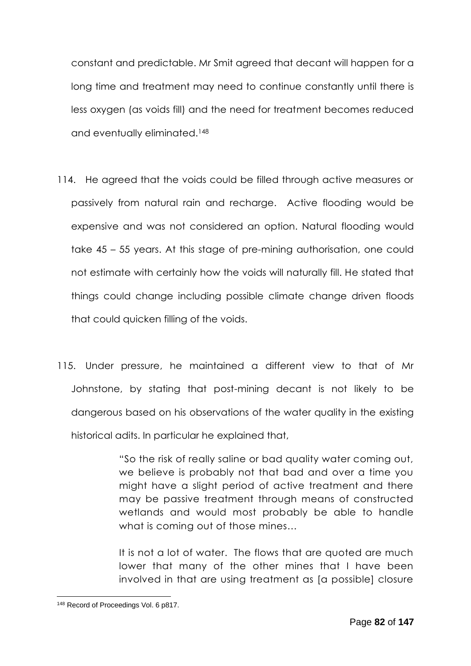constant and predictable. Mr Smit agreed that decant will happen for a long time and treatment may need to continue constantly until there is less oxygen (as voids fill) and the need for treatment becomes reduced and eventually eliminated.<sup>148</sup>

- 114. He agreed that the voids could be filled through active measures or passively from natural rain and recharge. Active flooding would be expensive and was not considered an option. Natural flooding would take 45 – 55 years. At this stage of pre-mining authorisation, one could not estimate with certainly how the voids will naturally fill. He stated that things could change including possible climate change driven floods that could quicken filling of the voids.
- 115. Under pressure, he maintained a different view to that of Mr Johnstone, by stating that post-mining decant is not likely to be dangerous based on his observations of the water quality in the existing historical adits. In particular he explained that,

"So the risk of really saline or bad quality water coming out, we believe is probably not that bad and over a time you might have a slight period of active treatment and there may be passive treatment through means of constructed wetlands and would most probably be able to handle what is coming out of those mines…

It is not a lot of water. The flows that are quoted are much lower that many of the other mines that I have been involved in that are using treatment as [a possible] closure

<sup>1</sup> 148 Record of Proceedings Vol. 6 p817.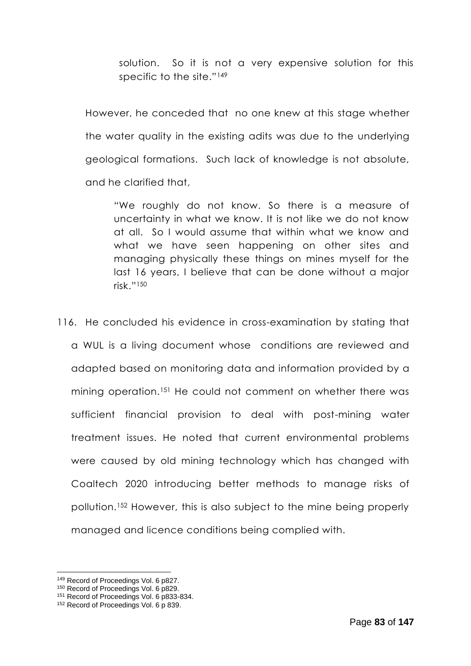solution. So it is not a very expensive solution for this specific to the site."<sup>149</sup>

However, he conceded that no one knew at this stage whether the water quality in the existing adits was due to the underlying geological formations. Such lack of knowledge is not absolute, and he clarified that,

"We roughly do not know. So there is a measure of uncertainty in what we know. It is not like we do not know at all. So I would assume that within what we know and what we have seen happening on other sites and managing physically these things on mines myself for the last 16 years, I believe that can be done without a major risk."<sup>150</sup>

116. He concluded his evidence in cross-examination by stating that a WUL is a living document whose conditions are reviewed and adapted based on monitoring data and information provided by a mining operation.<sup>151</sup> He could not comment on whether there was sufficient financial provision to deal with post-mining water treatment issues. He noted that current environmental problems were caused by old mining technology which has changed with Coaltech 2020 introducing better methods to manage risks of pollution.<sup>152</sup> However, this is also subject to the mine being properly managed and licence conditions being complied with.

<sup>149</sup> Record of Proceedings Vol. 6 p827.

<sup>150</sup> Record of Proceedings Vol. 6 p829.

<sup>151</sup> Record of Proceedings Vol. 6 p833-834.

<sup>&</sup>lt;sup>152</sup> Record of Proceedings Vol. 6 p 839.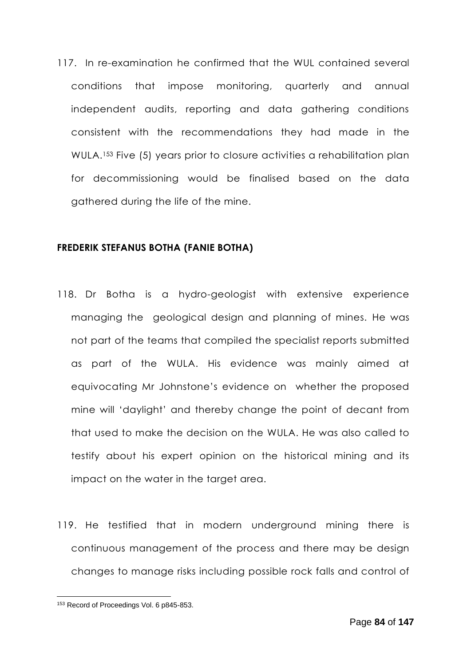117. In re-examination he confirmed that the WUL contained several conditions that impose monitoring, quarterly and annual independent audits, reporting and data gathering conditions consistent with the recommendations they had made in the WULA. <sup>153</sup> Five (5) years prior to closure activities a rehabilitation plan for decommissioning would be finalised based on the data gathered during the life of the mine.

#### **FREDERIK STEFANUS BOTHA (FANIE BOTHA)**

- 118. Dr Botha is a hydro-geologist with extensive experience managing the geological design and planning of mines. He was not part of the teams that compiled the specialist reports submitted as part of the WULA. His evidence was mainly aimed at equivocating Mr Johnstone's evidence on whether the proposed mine will 'daylight' and thereby change the point of decant from that used to make the decision on the WULA. He was also called to testify about his expert opinion on the historical mining and its impact on the water in the target area.
- 119. He testified that in modern underground mining there is continuous management of the process and there may be design changes to manage risks including possible rock falls and control of

<sup>153</sup> Record of Proceedings Vol. 6 p845-853.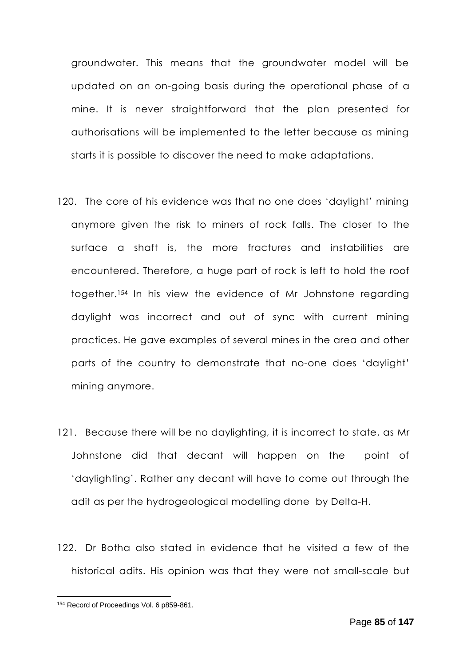groundwater. This means that the groundwater model will be updated on an on-going basis during the operational phase of a mine. It is never straightforward that the plan presented for authorisations will be implemented to the letter because as mining starts it is possible to discover the need to make adaptations.

- 120. The core of his evidence was that no one does 'daylight' mining anymore given the risk to miners of rock falls. The closer to the surface a shaft is, the more fractures and instabilities are encountered. Therefore, a huge part of rock is left to hold the roof together.<sup>154</sup> In his view the evidence of Mr Johnstone regarding daylight was incorrect and out of sync with current mining practices. He gave examples of several mines in the area and other parts of the country to demonstrate that no-one does 'daylight' mining anymore.
- 121. Because there will be no daylighting, it is incorrect to state, as Mr Johnstone did that decant will happen on the point of 'daylighting'. Rather any decant will have to come out through the adit as per the hydrogeological modelling done by Delta-H.
- 122. Dr Botha also stated in evidence that he visited a few of the historical adits. His opinion was that they were not small-scale but

<sup>154</sup> Record of Proceedings Vol. 6 p859-861.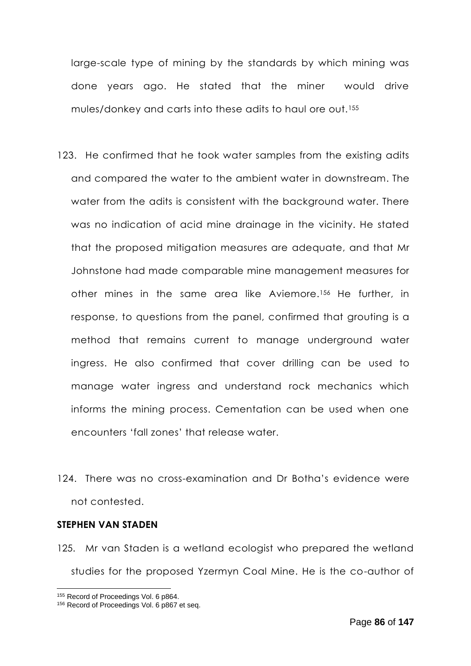large-scale type of mining by the standards by which mining was done years ago. He stated that the miner would drive mules/donkey and carts into these adits to haul ore out.<sup>155</sup>

- 123. He confirmed that he took water samples from the existing adits and compared the water to the ambient water in downstream. The water from the adits is consistent with the background water. There was no indication of acid mine drainage in the vicinity. He stated that the proposed mitigation measures are adequate, and that Mr Johnstone had made comparable mine management measures for other mines in the same area like Aviemore.<sup>156</sup> He further, in response, to questions from the panel, confirmed that grouting is a method that remains current to manage underground water ingress. He also confirmed that cover drilling can be used to manage water ingress and understand rock mechanics which informs the mining process. Cementation can be used when one encounters 'fall zones' that release water.
- 124. There was no cross-examination and Dr Botha's evidence were not contested.

#### **STEPHEN VAN STADEN**

125. Mr van Staden is a wetland ecologist who prepared the wetland studies for the proposed Yzermyn Coal Mine. He is the co-author of

<sup>155</sup> Record of Proceedings Vol. 6 p864.

<sup>&</sup>lt;sup>156</sup> Record of Proceedings Vol. 6 p867 et seq.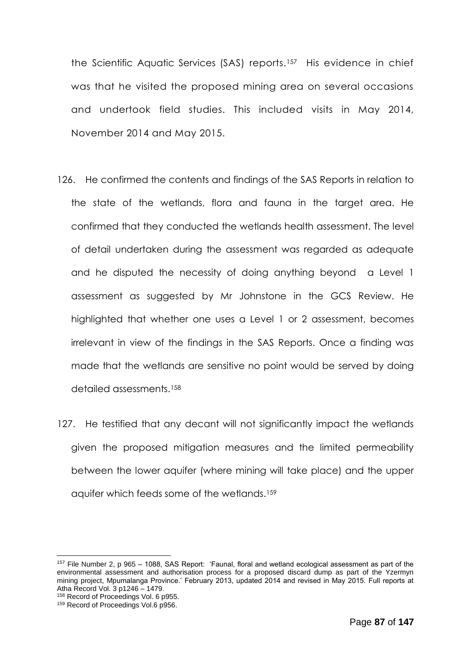the Scientific Aquatic Services (SAS) reports.<sup>157</sup> His evidence in chief was that he visited the proposed mining area on several occasions and undertook field studies. This included visits in May 2014, November 2014 and May 2015.

- 126. He confirmed the contents and findings of the SAS Reports in relation to the state of the wetlands, flora and fauna in the target area. He confirmed that they conducted the wetlands health assessment. The level of detail undertaken during the assessment was regarded as adequate and he disputed the necessity of doing anything beyond a Level 1 assessment as suggested by Mr Johnstone in the GCS Review. He highlighted that whether one uses a Level 1 or 2 assessment, becomes irrelevant in view of the findings in the SAS Reports. Once a finding was made that the wetlands are sensitive no point would be served by doing detailed assessments.<sup>158</sup>
- 127. He testified that any decant will not significantly impact the wetlands given the proposed mitigation measures and the limited permeability between the lower aquifer (where mining will take place) and the upper aquifer which feeds some of the wetlands.<sup>159</sup>

<sup>157</sup> File Number 2, p 965 – 1088, SAS Report: 'Faunal, floral and wetland ecological assessment as part of the environmental assessment and authorisation process for a proposed discard dump as part of the Yzermyn mining project, Mpumalanga Province.' February 2013, updated 2014 and revised in May 2015. Full reports at Atha Record Vol. 3 p1246 – 1479.

<sup>&</sup>lt;sup>158</sup> Record of Proceedings Vol. 6 p955.

<sup>&</sup>lt;sup>159</sup> Record of Proceedings Vol.6 p956.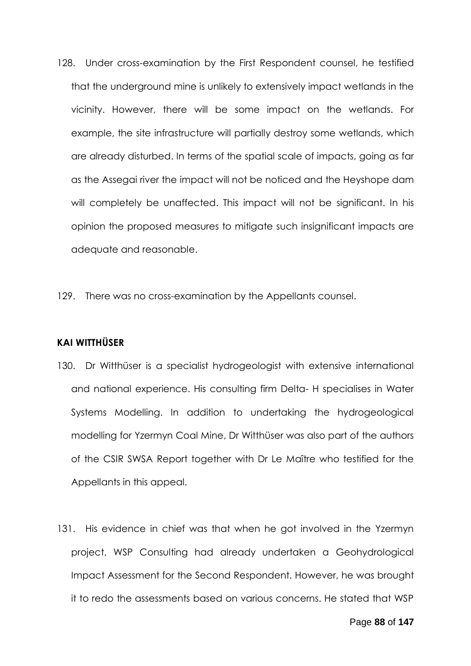- 128. Under cross-examination by the First Respondent counsel, he testified that the underground mine is unlikely to extensively impact wetlands in the vicinity. However, there will be some impact on the wetlands. For example, the site infrastructure will partially destroy some wetlands, which are already disturbed. In terms of the spatial scale of impacts, going as far as the Assegai river the impact will not be noticed and the Heyshope dam will completely be unaffected. This impact will not be significant. In his opinion the proposed measures to mitigate such insignificant impacts are adequate and reasonable.
- 129. There was no cross-examination by the Appellants counsel.

### **KAI WITTHÜSER**

- 130. Dr Witthüser is a specialist hydrogeologist with extensive international and national experience. His consulting firm Delta- H specialises in Water Systems Modelling. In addition to undertaking the hydrogeological modelling for Yzermyn Coal Mine, Dr Witthüser was also part of the authors of the CSIR SWSA Report together with Dr Le Maître who testified for the Appellants in this appeal.
- 131. His evidence in chief was that when he got involved in the Yzermyn project, WSP Consulting had already undertaken a Geohydrological Impact Assessment for the Second Respondent. However, he was brought it to redo the assessments based on various concerns. He stated that WSP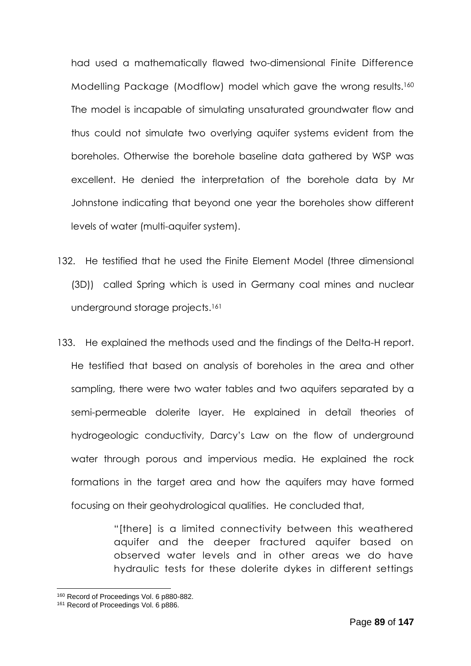had used a mathematically flawed two-dimensional Finite Difference Modelling Package (Modflow) model which gave the wrong results.<sup>160</sup> The model is incapable of simulating unsaturated groundwater flow and thus could not simulate two overlying aquifer systems evident from the boreholes. Otherwise the borehole baseline data gathered by WSP was excellent. He denied the interpretation of the borehole data by Mr Johnstone indicating that beyond one year the boreholes show different levels of water (multi-aquifer system).

- 132. He testified that he used the Finite Element Model (three dimensional (3D)) called Spring which is used in Germany coal mines and nuclear underground storage projects.<sup>161</sup>
- 133. He explained the methods used and the findings of the Delta-H report. He testified that based on analysis of boreholes in the area and other sampling, there were two water tables and two aquifers separated by a semi-permeable dolerite layer. He explained in detail theories of hydrogeologic conductivity, Darcy's Law on the flow of underground water through porous and impervious media. He explained the rock formations in the target area and how the aquifers may have formed focusing on their geohydrological qualities. He concluded that,

"[there] is a limited connectivity between this weathered aquifer and the deeper fractured aquifer based on observed water levels and in other areas we do have hydraulic tests for these dolerite dykes in different settings

<sup>160</sup> Record of Proceedings Vol. 6 p880-882.

<sup>&</sup>lt;sup>161</sup> Record of Proceedings Vol. 6 p886.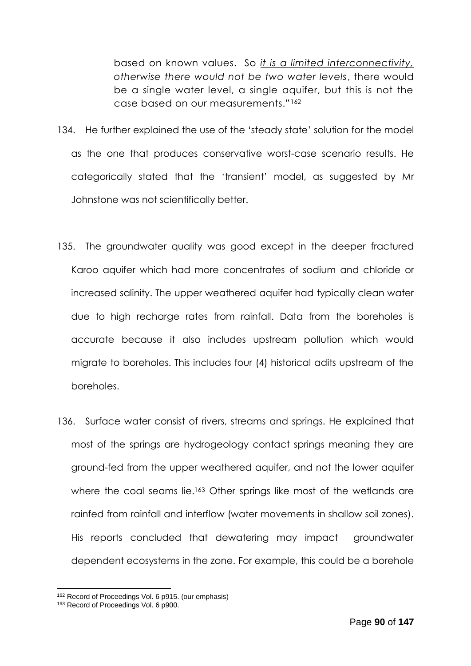based on known values. So *it is a limited interconnectivity, otherwise there would not be two water levels*, there would be a single water level, a single aquifer, but this is not the case based on our measurements."<sup>162</sup>

- 134. He further explained the use of the 'steady state' solution for the model as the one that produces conservative worst-case scenario results. He categorically stated that the 'transient' model, as suggested by Mr Johnstone was not scientifically better.
- 135. The groundwater quality was good except in the deeper fractured Karoo aquifer which had more concentrates of sodium and chloride or increased salinity. The upper weathered aquifer had typically clean water due to high recharge rates from rainfall. Data from the boreholes is accurate because it also includes upstream pollution which would migrate to boreholes. This includes four (4) historical adits upstream of the boreholes.
- 136. Surface water consist of rivers, streams and springs. He explained that most of the springs are hydrogeology contact springs meaning they are ground-fed from the upper weathered aquifer, and not the lower aquifer where the coal seams lie.<sup>163</sup> Other springs like most of the wetlands are rainfed from rainfall and interflow (water movements in shallow soil zones). His reports concluded that dewatering may impact groundwater dependent ecosystems in the zone. For example, this could be a borehole

<sup>162</sup> Record of Proceedings Vol. 6 p915. (our emphasis)

<sup>&</sup>lt;sup>163</sup> Record of Proceedings Vol. 6 p900.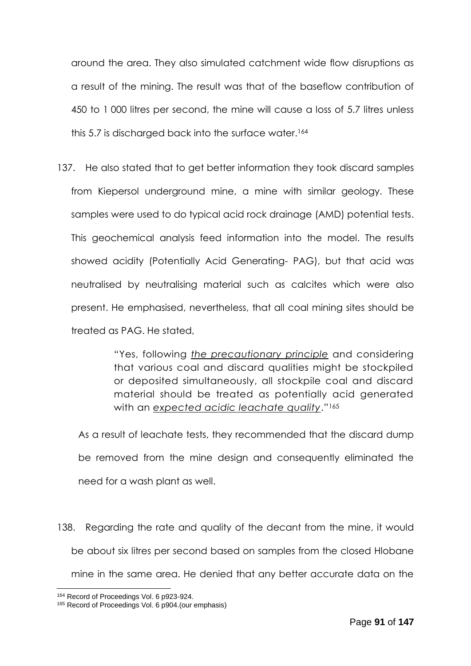around the area. They also simulated catchment wide flow disruptions as a result of the mining. The result was that of the baseflow contribution of 450 to 1 000 litres per second, the mine will cause a loss of 5.7 litres unless this 5.7 is discharged back into the surface water.<sup>164</sup>

137. He also stated that to get better information they took discard samples from Kiepersol underground mine, a mine with similar geology. These samples were used to do typical acid rock drainage (AMD) potential tests. This geochemical analysis feed information into the model. The results showed acidity (Potentially Acid Generating- PAG), but that acid was neutralised by neutralising material such as calcites which were also present. He emphasised, nevertheless, that all coal mining sites should be treated as PAG. He stated,

> "Yes, following *the precautionary principle* and considering that various coal and discard qualities might be stockpiled or deposited simultaneously, all stockpile coal and discard material should be treated as potentially acid generated with an *expected acidic leachate quality*."<sup>165</sup>

As a result of leachate tests, they recommended that the discard dump be removed from the mine design and consequently eliminated the need for a wash plant as well.

138. Regarding the rate and quality of the decant from the mine, it would be about six litres per second based on samples from the closed Hlobane mine in the same area. He denied that any better accurate data on the

<sup>164</sup> Record of Proceedings Vol. 6 p923-924.

<sup>165</sup> Record of Proceedings Vol. 6 p904.(our emphasis)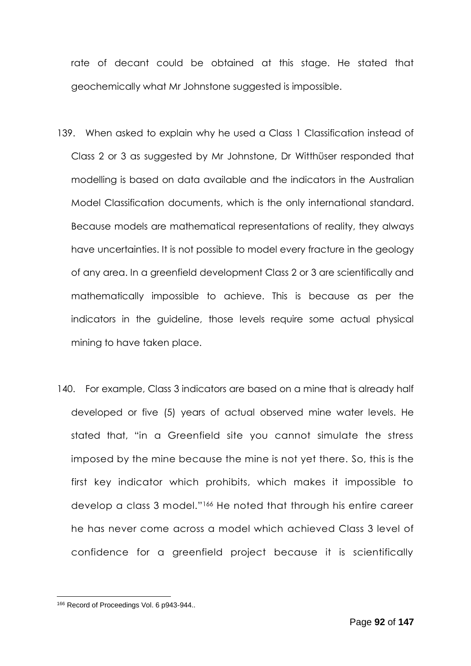rate of decant could be obtained at this stage. He stated that geochemically what Mr Johnstone suggested is impossible.

- 139. When asked to explain why he used a Class 1 Classification instead of Class 2 or 3 as suggested by Mr Johnstone, Dr Witthüser responded that modelling is based on data available and the indicators in the Australian Model Classification documents, which is the only international standard. Because models are mathematical representations of reality, they always have uncertainties. It is not possible to model every fracture in the geology of any area. In a greenfield development Class 2 or 3 are scientifically and mathematically impossible to achieve. This is because as per the indicators in the guideline, those levels require some actual physical mining to have taken place.
- 140. For example, Class 3 indicators are based on a mine that is already half developed or five (5) years of actual observed mine water levels. He stated that, "in a Greenfield site you cannot simulate the stress imposed by the mine because the mine is not yet there. So, this is the first key indicator which prohibits, which makes it impossible to develop a class 3 model."<sup>166</sup> He noted that through his entire career he has never come across a model which achieved Class 3 level of confidence for a greenfield project because it is scientifically

<sup>166</sup> Record of Proceedings Vol. 6 p943-944..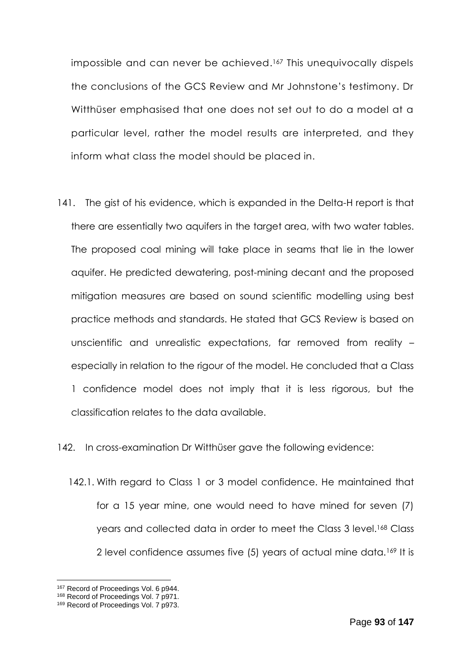impossible and can never be achieved. <sup>167</sup> This unequivocally dispels the conclusions of the GCS Review and Mr Johnstone's testimony. Dr Witthüser emphasised that one does not set out to do a model at a particular level, rather the model results are interpreted, and they inform what class the model should be placed in.

141. The gist of his evidence, which is expanded in the Delta-H report is that there are essentially two aquifers in the target area, with two water tables. The proposed coal mining will take place in seams that lie in the lower aquifer. He predicted dewatering, post-mining decant and the proposed mitigation measures are based on sound scientific modelling using best practice methods and standards. He stated that GCS Review is based on unscientific and unrealistic expectations, far removed from reality – especially in relation to the rigour of the model. He concluded that a Class 1 confidence model does not imply that it is less rigorous, but the classification relates to the data available.

142. In cross-examination Dr Witthüser gave the following evidence:

142.1. With regard to Class 1 or 3 model confidence. He maintained that for a 15 year mine, one would need to have mined for seven (7) years and collected data in order to meet the Class 3 level.<sup>168</sup> Class 2 level confidence assumes five (5) years of actual mine data.<sup>169</sup> It is

<sup>167</sup> Record of Proceedings Vol. 6 p944.

<sup>&</sup>lt;sup>168</sup> Record of Proceedings Vol. 7 p971.

<sup>&</sup>lt;sup>169</sup> Record of Proceedings Vol. 7 p973.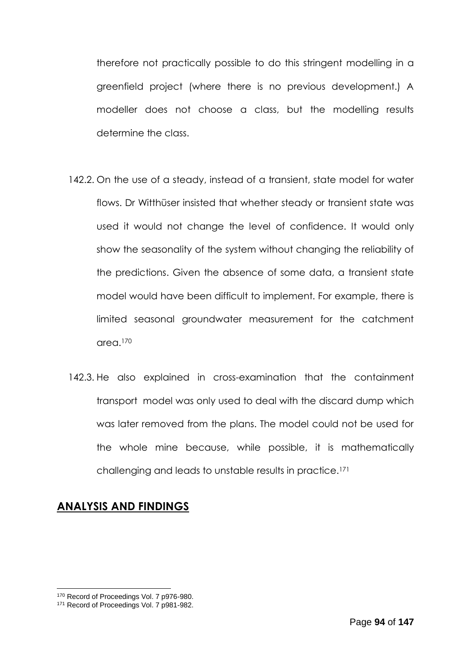therefore not practically possible to do this stringent modelling in a greenfield project (where there is no previous development.) A modeller does not choose a class, but the modelling results determine the class.

- 142.2. On the use of a steady, instead of a transient, state model for water flows. Dr Witthüser insisted that whether steady or transient state was used it would not change the level of confidence. It would only show the seasonality of the system without changing the reliability of the predictions. Given the absence of some data, a transient state model would have been difficult to implement. For example, there is limited seasonal groundwater measurement for the catchment area.<sup>170</sup>
- 142.3. He also explained in cross-examination that the containment transport model was only used to deal with the discard dump which was later removed from the plans. The model could not be used for the whole mine because, while possible, it is mathematically challenging and leads to unstable results in practice.<sup>171</sup>

## **ANALYSIS AND FINDINGS**

<sup>170</sup> Record of Proceedings Vol. 7 p976-980.

<sup>&</sup>lt;sup>171</sup> Record of Proceedings Vol. 7 p981-982.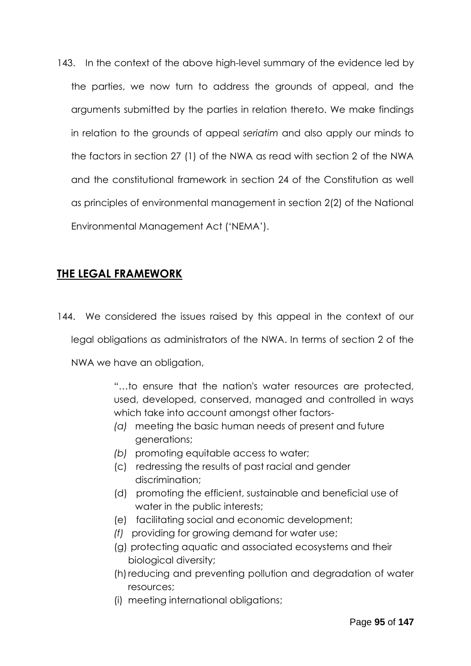143. In the context of the above high-level summary of the evidence led by the parties, we now turn to address the grounds of appeal, and the arguments submitted by the parties in relation thereto. We make findings in relation to the grounds of appeal *seriatim* and also apply our minds to the factors in section 27 (1) of the NWA as read with section 2 of the NWA and the constitutional framework in section 24 of the Constitution as well as principles of environmental management in section 2(2) of the National Environmental Management Act ('NEMA').

# **THE LEGAL FRAMEWORK**

144. We considered the issues raised by this appeal in the context of our legal obligations as administrators of the NWA. In terms of section 2 of the

NWA we have an obligation,

"…to ensure that the nation's water resources are protected, used, developed, conserved, managed and controlled in ways which take into account amongst other factors-

- *(a)* meeting the basic human needs of present and future generations;
- *(b)* promoting equitable access to water;
- (c) redressing the results of past racial and gender discrimination;
- (d) promoting the efficient, sustainable and beneficial use of water in the public interests;
- (e) facilitating social and economic development;
- *(f)* providing for growing demand for water use;
- (g) protecting aquatic and associated ecosystems and their biological diversity;
- (h) reducing and preventing pollution and degradation of water resources;
- (i) meeting international obligations;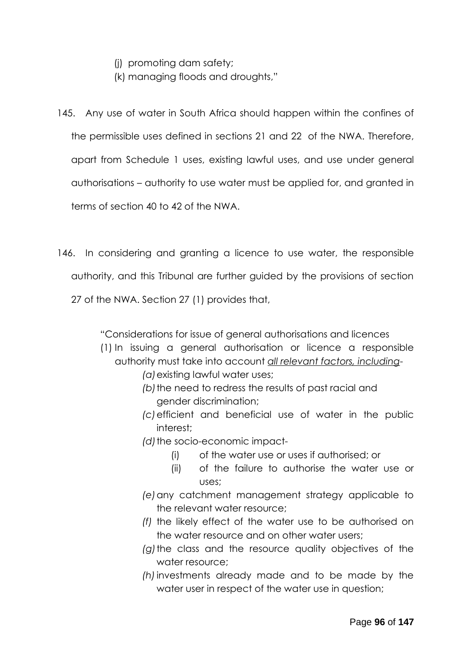- (j) promoting dam safety;
- (k) managing floods and droughts,"
- 145. Any use of water in South Africa should happen within the confines of the permissible uses defined in sections 21 and 22 of the NWA. Therefore, apart from Schedule 1 uses, existing lawful uses, and use under general authorisations – authority to use water must be applied for, and granted in terms of section 40 to 42 of the NWA.
- 146. In considering and granting a licence to use water, the responsible authority, and this Tribunal are further guided by the provisions of section 27 of the NWA. Section 27 (1) provides that,

"Considerations for issue of general authorisations and licences

- (1) In issuing a general authorisation or licence a responsible authority must take into account *all relevant factors, including*-
	- *(a)*existing lawful water uses;
	- *(b)*the need to redress the results of past racial and gender discrimination;
	- *(c)*efficient and beneficial use of water in the public interest;
	- *(d)*the socio-economic impact-
		- (i) of the water use or uses if authorised; or
		- (ii) of the failure to authorise the water use or uses;
	- *(e)*any catchment management strategy applicable to the relevant water resource;
	- *(f)* the likely effect of the water use to be authorised on the water resource and on other water users;
	- *(g)*the class and the resource quality objectives of the water resource;
	- *(h)*investments already made and to be made by the water user in respect of the water use in question;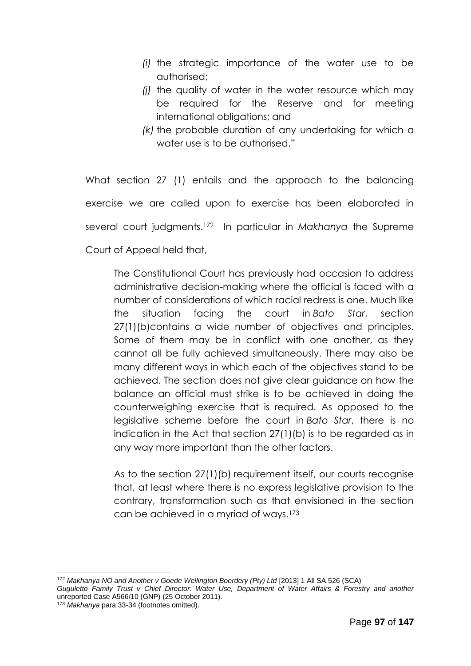- *(i)* the strategic importance of the water use to be authorised;
- *(j)* the quality of water in the water resource which may be required for the Reserve and for meeting international obligations; and
- *(k)* the probable duration of any undertaking for which a water use is to be authorised."

What section 27 (1) entails and the approach to the balancing exercise we are called upon to exercise has been elaborated in several court judgments.<sup>172</sup> In particular in *Makhanya* the Supreme Court of Appeal held that,

The Constitutional Court has previously had occasion to address administrative decision-making where the official is faced with a number of considerations of which racial redress is one. Much like the situation facing the court in *Bato Star*, section 27(1)(b)contains a wide number of objectives and principles. Some of them may be in conflict with one another, as they cannot all be fully achieved simultaneously. There may also be many different ways in which each of the objectives stand to be achieved. The section does not give clear guidance on how the balance an official must strike is to be achieved in doing the counterweighing exercise that is required. As opposed to the legislative scheme before the court in *Bato Star*, there is no indication in the Act that section 27(1)(b) is to be regarded as in any way more important than the other factors.

As to the section 27(1)(b) requirement itself, our courts recognise that, at least where there is no express legislative provision to the contrary, transformation such as that envisioned in the section can be achieved in a myriad of ways.<sup>173</sup>

<sup>1</sup> <sup>172</sup> *Makhanya NO and Another v Goede Wellington Boerdery (Pty) Ltd* [2013] 1 All SA 526 (SCA)

*Guguletto Family Trust v Chief Director: Water Use, Department of Water Affairs & Forestry and another*  unreported Case A566/10 (GNP) (25 October 2011).

<sup>173</sup> *Makhanya* para 33-34 (footnotes omitted).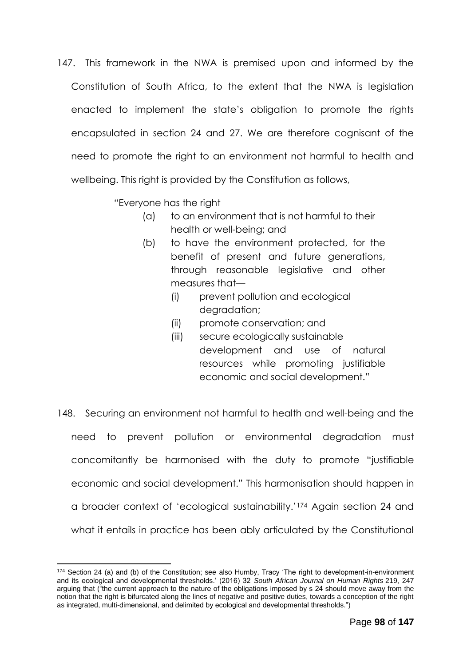147. This framework in the NWA is premised upon and informed by the Constitution of South Africa, to the extent that the NWA is legislation enacted to implement the state's obligation to promote the rights encapsulated in section 24 and 27. We are therefore cognisant of the need to promote the right to an environment not harmful to health and wellbeing. This right is provided by the Constitution as follows,

"Everyone has the right

- (a) to an environment that is not harmful to their health or well-being; and
- (b) to have the environment protected, for the benefit of present and future generations, through reasonable legislative and other measures that—
	- (i) prevent pollution and ecological dearadation;
	- (ii) promote conservation; and
	- (iii) secure ecologically sustainable development and use of natural resources while promoting justifiable economic and social development."
- 148. Securing an environment not harmful to health and well-being and the need to prevent pollution or environmental degradation must concomitantly be harmonised with the duty to promote "justifiable economic and social development." This harmonisation should happen in a broader context of 'ecological sustainability.'<sup>174</sup> Again section 24 and what it entails in practice has been ably articulated by the Constitutional

<sup>174</sup> Section 24 (a) and (b) of the Constitution; see also Humby, Tracy 'The right to development-in-environment and its ecological and developmental thresholds.' (2016) 32 *South African Journal on Human Rights* 219, 247 arguing that ("the current approach to the nature of the obligations imposed by s 24 should move away from the notion that the right is bifurcated along the lines of negative and positive duties, towards a conception of the right as integrated, multi-dimensional, and delimited by ecological and developmental thresholds.")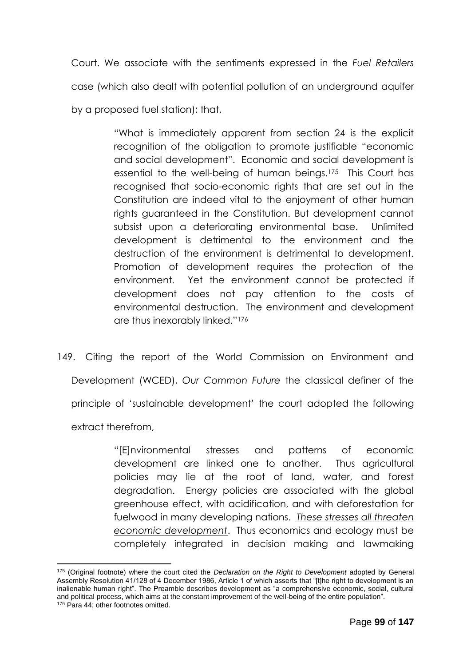Court. We associate with the sentiments expressed in the *Fuel Retailers* case (which also dealt with potential pollution of an underground aquifer by a proposed fuel station); that,

> "What is immediately apparent from section 24 is the explicit recognition of the obligation to promote justifiable "economic and social development". Economic and social development is essential to the well-being of human beings.175 This Court has recognised that socio-economic rights that are set out in the Constitution are indeed vital to the enjoyment of other human rights guaranteed in the Constitution. But development cannot subsist upon a deteriorating environmental base. Unlimited development is detrimental to the environment and the destruction of the environment is detrimental to development. Promotion of development requires the protection of the environment. Yet the environment cannot be protected if development does not pay attention to the costs of environmental destruction. The environment and development are thus inexorably linked."<sup>176</sup>

149. Citing the report of the World Commission on Environment and Development (WCED), *Our Common Future* the classical definer of the principle of 'sustainable development' the court adopted the following extract therefrom,

> "[E]nvironmental stresses and patterns of economic development are linked one to another. Thus agricultural policies may lie at the root of land, water, and forest degradation. Energy policies are associated with the global greenhouse effect, with acidification, and with deforestation for fuelwood in many developing nations. *These stresses all threaten economic development*. Thus economics and ecology must be completely integrated in decision making and lawmaking

<sup>1</sup> <sup>175</sup> (Original footnote) where the court cited the *Declaration on the Right to Development* adopted by General Assembly Resolution 41/128 of 4 December 1986, Article 1 of which asserts that "[t]he right to development is an inalienable human right". The Preamble describes development as "a comprehensive economic, social, cultural and political process, which aims at the constant improvement of the well-being of the entire population".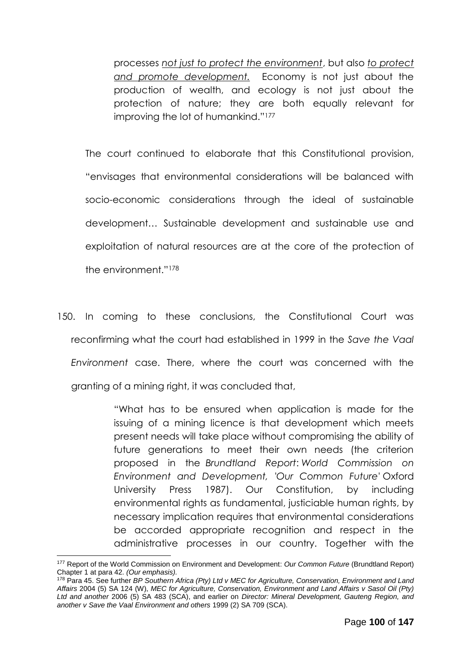processes *not just to protect the environment*, but also *to protect and promote development.* Economy is not just about the production of wealth, and ecology is not just about the protection of nature; they are both equally relevant for improving the lot of humankind."<sup>177</sup>

The court continued to elaborate that this Constitutional provision, "envisages that environmental considerations will be balanced with socio-economic considerations through the ideal of sustainable development… Sustainable development and sustainable use and exploitation of natural resources are at the core of the protection of the environment."<sup>178</sup>

150. In coming to these conclusions, the Constitutional Court was reconfirming what the court had established in 1999 in the *Save the Vaal Environment* case. There, where the court was concerned with the granting of a mining right, it was concluded that,

> "What has to be ensured when application is made for the issuing of a mining licence is that development which meets present needs will take place without compromising the ability of future generations to meet their own needs (the criterion proposed in the *Brundtland Report*: *World Commission on Environment and Development, 'Our Common Future'* Oxford University Press 1987). Our Constitution, by including environmental rights as fundamental, justiciable human rights, by necessary implication requires that environmental considerations be accorded appropriate recognition and respect in the administrative processes in our country. Together with the

<sup>1</sup> <sup>177</sup> Report of the World Commission on Environment and Development: *Our Common Future* (Brundtland Report) Chapter 1 at para 42. *(Our emphasis).* 

<sup>178</sup> Para 45. See further *BP Southern Africa (Pty) Ltd v MEC for Agriculture, Conservation, Environment and Land Affairs* 2004 (5) SA 124 (W), *MEC for Agriculture, Conservation, Environment and Land Affairs v Sasol Oil (Pty) Ltd and another* 2006 (5) SA 483 (SCA), and earlier on *Director: Mineral Development, Gauteng Region, and another v Save the Vaal Environment and others* 1999 (2) SA 709 (SCA).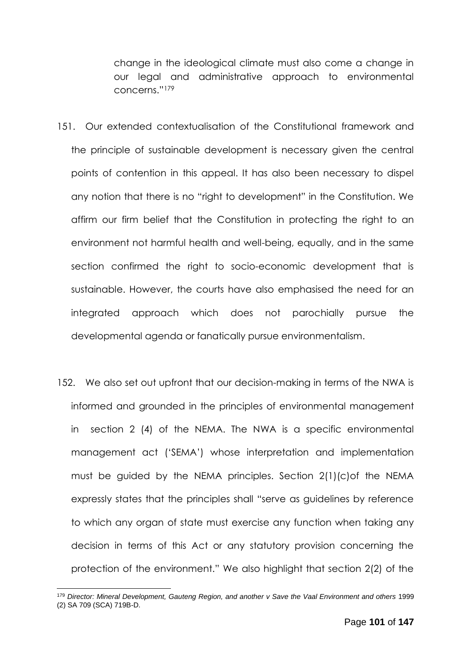change in the ideological climate must also come a change in our legal and administrative approach to environmental concerns."<sup>179</sup>

- 151. Our extended contextualisation of the Constitutional framework and the principle of sustainable development is necessary given the central points of contention in this appeal. It has also been necessary to dispel any notion that there is no "right to development" in the Constitution. We affirm our firm belief that the Constitution in protecting the right to an environment not harmful health and well-being, equally, and in the same section confirmed the right to socio-economic development that is sustainable. However, the courts have also emphasised the need for an integrated approach which does not parochially pursue the developmental agenda or fanatically pursue environmentalism.
- 152. We also set out upfront that our decision-making in terms of the NWA is informed and grounded in the principles of environmental management in section 2 (4) of the NEMA. The NWA is a specific environmental management act ('SEMA') whose interpretation and implementation must be guided by the NEMA principles. Section 2(1)(c)of the NEMA expressly states that the principles shall "serve as guidelines by reference to which any organ of state must exercise any function when taking any decision in terms of this Act or any statutory provision concerning the protection of the environment." We also highlight that section 2(2) of the

<sup>179</sup> *Director: Mineral Development, Gauteng Region, and another v Save the Vaal Environment and others* 1999 (2) SA 709 (SCA) 719B-D.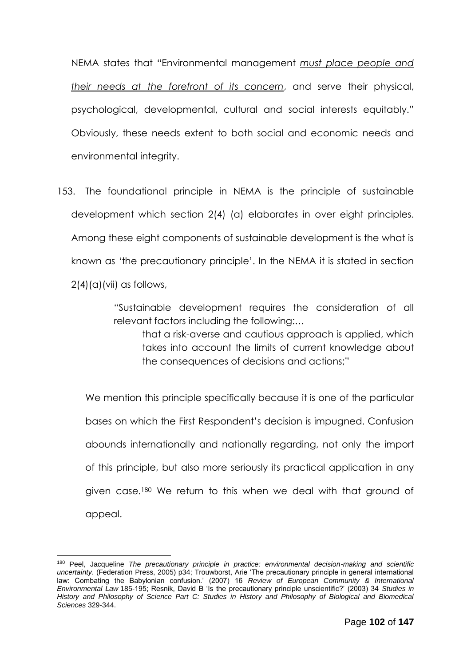NEMA states that "Environmental management *must place people and their needs at the forefront of its concern*, and serve their physical, psychological, developmental, cultural and social interests equitably." Obviously, these needs extent to both social and economic needs and environmental integrity.

153. The foundational principle in NEMA is the principle of sustainable development which section 2(4) (a) elaborates in over eight principles. Among these eight components of sustainable development is the what is known as 'the precautionary principle'. In the NEMA it is stated in section  $2(4)(a)(vii)$  as follows,

> "Sustainable development requires the consideration of all relevant factors including the following:… that a risk-averse and cautious approach is applied, which

takes into account the limits of current knowledge about the consequences of decisions and actions;"

We mention this principle specifically because it is one of the particular bases on which the First Respondent's decision is impugned. Confusion abounds internationally and nationally regarding, not only the import of this principle, but also more seriously its practical application in any given case.<sup>180</sup> We return to this when we deal with that ground of appeal.

<sup>1</sup> <sup>180</sup> Peel, Jacqueline *The precautionary principle in practice: environmental decision-making and scientific uncertainty*. (Federation Press, 2005) p34; Trouwborst, Arie 'The precautionary principle in general international law: Combating the Babylonian confusion.' (2007) 16 *Review of European Community & International Environmental Law* 185-195; Resnik, David B 'Is the precautionary principle unscientific?' (2003) 34 *Studies in History and Philosophy of Science Part C: Studies in History and Philosophy of Biological and Biomedical Sciences* 329-344.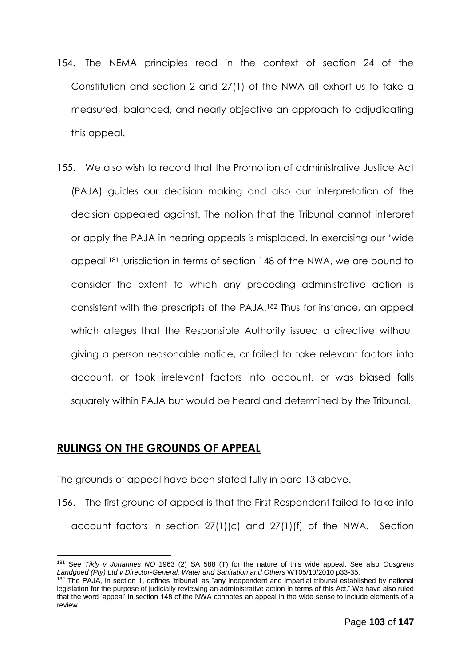- 154. The NEMA principles read in the context of section 24 of the Constitution and section 2 and 27(1) of the NWA all exhort us to take a measured, balanced, and nearly objective an approach to adjudicating this appeal.
- 155. We also wish to record that the Promotion of administrative Justice Act (PAJA) guides our decision making and also our interpretation of the decision appealed against. The notion that the Tribunal cannot interpret or apply the PAJA in hearing appeals is misplaced. In exercising our 'wide appeal'<sup>181</sup> jurisdiction in terms of section 148 of the NWA, we are bound to consider the extent to which any preceding administrative action is consistent with the prescripts of the PAJA.<sup>182</sup> Thus for instance, an appeal which alleges that the Responsible Authority issued a directive without giving a person reasonable notice, or failed to take relevant factors into account, or took irrelevant factors into account, or was biased falls squarely within PAJA but would be heard and determined by the Tribunal.

## **RULINGS ON THE GROUNDS OF APPEAL**

The grounds of appeal have been stated fully in para 13 above.

156. The first ground of appeal is that the First Respondent failed to take into account factors in section 27(1)(c) and 27(1)(f) of the NWA. Section

<sup>1</sup> <sup>181</sup> See *Tikly v Johannes NO* 1963 (2) SA 588 (T) for the nature of this wide appeal. See also *Oosgrens Landgoed (Pty) Ltd v Director-General, Water and Sanitation and Others* WT05/10/2010 p33-35.

<sup>&</sup>lt;sup>182</sup> The PAJA, in section 1, defines 'tribunal' as "any independent and impartial tribunal established by national legislation for the purpose of judicially reviewing an administrative action in terms of this Act." We have also ruled that the word 'appeal' in section 148 of the NWA connotes an appeal in the wide sense to include elements of a review.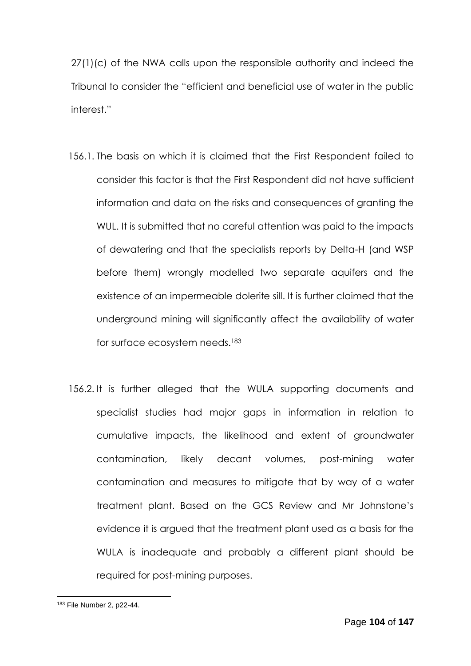27(1)(c) of the NWA calls upon the responsible authority and indeed the Tribunal to consider the "efficient and beneficial use of water in the public interest."

- 156.1. The basis on which it is claimed that the First Respondent failed to consider this factor is that the First Respondent did not have sufficient information and data on the risks and consequences of granting the WUL. It is submitted that no careful attention was paid to the impacts of dewatering and that the specialists reports by Delta-H (and WSP before them) wrongly modelled two separate aquifers and the existence of an impermeable dolerite sill. It is further claimed that the underground mining will significantly affect the availability of water for surface ecosystem needs.<sup>183</sup>
- 156.2. It is further alleged that the WULA supporting documents and specialist studies had major gaps in information in relation to cumulative impacts, the likelihood and extent of groundwater contamination, likely decant volumes, post-mining water contamination and measures to mitigate that by way of a water treatment plant. Based on the GCS Review and Mr Johnstone's evidence it is argued that the treatment plant used as a basis for the WULA is inadequate and probably a different plant should be required for post-mining purposes.

<sup>1</sup> <sup>183</sup> File Number 2, p22-44.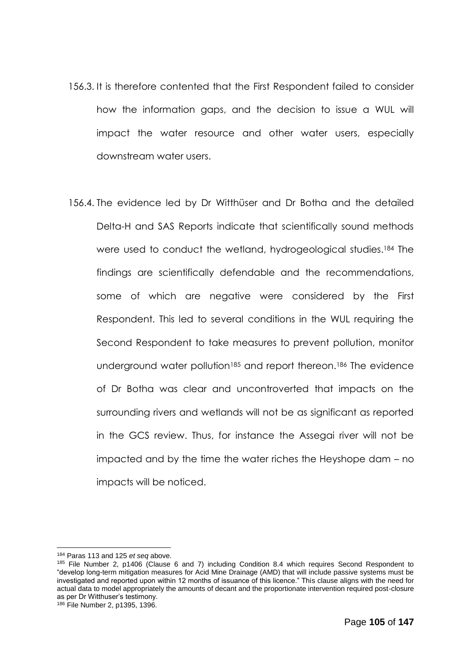- 156.3. It is therefore contented that the First Respondent failed to consider how the information gaps, and the decision to issue a WUL will impact the water resource and other water users, especially downstream water users.
- 156.4. The evidence led by Dr Witthüser and Dr Botha and the detailed Delta-H and SAS Reports indicate that scientifically sound methods were used to conduct the wetland, hydrogeological studies. <sup>184</sup> The findings are scientifically defendable and the recommendations, some of which are negative were considered by the First Respondent. This led to several conditions in the WUL requiring the Second Respondent to take measures to prevent pollution, monitor underground water pollution<sup>185</sup> and report thereon.<sup>186</sup> The evidence of Dr Botha was clear and uncontroverted that impacts on the surrounding rivers and wetlands will not be as significant as reported in the GCS review. Thus, for instance the Assegai river will not be impacted and by the time the water riches the Heyshope dam – no impacts will be noticed.

<sup>184</sup> Paras 113 and 125 *et seq* above.

<sup>185</sup> File Number 2, p1406 (Clause 6 and 7) including Condition 8.4 which requires Second Respondent to "develop long-term mitigation measures for Acid Mine Drainage (AMD) that will include passive systems must be investigated and reported upon within 12 months of issuance of this licence." This clause aligns with the need for actual data to model appropriately the amounts of decant and the proportionate intervention required post-closure as per Dr Witthuser's testimony.

<sup>186</sup> File Number 2, p1395, 1396.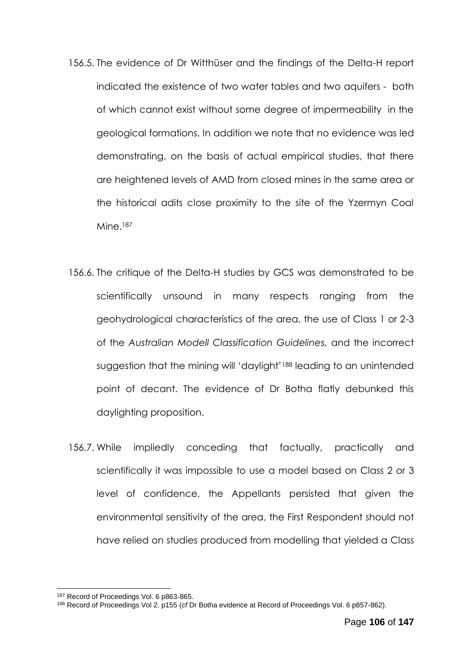- 156.5. The evidence of Dr Witthüser and the findings of the Delta-H report indicated the existence of two water tables and two aquifers - both of which cannot exist without some degree of impermeability in the geological formations. In addition we note that no evidence was led demonstrating, on the basis of actual empirical studies, that there are heightened levels of AMD from closed mines in the same area or the historical adits close proximity to the site of the Yzermyn Coal Mine.<sup>187</sup>
- 156.6. The critique of the Delta-H studies by GCS was demonstrated to be scientifically unsound in many respects ranging from the geohydrological characteristics of the area, the use of Class 1 or 2-3 of the *Australian Modell Classification Guidelines,* and the incorrect suggestion that the mining will 'daylight'<sup>188</sup> leading to an unintended point of decant. The evidence of Dr Botha flatly debunked this daylighting proposition.
- 156.7. While impliedly conceding that factually, practically and scientifically it was impossible to use a model based on Class 2 or 3 level of confidence, the Appellants persisted that given the environmental sensitivity of the area, the First Respondent should not have relied on studies produced from modelling that yielded a Class

<sup>187</sup> Record of Proceedings Vol. 6 p863-865.

<sup>188</sup> Record of Proceedings Vol 2. p155 (*cf* Dr Botha evidence at Record of Proceedings Vol. 6 p857-862).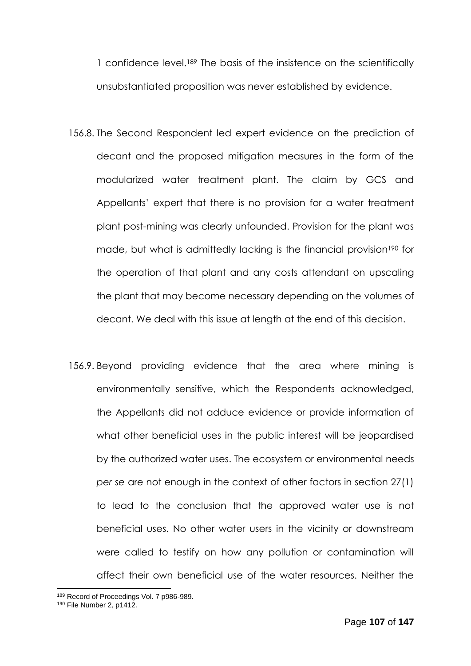1 confidence level.<sup>189</sup> The basis of the insistence on the scientifically unsubstantiated proposition was never established by evidence.

- 156.8. The Second Respondent led expert evidence on the prediction of decant and the proposed mitigation measures in the form of the modularized water treatment plant. The claim by GCS and Appellants' expert that there is no provision for a water treatment plant post-mining was clearly unfounded. Provision for the plant was made, but what is admittedly lacking is the financial provision<sup>190</sup> for the operation of that plant and any costs attendant on upscaling the plant that may become necessary depending on the volumes of decant. We deal with this issue at length at the end of this decision.
- 156.9. Beyond providing evidence that the area where mining is environmentally sensitive, which the Respondents acknowledged, the Appellants did not adduce evidence or provide information of what other beneficial uses in the public interest will be jeopardised by the authorized water uses. The ecosystem or environmental needs *per se* are not enough in the context of other factors in section 27(1) to lead to the conclusion that the approved water use is not beneficial uses. No other water users in the vicinity or downstream were called to testify on how any pollution or contamination will affect their own beneficial use of the water resources. Neither the

<sup>189</sup> Record of Proceedings Vol. 7 p986-989.

<sup>190</sup> File Number 2, p1412.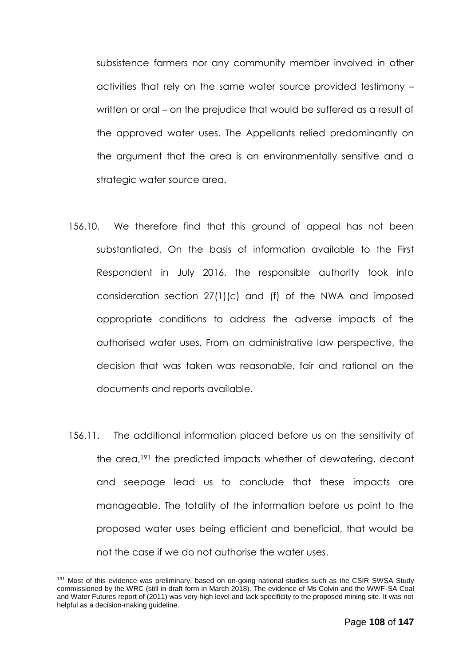subsistence farmers nor any community member involved in other activities that rely on the same water source provided testimony – written or oral – on the prejudice that would be suffered as a result of the approved water uses. The Appellants relied predominantly on the argument that the area is an environmentally sensitive and a strategic water source area.

- 156.10. We therefore find that this ground of appeal has not been substantiated. On the basis of information available to the First Respondent in July 2016, the responsible authority took into consideration section 27(1)(c) and (f) of the NWA and imposed appropriate conditions to address the adverse impacts of the authorised water uses. From an administrative law perspective, the decision that was taken was reasonable, fair and rational on the documents and reports available.
- 156.11. The additional information placed before us on the sensitivity of the area,<sup>191</sup> the predicted impacts whether of dewatering, decant and seepage lead us to conclude that these impacts are manageable. The totality of the information before us point to the proposed water uses being efficient and beneficial, that would be not the case if we do not authorise the water uses.

<sup>191</sup> Most of this evidence was preliminary, based on on-going national studies such as the CSIR SWSA Study commissioned by the WRC (still in draft form in March 2018). The evidence of Ms Colvin and the WWF-SA Coal and Water Futures report of (2011) was very high level and lack specificity to the proposed mining site. It was not helpful as a decision-making guideline.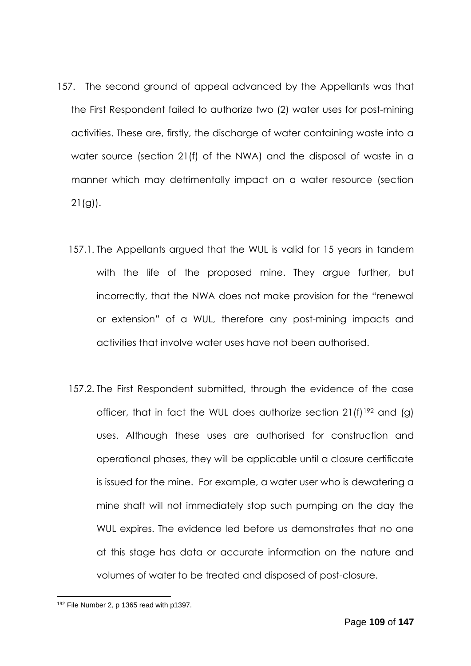- 157. The second ground of appeal advanced by the Appellants was that the First Respondent failed to authorize two (2) water uses for post-mining activities. These are, firstly, the discharge of water containing waste into a water source (section 21(f) of the NWA) and the disposal of waste in a manner which may detrimentally impact on a water resource (section  $21(g)$ ).
	- 157.1. The Appellants argued that the WUL is valid for 15 years in tandem with the life of the proposed mine. They argue further, but incorrectly, that the NWA does not make provision for the "renewal or extension" of a WUL, therefore any post-mining impacts and activities that involve water uses have not been authorised.
	- 157.2. The First Respondent submitted, through the evidence of the case officer, that in fact the WUL does authorize section 21(f)<sup>192</sup> and (g) uses. Although these uses are authorised for construction and operational phases, they will be applicable until a closure certificate is issued for the mine. For example, a water user who is dewatering a mine shaft will not immediately stop such pumping on the day the WUL expires. The evidence led before us demonstrates that no one at this stage has data or accurate information on the nature and volumes of water to be treated and disposed of post-closure.

<sup>1</sup> <sup>192</sup> File Number 2, p 1365 read with p1397.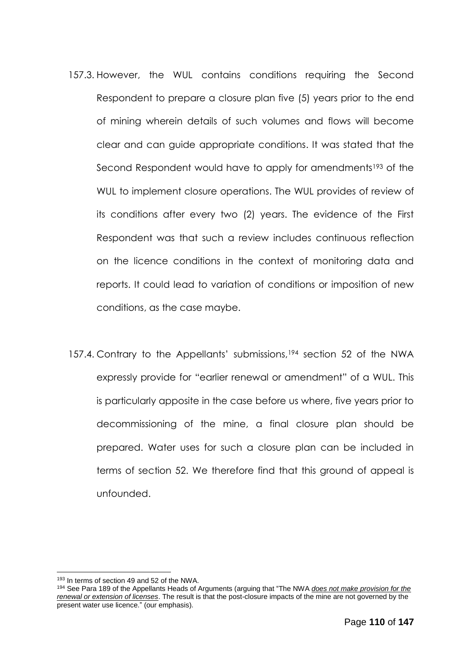- 157.3. However, the WUL contains conditions requiring the Second Respondent to prepare a closure plan five (5) years prior to the end of mining wherein details of such volumes and flows will become clear and can guide appropriate conditions. It was stated that the Second Respondent would have to apply for amendments<sup>193</sup> of the WUL to implement closure operations. The WUL provides of review of its conditions after every two (2) years. The evidence of the First Respondent was that such a review includes continuous reflection on the licence conditions in the context of monitoring data and reports. It could lead to variation of conditions or imposition of new conditions, as the case maybe.
- 157.4. Contrary to the Appellants' submissions,<sup>194</sup> section 52 of the NWA expressly provide for "earlier renewal or amendment" of a WUL. This is particularly apposite in the case before us where, five years prior to decommissioning of the mine, a final closure plan should be prepared. Water uses for such a closure plan can be included in terms of section 52. We therefore find that this ground of appeal is unfounded.

<sup>193</sup> In terms of section 49 and 52 of the NWA.

<sup>194</sup> See Para 189 of the Appellants Heads of Arguments (arguing that "The NWA *does not make provision for the renewal or extension of licenses*. The result is that the post-closure impacts of the mine are not governed by the present water use licence." (our emphasis).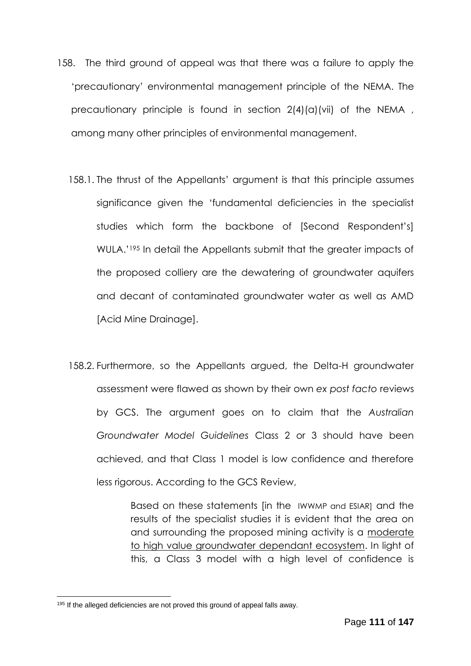- 158. The third ground of appeal was that there was a failure to apply the 'precautionary' environmental management principle of the NEMA. The precautionary principle is found in section  $2(4)(a)(vi)$  of the NEMA, among many other principles of environmental management.
	- 158.1. The thrust of the Appellants' argument is that this principle assumes significance given the 'fundamental deficiencies in the specialist studies which form the backbone of [Second Respondent's] WULA.' <sup>195</sup> In detail the Appellants submit that the greater impacts of the proposed colliery are the dewatering of groundwater aquifers and decant of contaminated groundwater water as well as AMD [Acid Mine Drainage].
	- 158.2. Furthermore, so the Appellants argued, the Delta-H groundwater assessment were flawed as shown by their own *ex post facto* reviews by GCS. The argument goes on to claim that the *Australian Groundwater Model Guidelines* Class 2 or 3 should have been achieved, and that Class 1 model is low confidence and therefore less rigorous. According to the GCS Review,

Based on these statements [in the IWWMP and ESIAR] and the results of the specialist studies it is evident that the area on and surrounding the proposed mining activity is a moderate to high value groundwater dependant ecosystem. In light of this, a Class 3 model with a high level of confidence is

<sup>&</sup>lt;sup>195</sup> If the alleged deficiencies are not proved this ground of appeal falls away.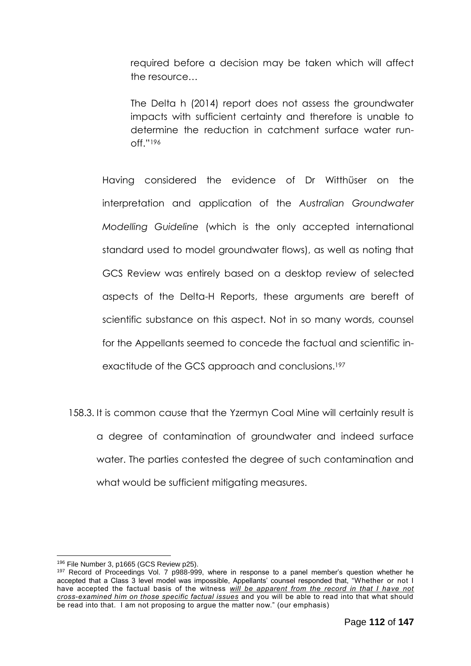required before a decision may be taken which will affect the resource…

The Delta h (2014) report does not assess the groundwater impacts with sufficient certainty and therefore is unable to determine the reduction in catchment surface water runoff." 196

Having considered the evidence of Dr Witthüser on the interpretation and application of the *Australian Groundwater Modelling Guideline* (which is the only accepted international standard used to model groundwater flows), as well as noting that GCS Review was entirely based on a desktop review of selected aspects of the Delta-H Reports, these arguments are bereft of scientific substance on this aspect. Not in so many words, counsel for the Appellants seemed to concede the factual and scientific inexactitude of the GCS approach and conclusions.<sup>197</sup>

158.3. It is common cause that the Yzermyn Coal Mine will certainly result is a degree of contamination of groundwater and indeed surface water. The parties contested the degree of such contamination and what would be sufficient mitigating measures.

<sup>1</sup> <sup>196</sup> File Number 3, p1665 (GCS Review p25).

<sup>&</sup>lt;sup>197</sup> Record of Proceedings Vol. 7 p988-999, where in response to a panel member's question whether he accepted that a Class 3 level model was impossible, Appellants' counsel responded that, "Whether or not I have accepted the factual basis of the witness *will be apparent from the record in that I have not cross-examined him on those specific factual issues* and you will be able to read into that what should be read into that. I am not proposing to argue the matter now." (our emphasis)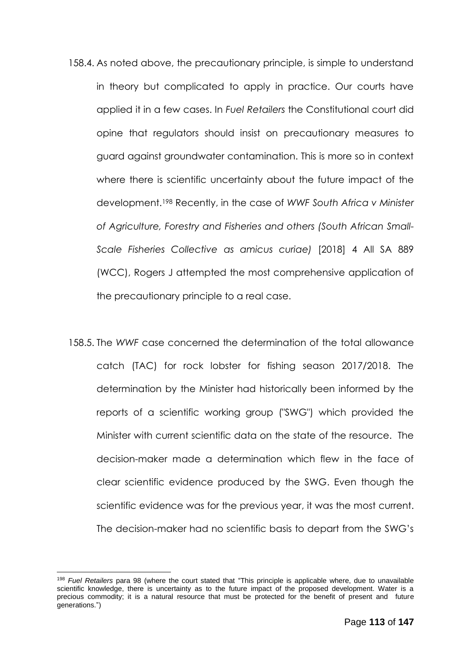- 158.4. As noted above, the precautionary principle, is simple to understand in theory but complicated to apply in practice. Our courts have applied it in a few cases. In *Fuel Retailers* the Constitutional court did opine that regulators should insist on precautionary measures to guard against groundwater contamination. This is more so in context where there is scientific uncertainty about the future impact of the development.<sup>198</sup> Recently, in the case of *WWF South Africa v Minister of Agriculture, Forestry and Fisheries and others (South African Small-Scale Fisheries Collective as amicus curiae)* [2018] 4 All SA 889 (WCC), Rogers J attempted the most comprehensive application of the precautionary principle to a real case.
- 158.5. The *WWF* case concerned the determination of the total allowance catch (TAC) for rock lobster for fishing season 2017/2018. The determination by the Minister had historically been informed by the reports of a scientific working group ("SWG") which provided the Minister with current scientific data on the state of the resource. The decision-maker made a determination which flew in the face of clear scientific evidence produced by the SWG. Even though the scientific evidence was for the previous year, it was the most current. The decision-maker had no scientific basis to depart from the SWG's

<sup>198</sup> *Fuel Retailers* para 98 (where the court stated that "This principle is applicable where, due to unavailable scientific knowledge, there is uncertainty as to the future impact of the proposed development. Water is a precious commodity; it is a natural resource that must be protected for the benefit of present and future generations.")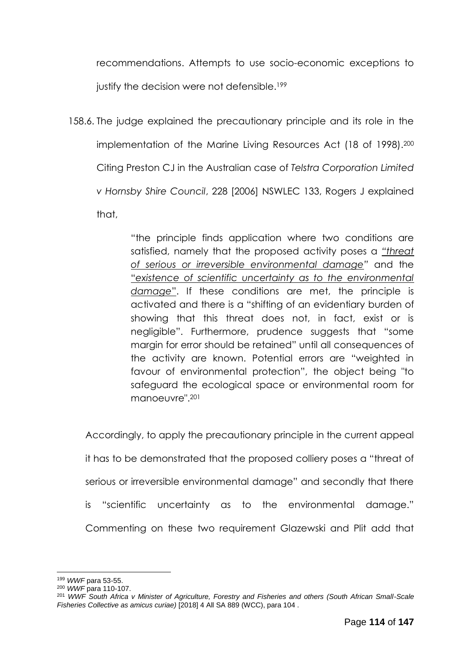recommendations. Attempts to use socio-economic exceptions to justify the decision were not defensible.<sup>199</sup>

158.6. The judge explained the precautionary principle and its role in the implementation of the Marine Living Resources Act (18 of 1998).<sup>200</sup> Citing Preston CJ in the Australian case of *Telstra Corporation Limited v Hornsby Shire Council*, 228 [2006] NSWLEC 133, Rogers J explained that,

> "the principle finds application where two conditions are satisfied, namely that the proposed activity poses a *"threat of serious or irreversible environmental damage"* and the "*existence of scientific uncertainty as to the environmental damage*". If these conditions are met, the principle is activated and there is a "shifting of an evidentiary burden of showing that this threat does not, in fact, exist or is negligible". Furthermore, prudence suggests that "some margin for error should be retained" until all consequences of the activity are known. Potential errors are "weighted in favour of environmental protection", the object being "to safeguard the ecological space or environmental room for manoeuvre".<sup>201</sup>

Accordingly, to apply the precautionary principle in the current appeal it has to be demonstrated that the proposed colliery poses a "threat of serious or irreversible environmental damage" and secondly that there is "scientific uncertainty as to the environmental damage." Commenting on these two requirement Glazewski and Plit add that

<sup>1</sup> <sup>199</sup> *WWF* para 53-55.

<sup>200</sup> *WWF* para 110-107.

<sup>201</sup> *WWF South Africa v Minister of Agriculture, Forestry and Fisheries and others (South African Small-Scale Fisheries Collective as amicus curiae)* [2018] 4 All SA 889 (WCC), para 104 .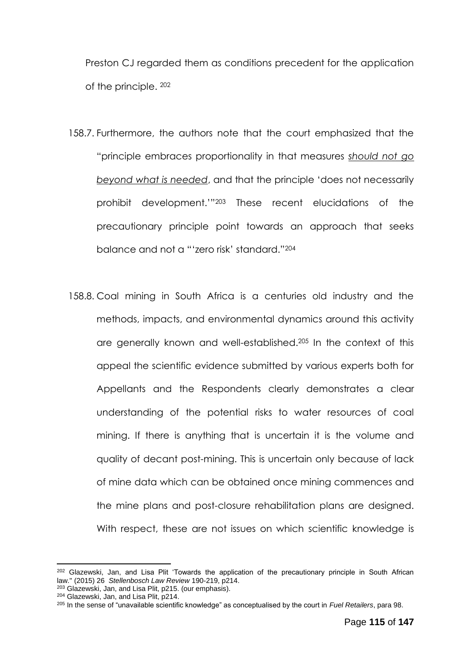Preston CJ regarded them as conditions precedent for the application of the principle. <sup>202</sup>

- 158.7. Furthermore, the authors note that the court emphasized that the "principle embraces proportionality in that measures *should not go beyond what is needed*, and that the principle 'does not necessarily prohibit development.'"<sup>203</sup> These recent elucidations of the precautionary principle point towards an approach that seeks balance and not a "'zero risk' standard."<sup>204</sup>
- 158.8. Coal mining in South Africa is a centuries old industry and the methods, impacts, and environmental dynamics around this activity are generally known and well-established.<sup>205</sup> In the context of this appeal the scientific evidence submitted by various experts both for Appellants and the Respondents clearly demonstrates a clear understanding of the potential risks to water resources of coal mining. If there is anything that is uncertain it is the volume and quality of decant post-mining. This is uncertain only because of lack of mine data which can be obtained once mining commences and the mine plans and post-closure rehabilitation plans are designed. With respect, these are not issues on which scientific knowledge is

<sup>&</sup>lt;sup>202</sup> Glazewski, Jan, and Lisa Plit 'Towards the application of the precautionary principle in South African law." (2015) 26 *Stellenbosch Law Review* 190-219, p214.

<sup>203</sup> Glazewski, Jan, and Lisa Plit, p215. (our emphasis).

<sup>204</sup> Glazewski, Jan, and Lisa Plit, p214.

<sup>205</sup> In the sense of "unavailable scientific knowledge" as conceptualised by the court in *Fuel Retailers*, para 98.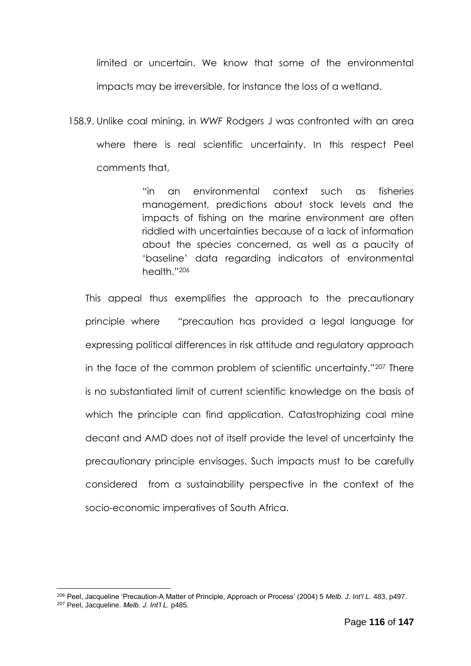limited or uncertain. We know that some of the environmental impacts may be irreversible, for instance the loss of a wetland.

158.9. Unlike coal mining, in *WWF* Rodgers J was confronted with an area where there is real scientific uncertainty. In this respect Peel comments that,

> "in an environmental context such as fisheries management, predictions about stock levels and the impacts of fishing on the marine environment are often riddled with uncertainties because of a lack of information about the species concerned, as well as a paucity of 'baseline' data regarding indicators of environmental health."<sup>206</sup>

This appeal thus exemplifies the approach to the precautionary principle where "precaution has provided a legal language for expressing political differences in risk attitude and regulatory approach in the face of the common problem of scientific uncertainty."<sup>207</sup> There is no substantiated limit of current scientific knowledge on the basis of which the principle can find application. Catastrophizing coal mine decant and AMD does not of itself provide the level of uncertainty the precautionary principle envisages. Such impacts must to be carefully considered from a sustainability perspective in the context of the socio-economic imperatives of South Africa.

<u>.</u>

<sup>206</sup> Peel, Jacqueline 'Precaution-A Matter of Principle, Approach or Process' (2004) 5 *Melb. J. Int'l L.* 483, p497. <sup>207</sup> Peel, Jacqueline. *Melb. J. Int'l L.* p485.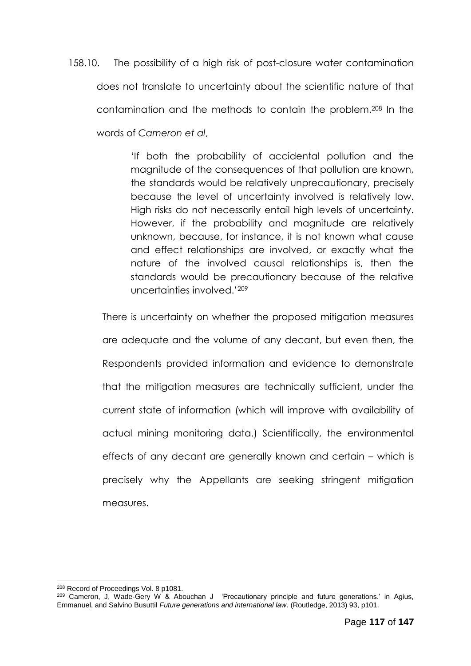158.10. The possibility of a high risk of post-closure water contamination does not translate to uncertainty about the scientific nature of that contamination and the methods to contain the problem.<sup>208</sup> In the words of *Cameron et al*,

> 'If both the probability of accidental pollution and the magnitude of the consequences of that pollution are known, the standards would be relatively unprecautionary, precisely because the level of uncertainty involved is relatively low. High risks do not necessarily entail high levels of uncertainty. However, if the probability and magnitude are relatively unknown, because, for instance, it is not known what cause and effect relationships are involved, or exactly what the nature of the involved causal relationships is, then the standards would be precautionary because of the relative uncertainties involved.'<sup>209</sup>

There is uncertainty on whether the proposed mitigation measures are adequate and the volume of any decant, but even then, the Respondents provided information and evidence to demonstrate that the mitigation measures are technically sufficient, under the current state of information (which will improve with availability of actual mining monitoring data.) Scientifically, the environmental effects of any decant are generally known and certain – which is precisely why the Appellants are seeking stringent mitigation measures.

<sup>1</sup> <sup>208</sup> Record of Proceedings Vol. 8 p1081.

<sup>209</sup> Cameron, J, Wade-Gery W & Abouchan J 'Precautionary principle and future generations.' in Agius, Emmanuel, and Salvino Busuttil *Future generations and international law*. (Routledge, 2013) 93, p101.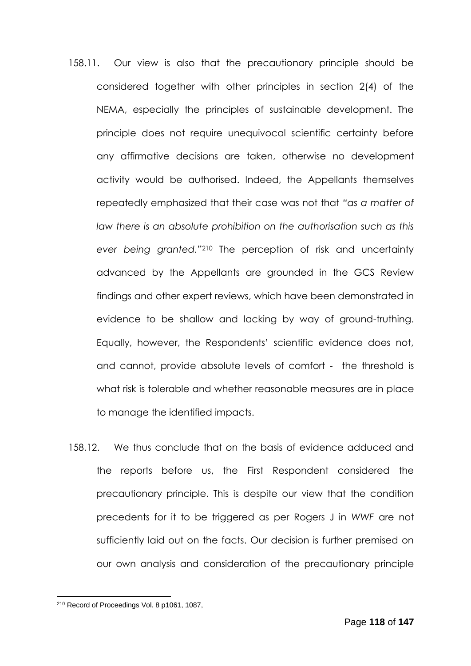- 158.11. Our view is also that the precautionary principle should be considered together with other principles in section 2(4) of the NEMA, especially the principles of sustainable development. The principle does not require unequivocal scientific certainty before any affirmative decisions are taken, otherwise no development activity would be authorised. Indeed, the Appellants themselves repeatedly emphasized that their case was not that *"as a matter of law there is an absolute prohibition on the authorisation such as this ever being granted.*" <sup>210</sup> The perception of risk and uncertainty advanced by the Appellants are grounded in the GCS Review findings and other expert reviews, which have been demonstrated in evidence to be shallow and lacking by way of ground-truthing. Equally, however, the Respondents' scientific evidence does not, and cannot, provide absolute levels of comfort - the threshold is what risk is tolerable and whether reasonable measures are in place to manage the identified impacts.
- 158.12. We thus conclude that on the basis of evidence adduced and the reports before us, the First Respondent considered the precautionary principle. This is despite our view that the condition precedents for it to be triggered as per Rogers J in *WWF* are not sufficiently laid out on the facts. Our decision is further premised on our own analysis and consideration of the precautionary principle

<sup>210</sup> Record of Proceedings Vol. 8 p1061, 1087,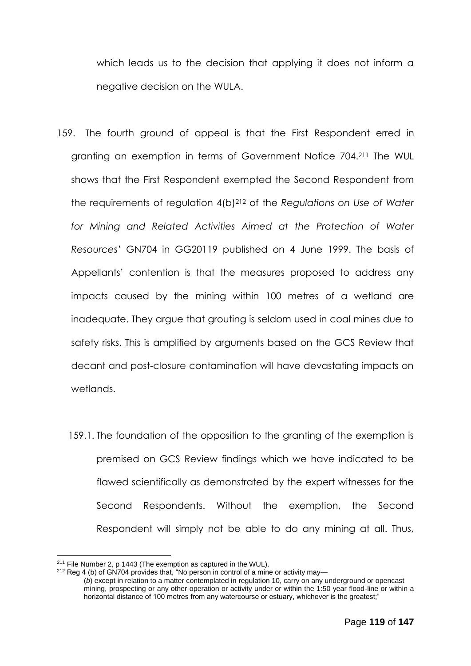which leads us to the decision that applying it does not inform a negative decision on the WULA.

- 159. The fourth ground of appeal is that the First Respondent erred in granting an exemption in terms of Government Notice 704.<sup>211</sup> The WUL shows that the First Respondent exempted the Second Respondent from the requirements of regulation 4(b)<sup>212</sup> of the *Regulations on Use of Water for Mining and Related Activities Aimed at the Protection of Water Resources'* GN704 in GG20119 published on 4 June 1999. The basis of Appellants' contention is that the measures proposed to address any impacts caused by the mining within 100 metres of a wetland are inadequate. They argue that grouting is seldom used in coal mines due to safety risks. This is amplified by arguments based on the GCS Review that decant and post-closure contamination will have devastating impacts on wetlands.
	- 159.1. The foundation of the opposition to the granting of the exemption is premised on GCS Review findings which we have indicated to be flawed scientifically as demonstrated by the expert witnesses for the Second Respondents. Without the exemption, the Second Respondent will simply not be able to do any mining at all. Thus,

 $211$  File Number 2, p 1443 (The exemption as captured in the WUL).

 $212$  Reg 4 (b) of GN704 provides that, "No person in control of a mine or activity may—

<sup>(</sup>*b*) except in relation to a matter contemplated in regulation 10, carry on any underground or opencast mining, prospecting or any other operation or activity under or within the 1:50 year flood-line or within a horizontal distance of 100 metres from any watercourse or estuary, whichever is the greatest;"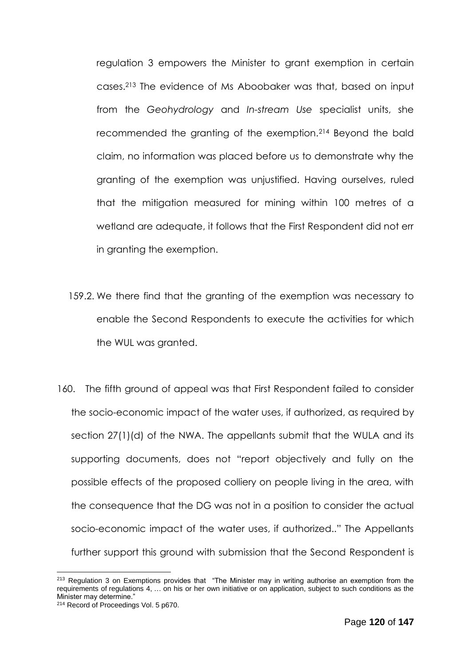regulation 3 empowers the Minister to grant exemption in certain cases.<sup>213</sup> The evidence of Ms Aboobaker was that, based on input from the *Geohydrology* and *In-stream Use* specialist units, she recommended the granting of the exemption.<sup>214</sup> Beyond the bald claim, no information was placed before us to demonstrate why the granting of the exemption was unjustified. Having ourselves, ruled that the mitigation measured for mining within 100 metres of a wetland are adequate, it follows that the First Respondent did not err in granting the exemption.

- 159.2. We there find that the granting of the exemption was necessary to enable the Second Respondents to execute the activities for which the WUL was granted.
- 160. The fifth ground of appeal was that First Respondent failed to consider the socio-economic impact of the water uses, if authorized, as required by section 27(1)(d) of the NWA. The appellants submit that the WULA and its supporting documents, does not "report objectively and fully on the possible effects of the proposed colliery on people living in the area, with the consequence that the DG was not in a position to consider the actual socio-economic impact of the water uses, if authorized.." The Appellants further support this ground with submission that the Second Respondent is

<sup>1</sup> <sup>213</sup> Regulation 3 on Exemptions provides that "The Minister may in writing authorise an exemption from the requirements of regulations 4, … on his or her own initiative or on application, subject to such conditions as the Minister may determine."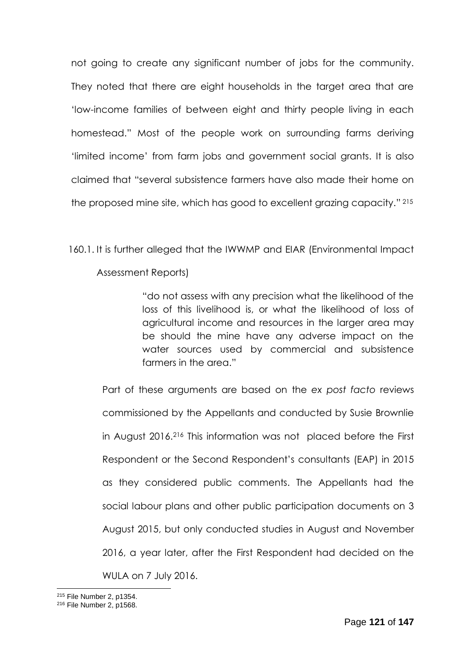not going to create any significant number of jobs for the community. They noted that there are eight households in the target area that are 'low-income families of between eight and thirty people living in each homestead." Most of the people work on surrounding farms deriving 'limited income' from farm jobs and government social grants. It is also claimed that "several subsistence farmers have also made their home on the proposed mine site, which has good to excellent grazing capacity." 215

160.1. It is further alleged that the IWWMP and EIAR (Environmental Impact

Assessment Reports)

"do not assess with any precision what the likelihood of the loss of this livelihood is, or what the likelihood of loss of agricultural income and resources in the larger area may be should the mine have any adverse impact on the water sources used by commercial and subsistence farmers in the area."

Part of these arguments are based on the *ex post facto* reviews commissioned by the Appellants and conducted by Susie Brownlie in August 2016.<sup>216</sup> This information was not placed before the First Respondent or the Second Respondent's consultants (EAP) in 2015 as they considered public comments. The Appellants had the social labour plans and other public participation documents on 3 August 2015, but only conducted studies in August and November 2016, a year later, after the First Respondent had decided on the WULA on 7 July 2016.

<sup>&</sup>lt;u>.</u> <sup>215</sup> File Number 2, p1354.

<sup>216</sup> File Number 2, p1568.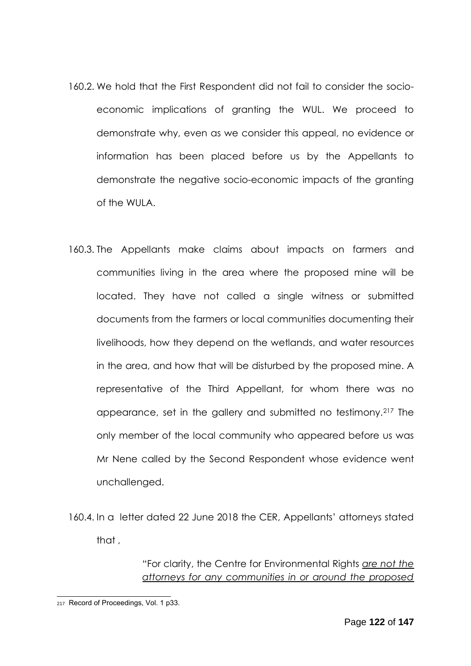- 160.2. We hold that the First Respondent did not fail to consider the socioeconomic implications of granting the WUL. We proceed to demonstrate why, even as we consider this appeal, no evidence or information has been placed before us by the Appellants to demonstrate the negative socio-economic impacts of the granting of the WULA.
- 160.3. The Appellants make claims about impacts on farmers and communities living in the area where the proposed mine will be located. They have not called a single witness or submitted documents from the farmers or local communities documenting their livelihoods, how they depend on the wetlands, and water resources in the area, and how that will be disturbed by the proposed mine. A representative of the Third Appellant, for whom there was no appearance, set in the gallery and submitted no testimony.<sup>217</sup> The only member of the local community who appeared before us was Mr Nene called by the Second Respondent whose evidence went unchallenged.
- 160.4. In a letter dated 22 June 2018 the CER, Appellants' attorneys stated that ,

"For clarity, the Centre for Environmental Rights *are not the attorneys for any communities in or around the proposed* 

<sup>217</sup> Record of Proceedings, Vol. 1 p33.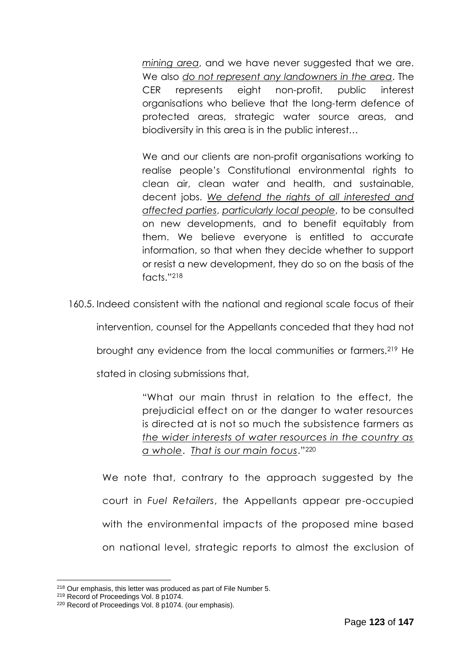*mining area*, and we have never suggested that we are. We also *do not represent any landowners in the area*. The CER represents eight non-profit, public interest organisations who believe that the long-term defence of protected areas, strategic water source areas, and biodiversity in this area is in the public interest…

We and our clients are non-profit organisations working to realise people's Constitutional environmental rights to clean air, clean water and health, and sustainable, decent jobs. *We defend the rights of all interested and affected parties*, *particularly local people*, to be consulted on new developments, and to benefit equitably from them. We believe everyone is entitled to accurate information, so that when they decide whether to support or resist a new development, they do so on the basis of the facts."<sup>218</sup>

160.5. Indeed consistent with the national and regional scale focus of their

intervention, counsel for the Appellants conceded that they had not

brought any evidence from the local communities or farmers.<sup>219</sup> He

stated in closing submissions that,

"What our main thrust in relation to the effect, the prejudicial effect on or the danger to water resources is directed at is not so much the subsistence farmers as *the wider interests of water resources in the country as a whole*. *That is our main focus*."<sup>220</sup>

We note that, contrary to the approach suggested by the court in *Fuel Retailers*, the Appellants appear pre-occupied with the environmental impacts of the proposed mine based on national level, strategic reports to almost the exclusion of

<sup>218</sup> Our emphasis, this letter was produced as part of File Number 5.

<sup>219</sup> Record of Proceedings Vol. 8 p1074.

<sup>220</sup> Record of Proceedings Vol. 8 p1074. (our emphasis).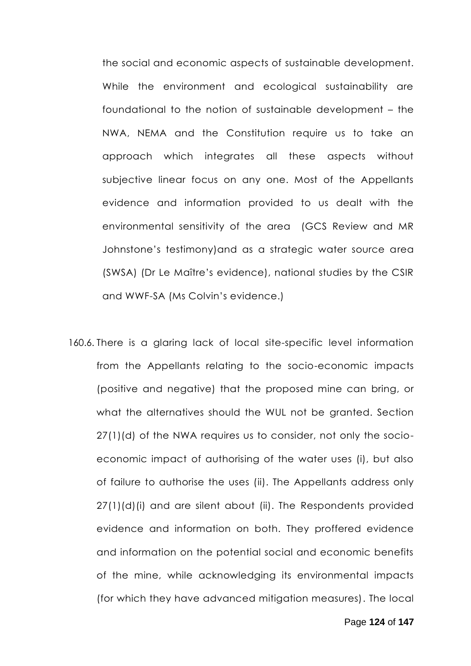the social and economic aspects of sustainable development. While the environment and ecological sustainability are foundational to the notion of sustainable development – the NWA, NEMA and the Constitution require us to take an approach which integrates all these aspects without subjective linear focus on any one. Most of the Appellants evidence and information provided to us dealt with the environmental sensitivity of the area (GCS Review and MR Johnstone's testimony)and as a strategic water source area (SWSA) (Dr Le Maître's evidence), national studies by the CSIR and WWF-SA (Ms Colvin's evidence.)

160.6. There is a glaring lack of local site-specific level information from the Appellants relating to the socio-economic impacts (positive and negative) that the proposed mine can bring, or what the alternatives should the WUL not be granted. Section 27(1)(d) of the NWA requires us to consider, not only the socioeconomic impact of authorising of the water uses (i), but also of failure to authorise the uses (ii). The Appellants address only 27(1)(d)(i) and are silent about (ii). The Respondents provided evidence and information on both. They proffered evidence and information on the potential social and economic benefits of the mine, while acknowledging its environmental impacts (for which they have advanced mitigation measures). The local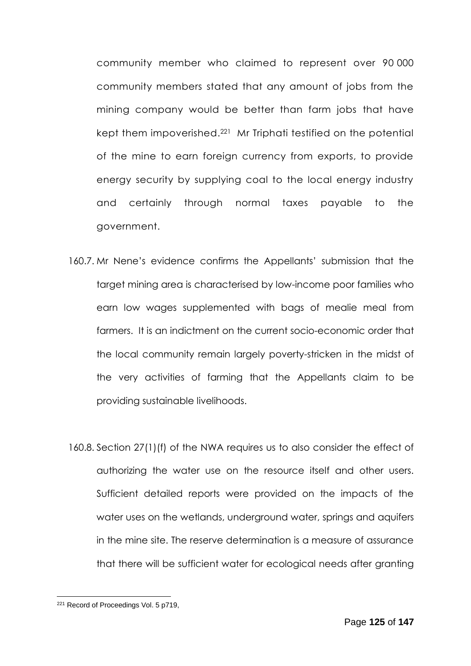community member who claimed to represent over 90 000 community members stated that any amount of jobs from the mining company would be better than farm jobs that have kept them impoverished. <sup>221</sup> Mr Triphati testified on the potential of the mine to earn foreign currency from exports, to provide energy security by supplying coal to the local energy industry and certainly through normal taxes payable to the government.

- 160.7. Mr Nene's evidence confirms the Appellants' submission that the target mining area is characterised by low-income poor families who earn low wages supplemented with bags of mealie meal from farmers. It is an indictment on the current socio-economic order that the local community remain largely poverty-stricken in the midst of the very activities of farming that the Appellants claim to be providing sustainable livelihoods.
- 160.8. Section 27(1)(f) of the NWA requires us to also consider the effect of authorizing the water use on the resource itself and other users. Sufficient detailed reports were provided on the impacts of the water uses on the wetlands, underground water, springs and aquifers in the mine site. The reserve determination is a measure of assurance that there will be sufficient water for ecological needs after granting

<sup>221</sup> Record of Proceedings Vol. 5 p719,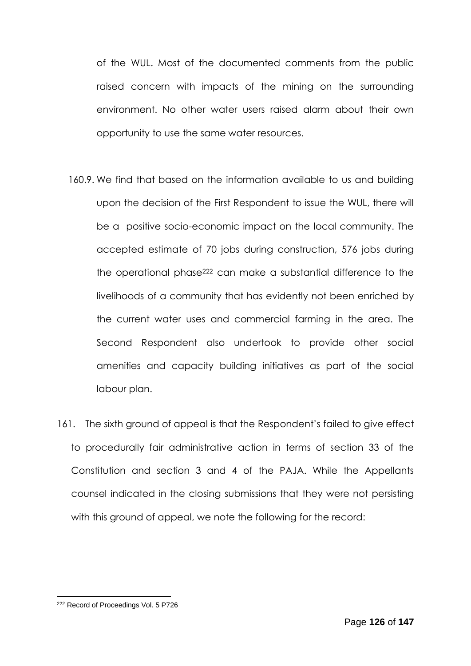of the WUL. Most of the documented comments from the public raised concern with impacts of the mining on the surrounding environment. No other water users raised alarm about their own opportunity to use the same water resources.

- 160.9. We find that based on the information available to us and building upon the decision of the First Respondent to issue the WUL, there will be a positive socio-economic impact on the local community. The accepted estimate of 70 jobs during construction, 576 jobs during the operational phase<sup>222</sup> can make a substantial difference to the livelihoods of a community that has evidently not been enriched by the current water uses and commercial farming in the area. The Second Respondent also undertook to provide other social amenities and capacity building initiatives as part of the social labour plan.
- 161. The sixth ground of appeal is that the Respondent's failed to give effect to procedurally fair administrative action in terms of section 33 of the Constitution and section 3 and 4 of the PAJA. While the Appellants counsel indicated in the closing submissions that they were not persisting with this ground of appeal, we note the following for the record:

<sup>222</sup> Record of Proceedings Vol. 5 P726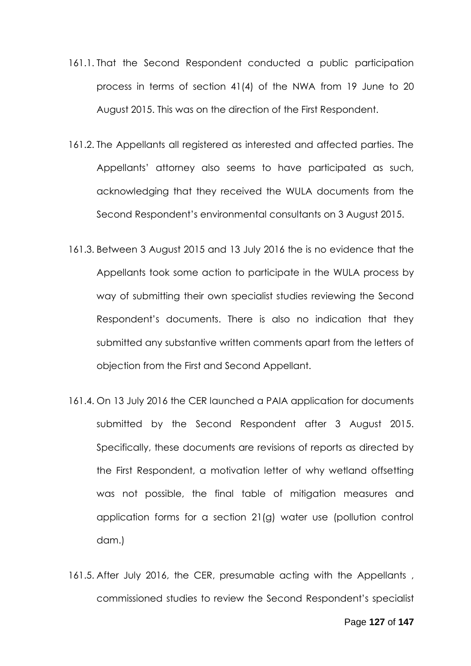- 161.1. That the Second Respondent conducted a public participation process in terms of section 41(4) of the NWA from 19 June to 20 August 2015. This was on the direction of the First Respondent.
- 161.2. The Appellants all registered as interested and affected parties. The Appellants' attorney also seems to have participated as such, acknowledging that they received the WULA documents from the Second Respondent's environmental consultants on 3 August 2015.
- 161.3. Between 3 August 2015 and 13 July 2016 the is no evidence that the Appellants took some action to participate in the WULA process by way of submitting their own specialist studies reviewing the Second Respondent's documents. There is also no indication that they submitted any substantive written comments apart from the letters of objection from the First and Second Appellant.
- 161.4. On 13 July 2016 the CER launched a PAIA application for documents submitted by the Second Respondent after 3 August 2015. Specifically, these documents are revisions of reports as directed by the First Respondent, a motivation letter of why wetland offsetting was not possible, the final table of mitigation measures and application forms for a section 21(g) water use (pollution control dam.)
- 161.5. After July 2016, the CER, presumable acting with the Appellants, commissioned studies to review the Second Respondent's specialist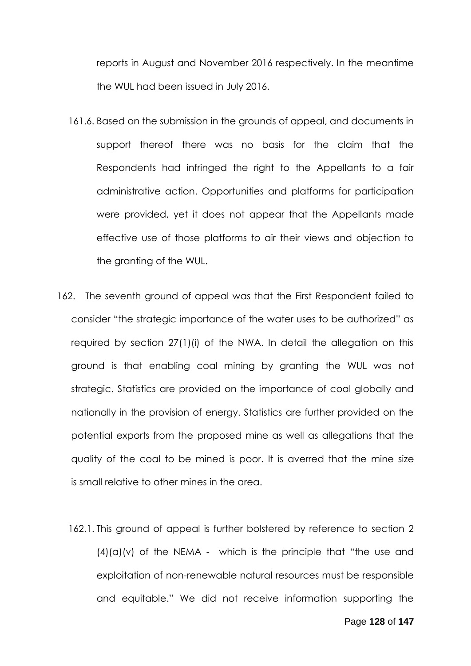reports in August and November 2016 respectively. In the meantime the WUL had been issued in July 2016.

- 161.6. Based on the submission in the grounds of appeal, and documents in support thereof there was no basis for the claim that the Respondents had infringed the right to the Appellants to a fair administrative action. Opportunities and platforms for participation were provided, yet it does not appear that the Appellants made effective use of those platforms to air their views and objection to the granting of the WUL.
- 162. The seventh ground of appeal was that the First Respondent failed to consider "the strategic importance of the water uses to be authorized" as required by section 27(1)(i) of the NWA. In detail the allegation on this ground is that enabling coal mining by granting the WUL was not strategic. Statistics are provided on the importance of coal globally and nationally in the provision of energy. Statistics are further provided on the potential exports from the proposed mine as well as allegations that the quality of the coal to be mined is poor. It is averred that the mine size is small relative to other mines in the area.
	- 162.1. This ground of appeal is further bolstered by reference to section 2  $(4)(a)(v)$  of the NEMA - which is the principle that "the use and exploitation of non-renewable natural resources must be responsible and equitable." We did not receive information supporting the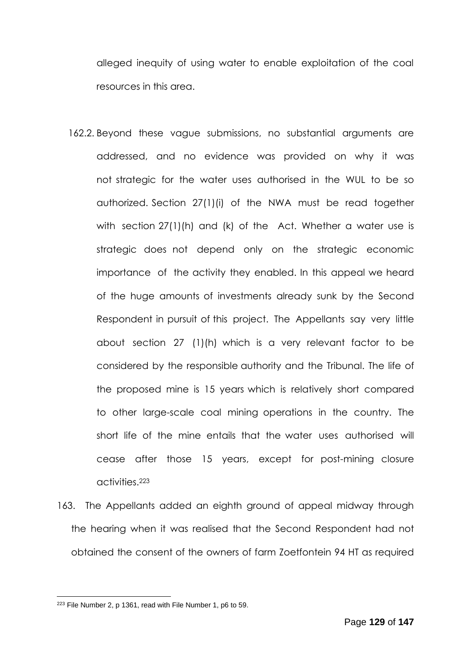alleged inequity of using water to enable exploitation of the coal resources in this area.

- 162.2. Beyond these vague submissions, no substantial arguments are addressed, and no evidence was provided on why it was not strategic for the water uses authorised in the WUL to be so authorized. Section 27(1)(i) of the NWA must be read together with section 27(1)(h) and (k) of the Act. Whether a water use is strategic does not depend only on the strategic economic importance of the activity they enabled. In this appeal we heard of the huge amounts of investments already sunk by the Second Respondent in pursuit of this project. The Appellants say very little about section 27 (1)(h) which is a very relevant factor to be considered by the responsible authority and the Tribunal. The life of the proposed mine is 15 years which is relatively short compared to other large-scale coal mining operations in the country. The short life of the mine entails that the water uses authorised will cease after those 15 years, except for post-mining closure activities.<sup>223</sup>
- 163. The Appellants added an eighth ground of appeal midway through the hearing when it was realised that the Second Respondent had not obtained the consent of the owners of farm Zoetfontein 94 HT as required

<sup>223</sup> File Number 2, p 1361, read with File Number 1, p6 to 59.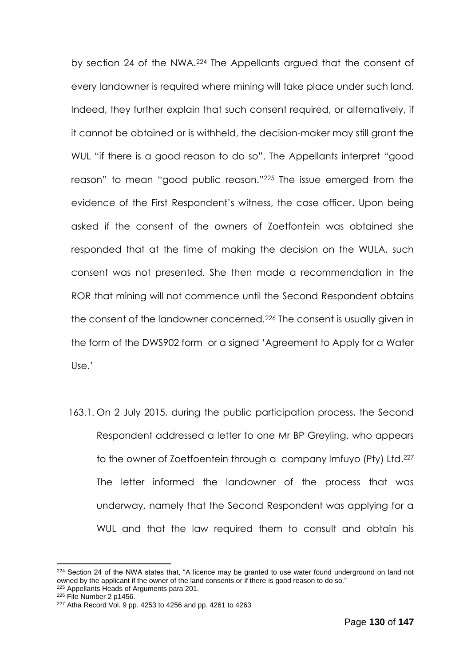by section 24 of the NWA.<sup>224</sup> The Appellants argued that the consent of every landowner is required where mining will take place under such land. Indeed, they further explain that such consent required, or alternatively, if it cannot be obtained or is withheld, the decision-maker may still grant the WUL "if there is a good reason to do so". The Appellants interpret "good reason" to mean "good public reason."<sup>225</sup> The issue emerged from the evidence of the First Respondent's witness, the case officer. Upon being asked if the consent of the owners of Zoetfontein was obtained she responded that at the time of making the decision on the WULA, such consent was not presented. She then made a recommendation in the ROR that mining will not commence until the Second Respondent obtains the consent of the landowner concerned.<sup>226</sup> The consent is usually given in the form of the DWS902 form or a signed 'Agreement to Apply for a Water Use.'

163.1. On 2 July 2015, during the public participation process, the Second Respondent addressed a letter to one Mr BP Greyling, who appears to the owner of Zoetfoentein through a company Imfuyo (Pty) Ltd.<sup>227</sup> The letter informed the landowner of the process that was underway, namely that the Second Respondent was applying for a WUL and that the law required them to consult and obtain his

<sup>225</sup> Appellants Heads of Arguments para 201.

 $224$  Section 24 of the NWA states that, "A licence may be granted to use water found underground on land not owned by the applicant if the owner of the land consents or if there is good reason to do so."

<sup>226</sup> File Number 2 p1456.

<sup>227</sup> Atha Record Vol. 9 pp. 4253 to 4256 and pp. 4261 to 4263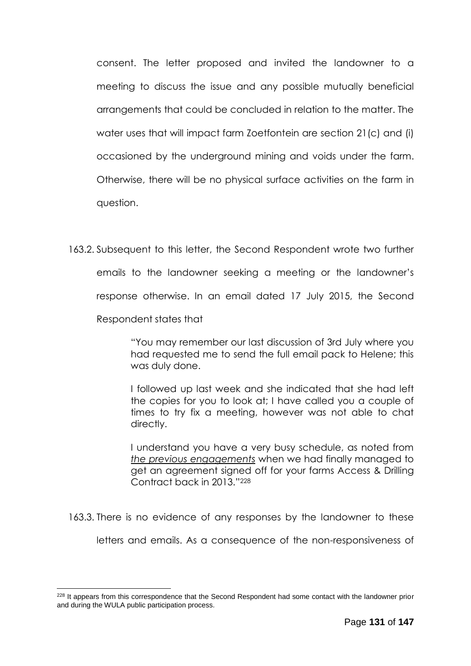consent. The letter proposed and invited the landowner to a meeting to discuss the issue and any possible mutually beneficial arrangements that could be concluded in relation to the matter. The water uses that will impact farm Zoetfontein are section 21(c) and (i) occasioned by the underground mining and voids under the farm. Otherwise, there will be no physical surface activities on the farm in question.

163.2. Subsequent to this letter, the Second Respondent wrote two further emails to the landowner seeking a meeting or the landowner's response otherwise. In an email dated 17 July 2015, the Second Respondent states that

> "You may remember our last discussion of 3rd July where you had requested me to send the full email pack to Helene; this was duly done.

> I followed up last week and she indicated that she had left the copies for you to look at; I have called you a couple of times to try fix a meeting, however was not able to chat directly.

> I understand you have a very busy schedule, as noted from *the previous engagements* when we had finally managed to get an agreement signed off for your farms Access & Drilling Contract back in 2013."<sup>228</sup>

163.3. There is no evidence of any responses by the landowner to these

letters and emails. As a consequence of the non-responsiveness of

<u>.</u>

<sup>&</sup>lt;sup>228</sup> It appears from this correspondence that the Second Respondent had some contact with the landowner prior and during the WULA public participation process.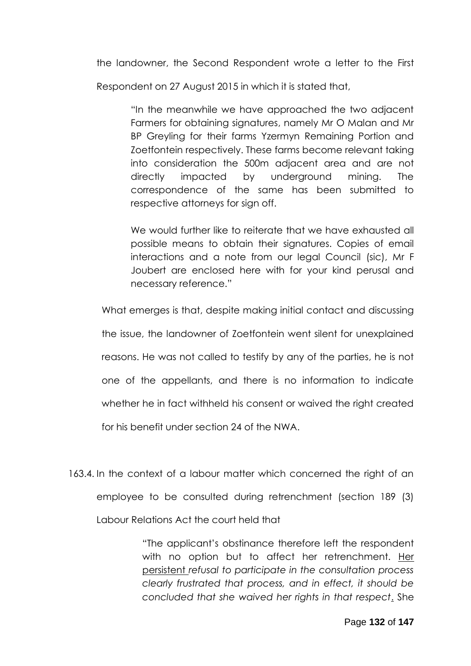the landowner, the Second Respondent wrote a letter to the First

Respondent on 27 August 2015 in which it is stated that,

"In the meanwhile we have approached the two adjacent Farmers for obtaining signatures, namely Mr O Malan and Mr BP Greyling for their farms Yzermyn Remaining Portion and Zoetfontein respectively. These farms become relevant taking into consideration the 500m adjacent area and are not directly impacted by underground mining. The correspondence of the same has been submitted to respective attorneys for sign off.

We would further like to reiterate that we have exhausted all possible means to obtain their signatures. Copies of email interactions and a note from our legal Council (sic), Mr F Joubert are enclosed here with for your kind perusal and necessary reference."

What emerges is that, despite making initial contact and discussing the issue, the landowner of Zoetfontein went silent for unexplained reasons. He was not called to testify by any of the parties, he is not one of the appellants, and there is no information to indicate whether he in fact withheld his consent or waived the right created for his benefit under section 24 of the NWA.

163.4. In the context of a labour matter which concerned the right of an employee to be consulted during retrenchment (section 189 (3) Labour Relations Act the court held that

> "The applicant's obstinance therefore left the respondent with no option but to affect her retrenchment. Her persistent *refusal to participate in the consultation process clearly frustrated that process, and in effect, it should be concluded that she waived her rights in that respect*. She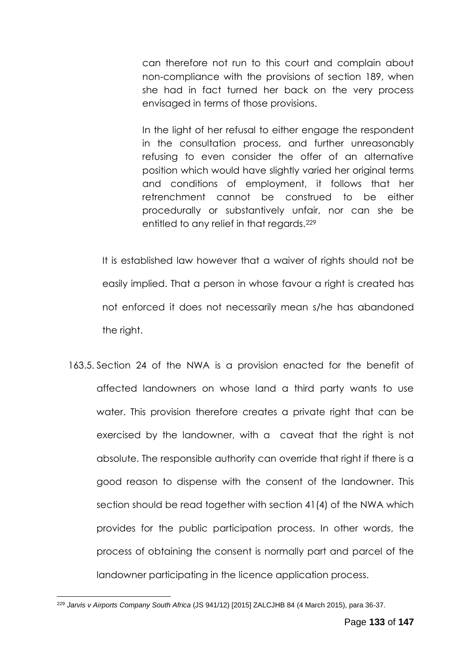can therefore not run to this court and complain about non-compliance with the provisions of section 189, when she had in fact turned her back on the very process envisaged in terms of those provisions.

In the light of her refusal to either engage the respondent in the consultation process, and further unreasonably refusing to even consider the offer of an alternative position which would have slightly varied her original terms and conditions of employment, it follows that her retrenchment cannot be construed to be either procedurally or substantively unfair, nor can she be entitled to any relief in that regards.<sup>229</sup>

It is established law however that a waiver of rights should not be easily implied. That a person in whose favour a right is created has not enforced it does not necessarily mean s/he has abandoned the right.

163.5. Section 24 of the NWA is a provision enacted for the benefit of affected landowners on whose land a third party wants to use water. This provision therefore creates a private right that can be exercised by the landowner, with a caveat that the right is not absolute. The responsible authority can override that right if there is a good reason to dispense with the consent of the landowner. This section should be read together with section 41(4) of the NWA which provides for the public participation process. In other words, the process of obtaining the consent is normally part and parcel of the landowner participating in the licence application process.

<sup>1</sup> <sup>229</sup> *Jarvis v Airports Company South Africa* (JS 941/12) [2015] ZALCJHB 84 (4 March 2015), para 36-37.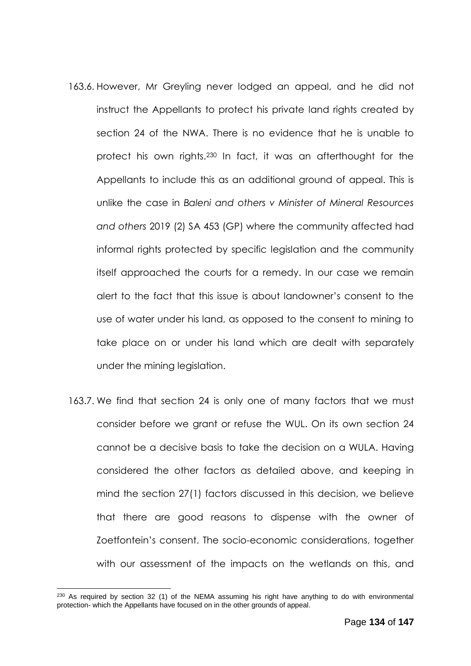- 163.6. However, Mr Greyling never lodged an appeal, and he did not instruct the Appellants to protect his private land rights created by section 24 of the NWA. There is no evidence that he is unable to protect his own rights.<sup>230</sup> In fact, it was an afterthought for the Appellants to include this as an additional ground of appeal. This is unlike the case in *Baleni and others v Minister of Mineral Resources and others* 2019 (2) SA 453 (GP) where the community affected had informal rights protected by specific legislation and the community itself approached the courts for a remedy. In our case we remain alert to the fact that this issue is about landowner's consent to the use of water under his land, as opposed to the consent to mining to take place on or under his land which are dealt with separately under the mining legislation.
- 163.7. We find that section 24 is only one of many factors that we must consider before we grant or refuse the WUL. On its own section 24 cannot be a decisive basis to take the decision on a WULA. Having considered the other factors as detailed above, and keeping in mind the section 27(1) factors discussed in this decision, we believe that there are good reasons to dispense with the owner of Zoetfontein's consent. The socio-economic considerations, together with our assessment of the impacts on the wetlands on this, and

<u>.</u>

 $230$  As required by section 32 (1) of the NEMA assuming his right have anything to do with environmental protection- which the Appellants have focused on in the other grounds of appeal.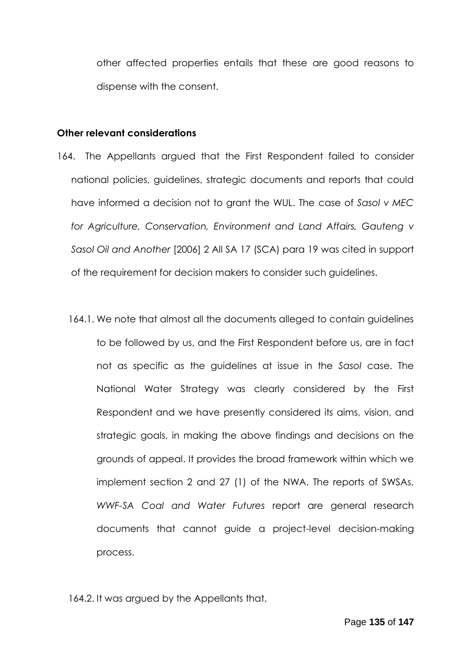other affected properties entails that these are good reasons to dispense with the consent.

## **Other relevant considerations**

- 164. The Appellants argued that the First Respondent failed to consider national policies, guidelines, strategic documents and reports that could have informed a decision not to grant the WUL. The case of *Sasol v MEC for Agriculture, Conservation, Environment and Land Affairs, Gauteng v Sasol Oil and Another* [2006] 2 All SA 17 (SCA) para 19 was cited in support of the requirement for decision makers to consider such guidelines.
	- 164.1. We note that almost all the documents alleged to contain guidelines to be followed by us, and the First Respondent before us, are in fact not as specific as the guidelines at issue in the *Sasol* case. The National Water Strategy was clearly considered by the First Respondent and we have presently considered its aims, vision, and strategic goals, in making the above findings and decisions on the grounds of appeal. It provides the broad framework within which we implement section 2 and 27 (1) of the NWA. The reports of SWSAs, *WWF-SA Coal and Water Futures* report are general research documents that cannot guide a project-level decision-making process.

164.2. It was argued by the Appellants that,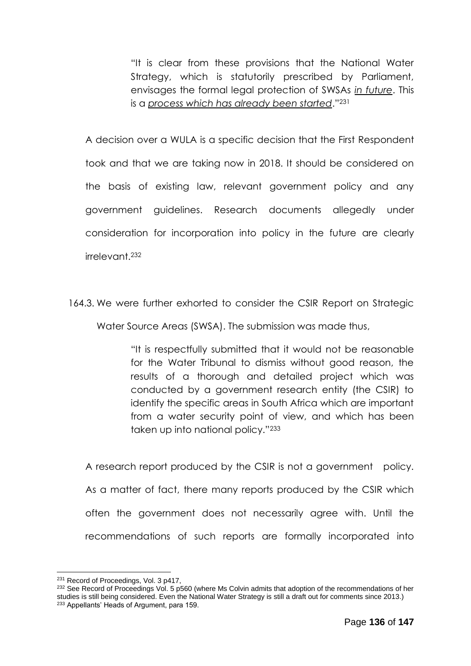"It is clear from these provisions that the National Water Strategy, which is statutorily prescribed by Parliament, envisages the formal legal protection of SWSAs *in future*. This is a *process which has already been started*."<sup>231</sup>

A decision over a WULA is a specific decision that the First Respondent took and that we are taking now in 2018. It should be considered on the basis of existing law, relevant government policy and any government guidelines. Research documents allegedly under consideration for incorporation into policy in the future are clearly irrelevant.<sup>232</sup>

164.3. We were further exhorted to consider the CSIR Report on Strategic

Water Source Areas (SWSA). The submission was made thus,

"It is respectfully submitted that it would not be reasonable for the Water Tribunal to dismiss without good reason, the results of a thorough and detailed project which was conducted by a government research entity (the CSIR) to identify the specific areas in South Africa which are important from a water security point of view, and which has been taken up into national policy."<sup>233</sup>

A research report produced by the CSIR is not a government policy. As a matter of fact, there many reports produced by the CSIR which often the government does not necessarily agree with. Until the recommendations of such reports are formally incorporated into

<sup>&</sup>lt;sup>231</sup> Record of Proceedings, Vol. 3 p417,

<sup>&</sup>lt;sup>232</sup> See Record of Proceedings Vol. 5 p560 (where Ms Colvin admits that adoption of the recommendations of her studies is still being considered. Even the National Water Strategy is still a draft out for comments since 2013.) <sup>233</sup> Appellants' Heads of Argument, para 159.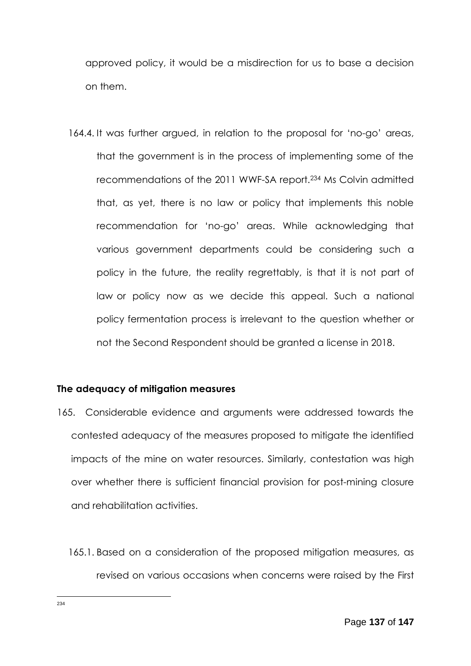approved policy, it would be a misdirection for us to base a decision on them.

164.4. It was further argued, in relation to the proposal for 'no-go' areas, that the government is in the process of implementing some of the recommendations of the 2011 WWF-SA report.234 Ms Colvin admitted that, as yet, there is no law or policy that implements this noble recommendation for 'no-go' areas. While acknowledging that various government departments could be considering such a policy in the future, the reality regrettably, is that it is not part of law or policy now as we decide this appeal. Such a national policy fermentation process is irrelevant to the question whether or not the Second Respondent should be granted a license in 2018.

## **The adequacy of mitigation measures**

- 165. Considerable evidence and arguments were addressed towards the contested adequacy of the measures proposed to mitigate the identified impacts of the mine on water resources. Similarly, contestation was high over whether there is sufficient financial provision for post-mining closure and rehabilitation activities.
	- 165.1. Based on a consideration of the proposed mitigation measures, as revised on various occasions when concerns were raised by the First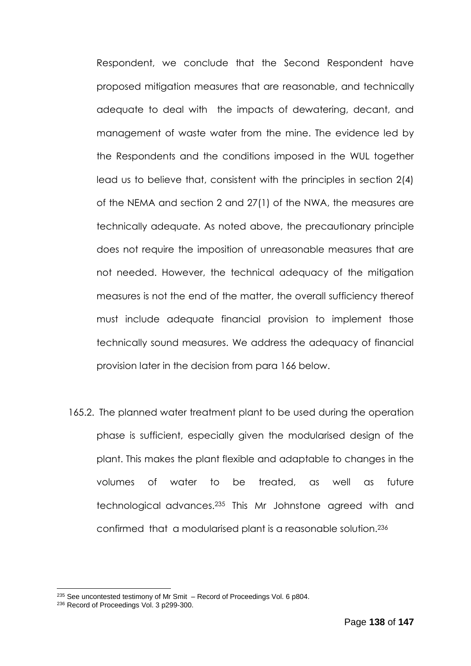Respondent, we conclude that the Second Respondent have proposed mitigation measures that are reasonable, and technically adequate to deal with the impacts of dewatering, decant, and management of waste water from the mine. The evidence led by the Respondents and the conditions imposed in the WUL together lead us to believe that, consistent with the principles in section 2(4) of the NEMA and section 2 and 27(1) of the NWA, the measures are technically adequate. As noted above, the precautionary principle does not require the imposition of unreasonable measures that are not needed. However, the technical adequacy of the mitigation measures is not the end of the matter, the overall sufficiency thereof must include adequate financial provision to implement those technically sound measures. We address the adequacy of financial provision later in the decision from para 166 below.

165.2. The planned water treatment plant to be used during the operation phase is sufficient, especially given the modularised design of the plant. This makes the plant flexible and adaptable to changes in the volumes of water to be treated, as well as future technological advances.<sup>235</sup> This Mr Johnstone agreed with and confirmed that a modularised plant is a reasonable solution.<sup>236</sup>

<sup>235</sup> See uncontested testimony of Mr Smit – Record of Proceedings Vol. 6 p804.

<sup>&</sup>lt;sup>236</sup> Record of Proceedings Vol. 3 p299-300.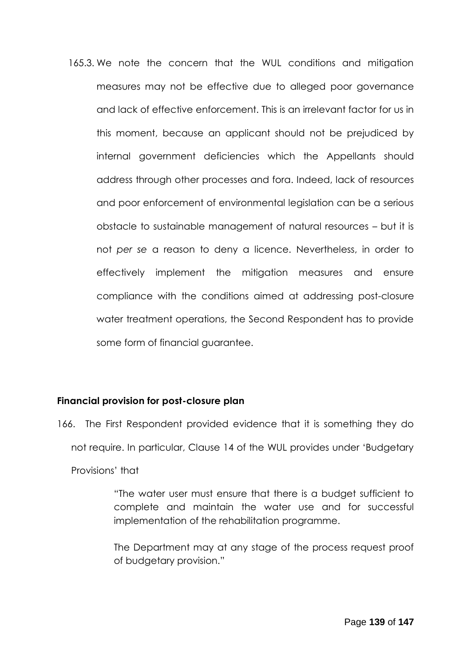165.3. We note the concern that the WUL conditions and mitigation measures may not be effective due to alleged poor governance and lack of effective enforcement. This is an irrelevant factor for us in this moment, because an applicant should not be prejudiced by internal government deficiencies which the Appellants should address through other processes and fora. Indeed, lack of resources and poor enforcement of environmental legislation can be a serious obstacle to sustainable management of natural resources – but it is not *per se* a reason to deny a licence. Nevertheless, in order to effectively implement the mitigation measures and ensure compliance with the conditions aimed at addressing post-closure water treatment operations, the Second Respondent has to provide some form of financial guarantee.

## **Financial provision for post-closure plan**

166. The First Respondent provided evidence that it is something they do not require. In particular, Clause 14 of the WUL provides under 'Budgetary Provisions' that

> "The water user must ensure that there is a budget sufficient to complete and maintain the water use and for successful implementation of the rehabilitation programme.

> The Department may at any stage of the process request proof of budgetary provision."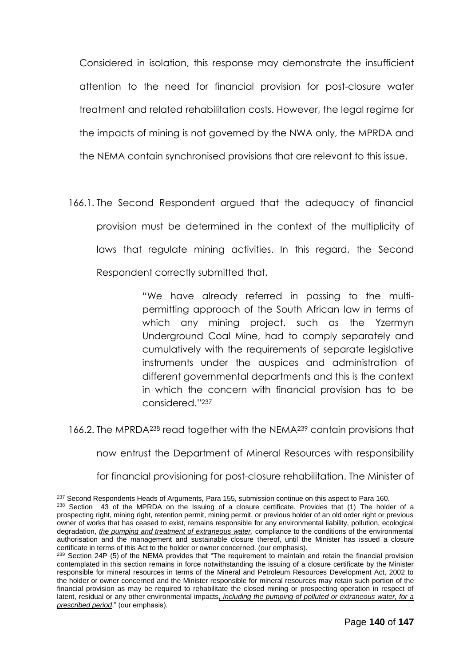Considered in isolation, this response may demonstrate the insufficient attention to the need for financial provision for post-closure water treatment and related rehabilitation costs. However, the legal regime for the impacts of mining is not governed by the NWA only, the MPRDA and the NEMA contain synchronised provisions that are relevant to this issue.

166.1. The Second Respondent argued that the adequacy of financial provision must be determined in the context of the multiplicity of laws that regulate mining activities. In this regard, the Second Respondent correctly submitted that,

> "We have already referred in passing to the multipermitting approach of the South African law in terms of which any mining project. such as the Yzermyn Underground Coal Mine, had to comply separately and cumulatively with the requirements of separate legislative instruments under the auspices and administration of different governmental departments and this is the context in which the concern with financial provision has to be considered."<sup>237</sup>

166.2. The MPRDA<sup>238</sup> read together with the NEMA<sup>239</sup> contain provisions that

now entrust the Department of Mineral Resources with responsibility

for financial provisioning for post-closure rehabilitation. The Minister of

<sup>&</sup>lt;sup>237</sup> Second Respondents Heads of Arguments, Para 155, submission continue on this aspect to Para 160.

 $238$  Section 43 of the MPRDA on the Issuing of a closure certificate. Provides that (1) The holder of a prospecting right, mining right, retention permit, mining permit, or previous holder of an old order right or previous owner of works that has ceased to exist, remains responsible for any environmental liability, pollution, ecological degradation, *the pumping and treatment of extraneous water*, compliance to the conditions of the environmental authorisation and the management and sustainable closure thereof, until the Minister has issued a closure certificate in terms of this Act to the holder or owner concerned. (our emphasis).

<sup>&</sup>lt;sup>239</sup> Section 24P (5) of the NEMA provides that "The requirement to maintain and retain the financial provision contemplated in this section remains in force notwithstanding the issuing of a closure certificate by the Minister responsible for mineral resources in terms of the Mineral and Petroleum Resources Development Act, 2002 to the holder or owner concerned and the Minister responsible for mineral resources may retain such portion of the financial provision as may be required to rehabilitate the closed mining or prospecting operation in respect of latent, residual or any other environmental impacts*, including the pumping of polluted or extraneous water, for a prescribed period*." (our emphasis).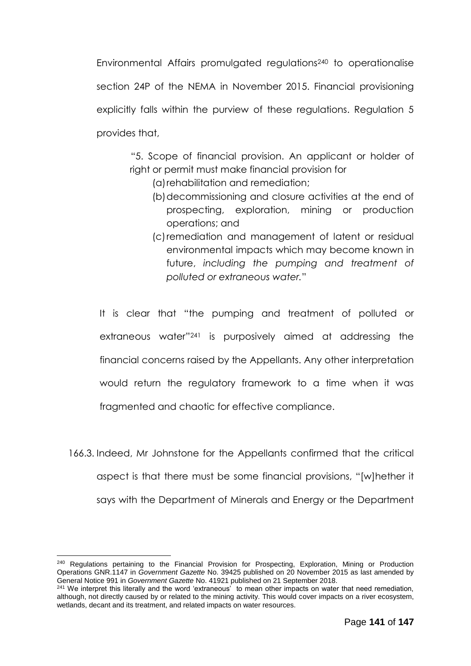Environmental Affairs promulgated regulations<sup>240</sup> to operationalise section 24P of the NEMA in November 2015. Financial provisioning explicitly falls within the purview of these regulations. Regulation 5 provides that,

"5. Scope of financial provision. An applicant or holder of right or permit must make financial provision for

- (a)rehabilitation and remediation;
- (b)decommissioning and closure activities at the end of prospecting, exploration, mining or production operations; and
- (c)remediation and management of latent or residual environmental impacts which may become known in future, *including the pumping and treatment of polluted or extraneous water.*"

It is clear that "the pumping and treatment of polluted or extraneous water"<sup>241</sup> is purposively aimed at addressing the financial concerns raised by the Appellants. Any other interpretation would return the regulatory framework to a time when it was fragmented and chaotic for effective compliance.

166.3. Indeed, Mr Johnstone for the Appellants confirmed that the critical aspect is that there must be some financial provisions, "[w]hether it says with the Department of Minerals and Energy or the Department

<sup>&</sup>lt;sup>240</sup> Regulations pertaining to the Financial Provision for Prospecting, Exploration, Mining or Production Operations GNR.1147 in *Government Gazette* No. 39425 published on 20 November 2015 as last amended by General Notice 991 in *Government Gazette* No. 41921 published on 21 September 2018.

<sup>&</sup>lt;sup>241</sup> We interpret this literally and the word 'extraneous' to mean other impacts on water that need remediation, although, not directly caused by or related to the mining activity. This would cover impacts on a river ecosystem, wetlands, decant and its treatment, and related impacts on water resources.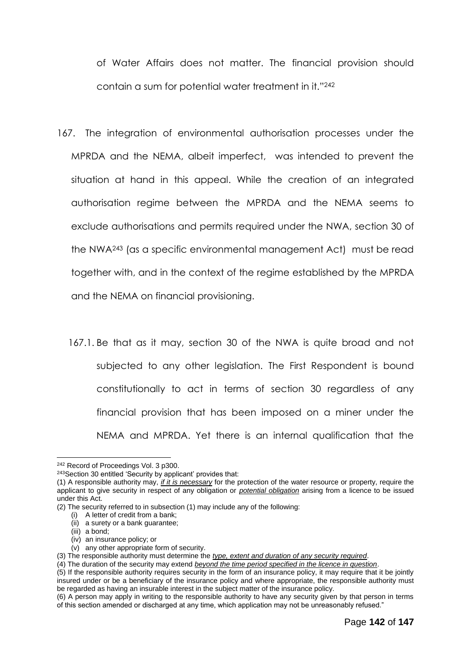of Water Affairs does not matter. The financial provision should contain a sum for potential water treatment in it." 242

167. The integration of environmental authorisation processes under the MPRDA and the NEMA, albeit imperfect, was intended to prevent the situation at hand in this appeal. While the creation of an integrated authorisation regime between the MPRDA and the NEMA seems to exclude authorisations and permits required under the NWA, section 30 of the NWA<sup>243</sup> (as a specific environmental management Act) must be read together with, and in the context of the regime established by the MPRDA and the NEMA on financial provisioning.

167.1. Be that as it may, section 30 of the NWA is quite broad and not subjected to any other legislation. The First Respondent is bound constitutionally to act in terms of section 30 regardless of any financial provision that has been imposed on a miner under the NEMA and MPRDA. Yet there is an internal qualification that the

<u>.</u>

<sup>&</sup>lt;sup>242</sup> Record of Proceedings Vol. 3 p300.

<sup>&</sup>lt;sup>243</sup>Section 30 entitled 'Security by applicant' provides that:

<sup>(1)</sup> A responsible authority may, *if it is necessary* for the protection of the water resource or property, require the applicant to give security in respect of any obligation or *potential obligation* arising from a licence to be issued under this Act.

<sup>(2)</sup> The security referred to in subsection (1) may include any of the following:

<sup>(</sup>i) A letter of credit from a bank;

<sup>(</sup>ii) a surety or a bank guarantee;

<sup>(</sup>iii) a bond;

<sup>(</sup>iv) an insurance policy; or

<sup>(</sup>v) any other appropriate form of security.

<sup>(3)</sup> The responsible authority must determine the *type, extent and duration of any security required*.

<sup>(4)</sup> The duration of the security may extend *beyond the time period specified in the licence in question*.

<sup>(5)</sup> If the responsible authority requires security in the form of an insurance policy, it may require that it be jointly insured under or be a beneficiary of the insurance policy and where appropriate, the responsible authority must be regarded as having an insurable interest in the subject matter of the insurance policy.

<sup>(6)</sup> A person may apply in writing to the responsible authority to have any security given by that person in terms of this section amended or discharged at any time, which application may not be unreasonably refused."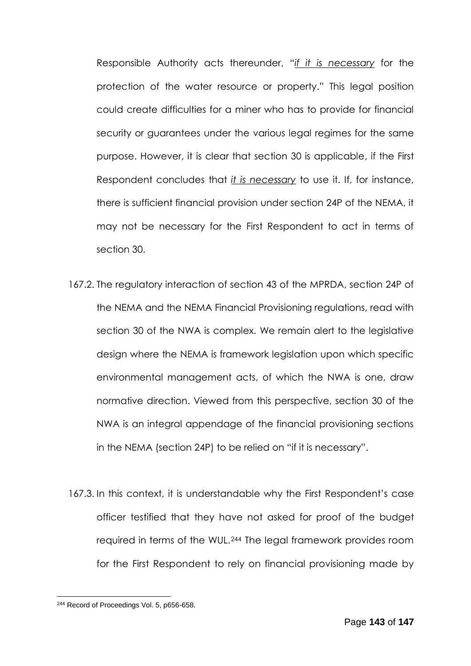Responsible Authority acts thereunder, "*if it is necessary* for the protection of the water resource or property." This legal position could create difficulties for a miner who has to provide for financial security or guarantees under the various legal regimes for the same purpose. However, it is clear that section 30 is applicable, if the First Respondent concludes that *it is necessary* to use it. If, for instance, there is sufficient financial provision under section 24P of the NEMA, it may not be necessary for the First Respondent to act in terms of section 30.

- 167.2. The regulatory interaction of section 43 of the MPRDA, section 24P of the NEMA and the NEMA Financial Provisioning regulations, read with section 30 of the NWA is complex. We remain alert to the legislative design where the NEMA is framework legislation upon which specific environmental management acts, of which the NWA is one, draw normative direction. Viewed from this perspective, section 30 of the NWA is an integral appendage of the financial provisioning sections in the NEMA (section 24P) to be relied on "if it is necessary".
- 167.3. In this context, it is understandable why the First Respondent's case officer testified that they have not asked for proof of the budget required in terms of the WUL.<sup>244</sup> The legal framework provides room for the First Respondent to rely on financial provisioning made by

<sup>&</sup>lt;sup>244</sup> Record of Proceedings Vol. 5, p656-658.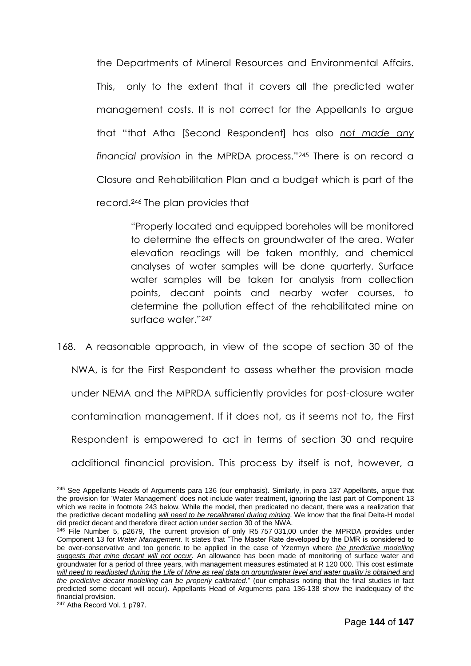the Departments of Mineral Resources and Environmental Affairs. This, only to the extent that it covers all the predicted water management costs. It is not correct for the Appellants to argue that "that Atha [Second Respondent] has also *not made any financial provision* in the MPRDA process." <sup>245</sup> There is on record a Closure and Rehabilitation Plan and a budget which is part of the record.<sup>246</sup> The plan provides that

> "Properly located and equipped boreholes will be monitored to determine the effects on groundwater of the area. Water elevation readings will be taken monthly, and chemical analyses of water samples will be done quarterly. Surface water samples will be taken for analysis from collection points, decant points and nearby water courses, to determine the pollution effect of the rehabilitated mine on surface water."<sup>247</sup>

168. A reasonable approach, in view of the scope of section 30 of the NWA, is for the First Respondent to assess whether the provision made under NEMA and the MPRDA sufficiently provides for post-closure water contamination management. If it does not, as it seems not to, the First Respondent is empowered to act in terms of section 30 and require additional financial provision. This process by itself is not, however, a

<sup>&</sup>lt;u>.</u> <sup>245</sup> See Appellants Heads of Arguments para 136 (our emphasis). Similarly, in para 137 Appellants, argue that the provision for 'Water Management' does not include water treatment, ignoring the last part of Component 13 which we recite in footnote 243 below. While the model, then predicated no decant, there was a realization that the predictive decant modelling *will need to be recalibrated during mining*. We know that the final Delta-H model did predict decant and therefore direct action under section 30 of the NWA.

<sup>&</sup>lt;sup>246</sup> File Number 5, p2679, The current provision of only R5 757 031,00 under the MPRDA provides under Component 13 for *Water Management*. It states that "The Master Rate developed by the DMR is considered to be over-conservative and too generic to be applied in the case of Yzermyn where *the predictive modelling suggests that mine decant will not occur.* An allowance has been made of monitoring of surface water and groundwater for a period of three years, with management measures estimated at R 120 000. This cost estimate will need to readjusted during the Life of Mine as real data on groundwater level and water quality is obtained and *the predictive decant modelling can be properly calibrated.*" (our emphasis noting that the final studies in fact predicted some decant will occur). Appellants Head of Arguments para 136-138 show the inadequacy of the financial provision.

<sup>247</sup> Atha Record Vol. 1 p797.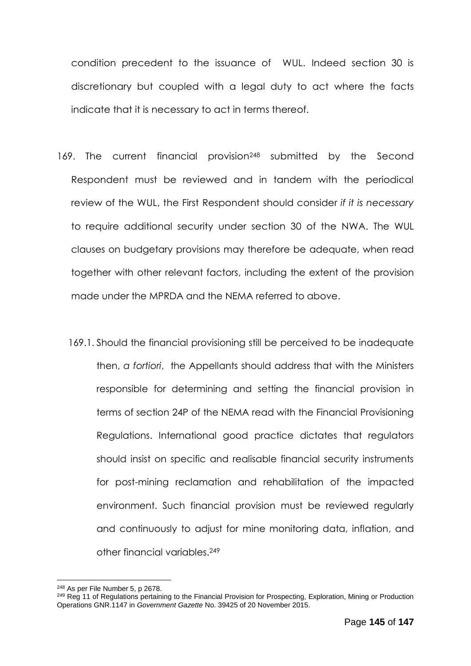condition precedent to the issuance of WUL. Indeed section 30 is discretionary but coupled with a legal duty to act where the facts indicate that it is necessary to act in terms thereof.

- 169. The current financial provision<sup>248</sup> submitted by the Second Respondent must be reviewed and in tandem with the periodical review of the WUL, the First Respondent should consider *if it is necessary* to require additional security under section 30 of the NWA. The WUL clauses on budgetary provisions may therefore be adequate, when read together with other relevant factors, including the extent of the provision made under the MPRDA and the NEMA referred to above.
	- 169.1. Should the financial provisioning still be perceived to be inadequate then, *a fortiori*, the Appellants should address that with the Ministers responsible for determining and setting the financial provision in terms of section 24P of the NEMA read with the Financial Provisioning Regulations. International good practice dictates that regulators should insist on specific and realisable financial security instruments for post-mining reclamation and rehabilitation of the impacted environment. Such financial provision must be reviewed regularly and continuously to adjust for mine monitoring data, inflation, and other financial variables.<sup>249</sup>

<sup>248</sup> As per File Number 5, p 2678.

<sup>&</sup>lt;sup>249</sup> Reg 11 of Regulations pertaining to the Financial Provision for Prospecting, Exploration, Mining or Production Operations GNR.1147 in *Government Gazette* No. 39425 of 20 November 2015.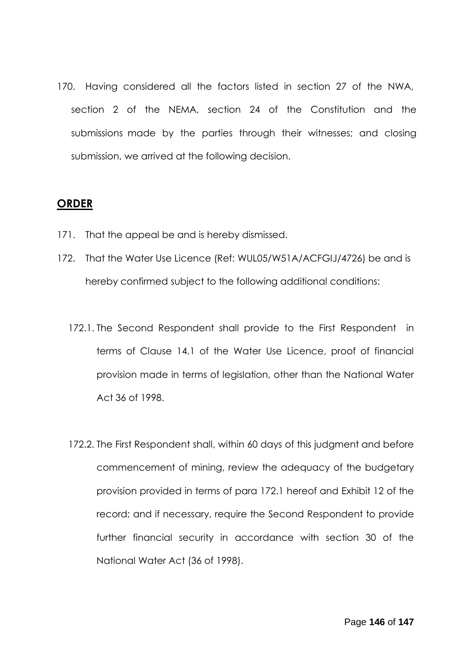170. Having considered all the factors listed in section 27 of the NWA, section 2 of the NEMA, section 24 of the Constitution and the submissions made by the parties through their witnesses; and closing submission, we arrived at the following decision.

## **ORDER**

- 171. That the appeal be and is hereby dismissed.
- 172. That the Water Use Licence (Ref: WUL05/W51A/ACFGIJ/4726) be and is hereby confirmed subject to the following additional conditions:
	- 172.1. The Second Respondent shall provide to the First Respondent in terms of Clause 14.1 of the Water Use Licence, proof of financial provision made in terms of legislation, other than the National Water Act 36 of 1998.
	- 172.2. The First Respondent shall, within 60 days of this judgment and before commencement of mining, review the adequacy of the budgetary provision provided in terms of para 172.1 hereof and Exhibit 12 of the record; and if necessary, require the Second Respondent to provide further financial security in accordance with section 30 of the National Water Act (36 of 1998).